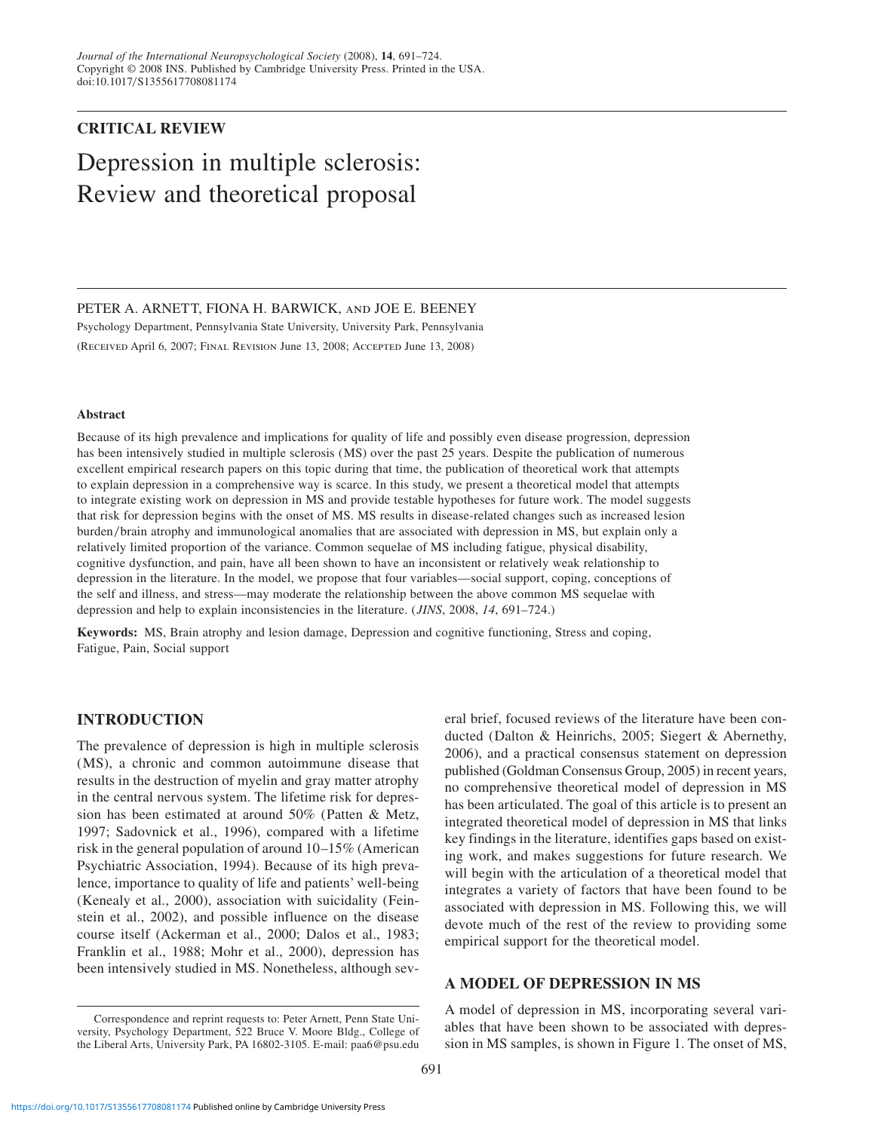# **CRITICAL REVIEW**

# Depression in multiple sclerosis: Review and theoretical proposal

PETER A. ARNETT, FIONA H. BARWICK, and JOE E. BEENEY

Psychology Department, Pennsylvania State University, University Park, Pennsylvania (Received April 6, 2007; Final Revision June 13, 2008; Accepted June 13, 2008)

#### **Abstract**

Because of its high prevalence and implications for quality of life and possibly even disease progression, depression has been intensively studied in multiple sclerosis (MS) over the past 25 years. Despite the publication of numerous excellent empirical research papers on this topic during that time, the publication of theoretical work that attempts to explain depression in a comprehensive way is scarce. In this study, we present a theoretical model that attempts to integrate existing work on depression in MS and provide testable hypotheses for future work. The model suggests that risk for depression begins with the onset of MS. MS results in disease-related changes such as increased lesion burden/brain atrophy and immunological anomalies that are associated with depression in MS, but explain only a relatively limited proportion of the variance. Common sequelae of MS including fatigue, physical disability, cognitive dysfunction, and pain, have all been shown to have an inconsistent or relatively weak relationship to depression in the literature. In the model, we propose that four variables—social support, coping, conceptions of the self and illness, and stress—may moderate the relationship between the above common MS sequelae with depression and help to explain inconsistencies in the literature. (*JINS*, 2008, *14*, 691–724.)

**Keywords:** MS, Brain atrophy and lesion damage, Depression and cognitive functioning, Stress and coping, Fatigue, Pain, Social support

# **INTRODUCTION**

The prevalence of depression is high in multiple sclerosis (MS), a chronic and common autoimmune disease that results in the destruction of myelin and gray matter atrophy in the central nervous system. The lifetime risk for depression has been estimated at around 50% (Patten & Metz, 1997; Sadovnick et al., 1996), compared with a lifetime risk in the general population of around 10–15% (American Psychiatric Association, 1994). Because of its high prevalence, importance to quality of life and patients' well-being (Kenealy et al., 2000), association with suicidality (Feinstein et al., 2002), and possible influence on the disease course itself (Ackerman et al., 2000; Dalos et al., 1983; Franklin et al., 1988; Mohr et al., 2000), depression has been intensively studied in MS. Nonetheless, although sev-

Correspondence and reprint requests to: Peter Arnett, Penn State University, Psychology Department, 522 Bruce V. Moore Bldg., College of the Liberal Arts, University Park, PA 16802-3105. E-mail: paa6@psu.edu eral brief, focused reviews of the literature have been conducted (Dalton & Heinrichs, 2005; Siegert & Abernethy, 2006), and a practical consensus statement on depression published (Goldman Consensus Group, 2005) in recent years, no comprehensive theoretical model of depression in MS has been articulated. The goal of this article is to present an integrated theoretical model of depression in MS that links key findings in the literature, identifies gaps based on existing work, and makes suggestions for future research. We will begin with the articulation of a theoretical model that integrates a variety of factors that have been found to be associated with depression in MS. Following this, we will devote much of the rest of the review to providing some empirical support for the theoretical model.

# **A MODEL OF DEPRESSION IN MS**

A model of depression in MS, incorporating several variables that have been shown to be associated with depression in MS samples, is shown in Figure 1. The onset of MS,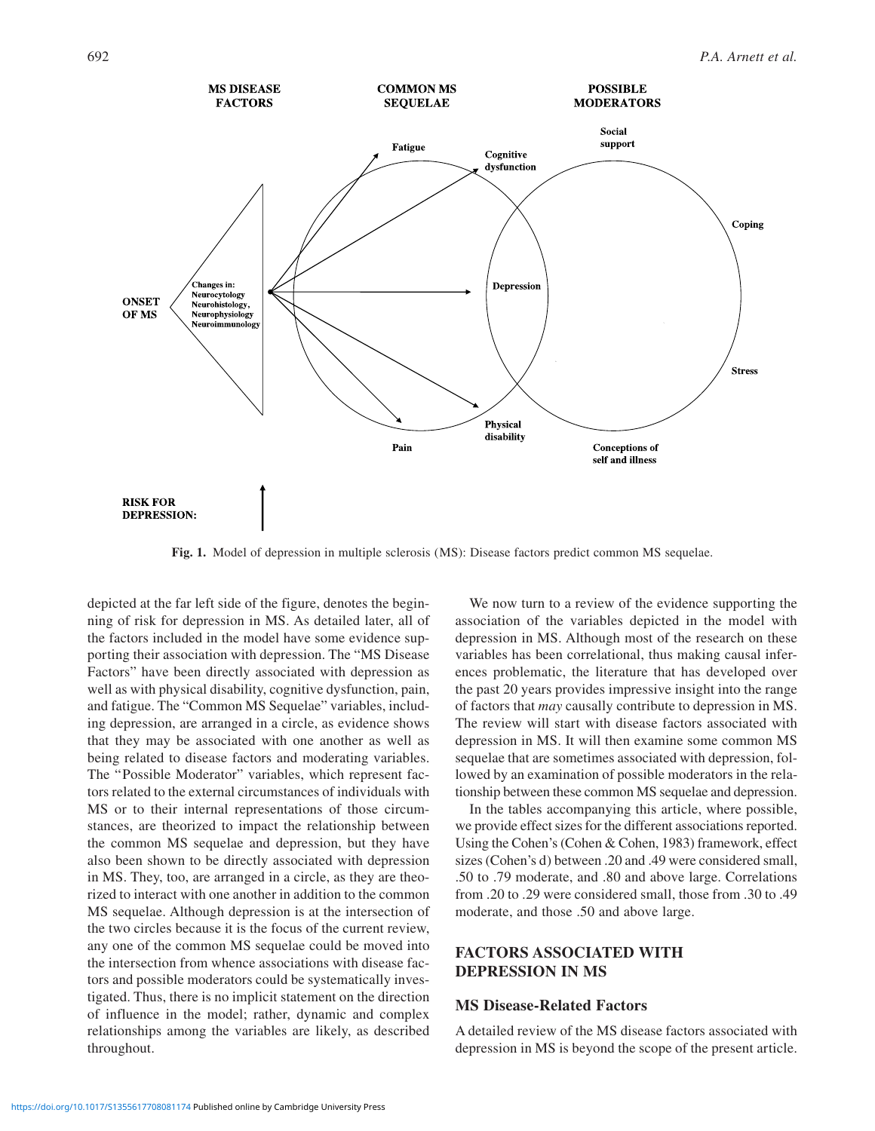

**Fig. 1.** Model of depression in multiple sclerosis (MS): Disease factors predict common MS sequelae.

depicted at the far left side of the figure, denotes the beginning of risk for depression in MS. As detailed later, all of the factors included in the model have some evidence supporting their association with depression. The "MS Disease Factors" have been directly associated with depression as well as with physical disability, cognitive dysfunction, pain, and fatigue. The "Common MS Sequelae" variables, including depression, are arranged in a circle, as evidence shows that they may be associated with one another as well as being related to disease factors and moderating variables. The "Possible Moderator" variables, which represent factors related to the external circumstances of individuals with MS or to their internal representations of those circumstances, are theorized to impact the relationship between the common MS sequelae and depression, but they have also been shown to be directly associated with depression in MS. They, too, are arranged in a circle, as they are theorized to interact with one another in addition to the common MS sequelae. Although depression is at the intersection of the two circles because it is the focus of the current review, any one of the common MS sequelae could be moved into the intersection from whence associations with disease factors and possible moderators could be systematically investigated. Thus, there is no implicit statement on the direction of influence in the model; rather, dynamic and complex relationships among the variables are likely, as described throughout.

We now turn to a review of the evidence supporting the association of the variables depicted in the model with depression in MS. Although most of the research on these variables has been correlational, thus making causal inferences problematic, the literature that has developed over the past 20 years provides impressive insight into the range of factors that *may* causally contribute to depression in MS. The review will start with disease factors associated with depression in MS. It will then examine some common MS sequelae that are sometimes associated with depression, followed by an examination of possible moderators in the relationship between these common MS sequelae and depression.

In the tables accompanying this article, where possible, we provide effect sizes for the different associations reported. Using the Cohen's (Cohen & Cohen, 1983) framework, effect sizes (Cohen's d) between .20 and .49 were considered small, .50 to .79 moderate, and .80 and above large. Correlations from .20 to .29 were considered small, those from .30 to .49 moderate, and those .50 and above large.

# **FACTORS ASSOCIATED WITH DEPRESSION IN MS**

## **MS Disease-Related Factors**

A detailed review of the MS disease factors associated with depression in MS is beyond the scope of the present article.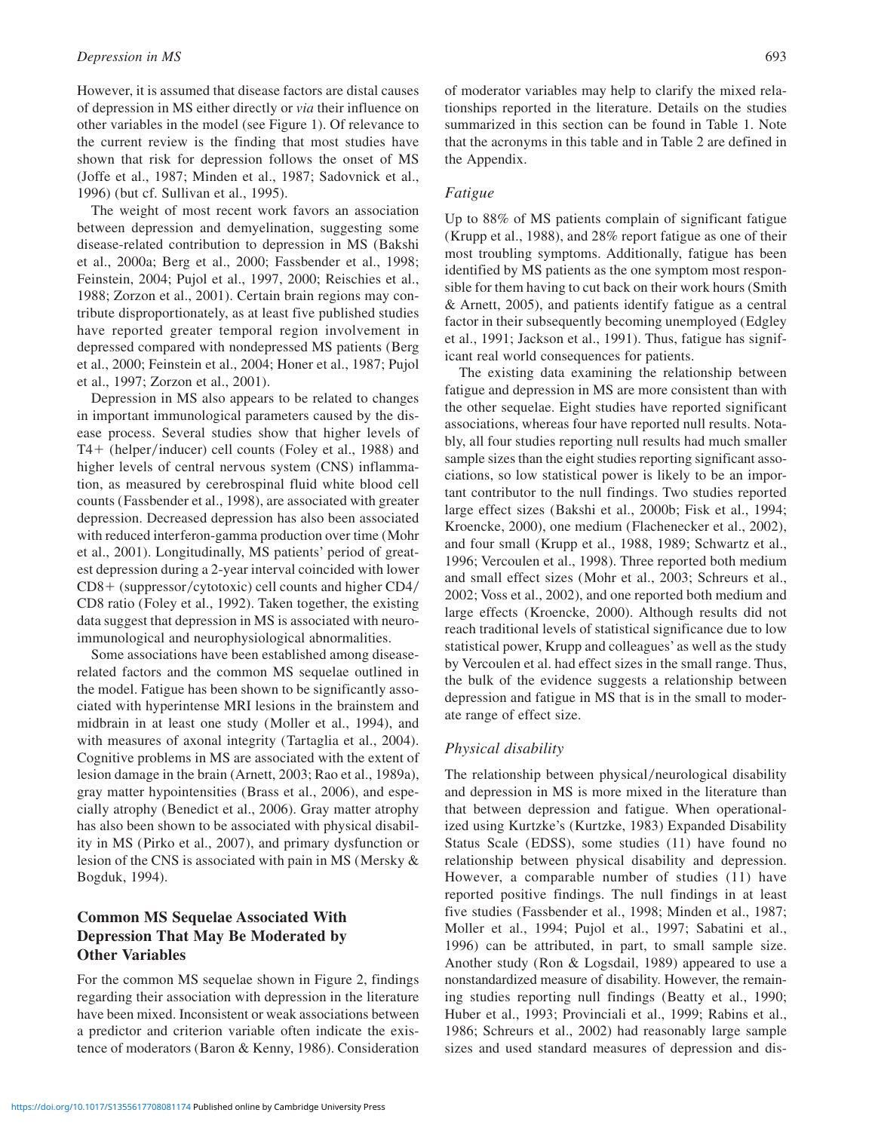However, it is assumed that disease factors are distal causes of depression in MS either directly or *via* their influence on other variables in the model (see Figure 1). Of relevance to the current review is the finding that most studies have shown that risk for depression follows the onset of MS (Joffe et al., 1987; Minden et al., 1987; Sadovnick et al., 1996) (but cf. Sullivan et al., 1995).

The weight of most recent work favors an association between depression and demyelination, suggesting some disease-related contribution to depression in MS (Bakshi et al., 2000a; Berg et al., 2000; Fassbender et al., 1998; Feinstein, 2004; Pujol et al., 1997, 2000; Reischies et al., 1988; Zorzon et al., 2001). Certain brain regions may contribute disproportionately, as at least five published studies have reported greater temporal region involvement in depressed compared with nondepressed MS patients (Berg et al., 2000; Feinstein et al., 2004; Honer et al., 1987; Pujol et al., 1997; Zorzon et al., 2001).

Depression in MS also appears to be related to changes in important immunological parameters caused by the disease process. Several studies show that higher levels of  $T4+$  (helper/inducer) cell counts (Foley et al., 1988) and higher levels of central nervous system (CNS) inflammation, as measured by cerebrospinal fluid white blood cell counts (Fassbender et al., 1998), are associated with greater depression. Decreased depression has also been associated with reduced interferon-gamma production over time (Mohr et al., 2001). Longitudinally, MS patients' period of greatest depression during a 2-year interval coincided with lower  $CD8+$  (suppressor/cytotoxic) cell counts and higher  $CD4/$ CD8 ratio (Foley et al., 1992). Taken together, the existing data suggest that depression in MS is associated with neuroimmunological and neurophysiological abnormalities.

Some associations have been established among diseaserelated factors and the common MS sequelae outlined in the model. Fatigue has been shown to be significantly associated with hyperintense MRI lesions in the brainstem and midbrain in at least one study (Moller et al., 1994), and with measures of axonal integrity (Tartaglia et al., 2004). Cognitive problems in MS are associated with the extent of lesion damage in the brain (Arnett, 2003; Rao et al., 1989a), gray matter hypointensities (Brass et al., 2006), and especially atrophy (Benedict et al., 2006). Gray matter atrophy has also been shown to be associated with physical disability in MS (Pirko et al., 2007), and primary dysfunction or lesion of the CNS is associated with pain in MS (Mersky & Bogduk, 1994).

# **Common MS Sequelae Associated With Depression That May Be Moderated by Other Variables**

For the common MS sequelae shown in Figure 2, findings regarding their association with depression in the literature have been mixed. Inconsistent or weak associations between a predictor and criterion variable often indicate the existence of moderators (Baron & Kenny, 1986). Consideration of moderator variables may help to clarify the mixed relationships reported in the literature. Details on the studies summarized in this section can be found in Table 1. Note that the acronyms in this table and in Table 2 are defined in the Appendix.

# *Fatigue*

Up to 88% of MS patients complain of significant fatigue (Krupp et al., 1988), and 28% report fatigue as one of their most troubling symptoms. Additionally, fatigue has been identified by MS patients as the one symptom most responsible for them having to cut back on their work hours (Smith & Arnett, 2005), and patients identify fatigue as a central factor in their subsequently becoming unemployed (Edgley et al., 1991; Jackson et al., 1991). Thus, fatigue has significant real world consequences for patients.

The existing data examining the relationship between fatigue and depression in MS are more consistent than with the other sequelae. Eight studies have reported significant associations, whereas four have reported null results. Notably, all four studies reporting null results had much smaller sample sizes than the eight studies reporting significant associations, so low statistical power is likely to be an important contributor to the null findings. Two studies reported large effect sizes (Bakshi et al., 2000b; Fisk et al., 1994; Kroencke, 2000), one medium (Flachenecker et al., 2002), and four small (Krupp et al., 1988, 1989; Schwartz et al., 1996; Vercoulen et al., 1998). Three reported both medium and small effect sizes (Mohr et al., 2003; Schreurs et al., 2002; Voss et al., 2002), and one reported both medium and large effects (Kroencke, 2000). Although results did not reach traditional levels of statistical significance due to low statistical power, Krupp and colleagues' as well as the study by Vercoulen et al. had effect sizes in the small range. Thus, the bulk of the evidence suggests a relationship between depression and fatigue in MS that is in the small to moderate range of effect size.

# *Physical disability*

The relationship between physical/neurological disability and depression in MS is more mixed in the literature than that between depression and fatigue. When operationalized using Kurtzke's (Kurtzke, 1983) Expanded Disability Status Scale (EDSS), some studies (11) have found no relationship between physical disability and depression. However, a comparable number of studies (11) have reported positive findings. The null findings in at least five studies (Fassbender et al., 1998; Minden et al., 1987; Moller et al., 1994; Pujol et al., 1997; Sabatini et al., 1996) can be attributed, in part, to small sample size. Another study (Ron & Logsdail, 1989) appeared to use a nonstandardized measure of disability. However, the remaining studies reporting null findings (Beatty et al., 1990; Huber et al., 1993; Provinciali et al., 1999; Rabins et al., 1986; Schreurs et al., 2002) had reasonably large sample sizes and used standard measures of depression and dis-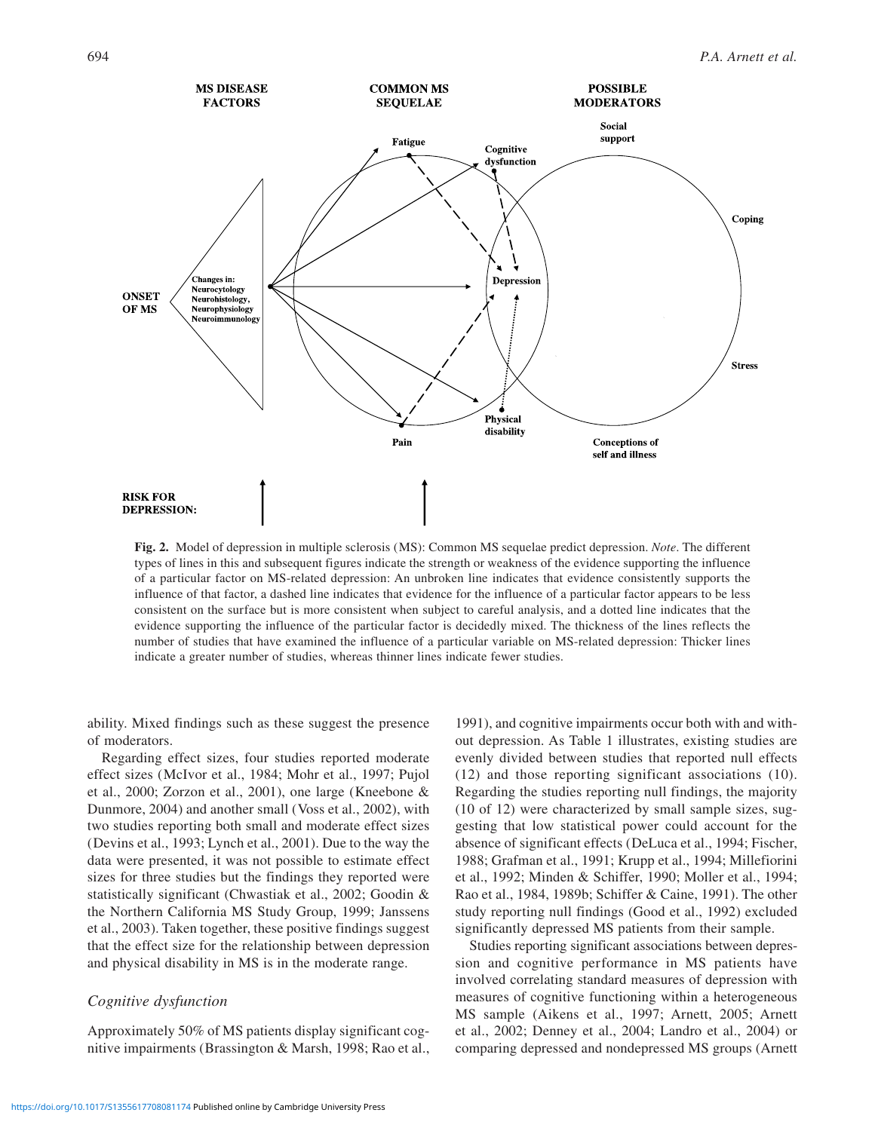

**Fig. 2.** Model of depression in multiple sclerosis (MS): Common MS sequelae predict depression. *Note*. The different types of lines in this and subsequent figures indicate the strength or weakness of the evidence supporting the influence of a particular factor on MS-related depression: An unbroken line indicates that evidence consistently supports the influence of that factor, a dashed line indicates that evidence for the influence of a particular factor appears to be less consistent on the surface but is more consistent when subject to careful analysis, and a dotted line indicates that the evidence supporting the influence of the particular factor is decidedly mixed. The thickness of the lines reflects the number of studies that have examined the influence of a particular variable on MS-related depression: Thicker lines indicate a greater number of studies, whereas thinner lines indicate fewer studies.

ability. Mixed findings such as these suggest the presence of moderators.

Regarding effect sizes, four studies reported moderate effect sizes (McIvor et al., 1984; Mohr et al., 1997; Pujol et al., 2000; Zorzon et al., 2001), one large (Kneebone & Dunmore, 2004) and another small (Voss et al., 2002), with two studies reporting both small and moderate effect sizes (Devins et al., 1993; Lynch et al., 2001). Due to the way the data were presented, it was not possible to estimate effect sizes for three studies but the findings they reported were statistically significant (Chwastiak et al., 2002; Goodin & the Northern California MS Study Group, 1999; Janssens et al., 2003). Taken together, these positive findings suggest that the effect size for the relationship between depression and physical disability in MS is in the moderate range.

#### *Cognitive dysfunction*

Approximately 50% of MS patients display significant cognitive impairments (Brassington & Marsh, 1998; Rao et al., 1991), and cognitive impairments occur both with and without depression. As Table 1 illustrates, existing studies are evenly divided between studies that reported null effects (12) and those reporting significant associations (10). Regarding the studies reporting null findings, the majority (10 of 12) were characterized by small sample sizes, suggesting that low statistical power could account for the absence of significant effects (DeLuca et al., 1994; Fischer, 1988; Grafman et al., 1991; Krupp et al., 1994; Millefiorini et al., 1992; Minden & Schiffer, 1990; Moller et al., 1994; Rao et al., 1984, 1989b; Schiffer & Caine, 1991). The other study reporting null findings (Good et al., 1992) excluded significantly depressed MS patients from their sample.

Studies reporting significant associations between depression and cognitive performance in MS patients have involved correlating standard measures of depression with measures of cognitive functioning within a heterogeneous MS sample (Aikens et al., 1997; Arnett, 2005; Arnett et al., 2002; Denney et al., 2004; Landro et al., 2004) or comparing depressed and nondepressed MS groups (Arnett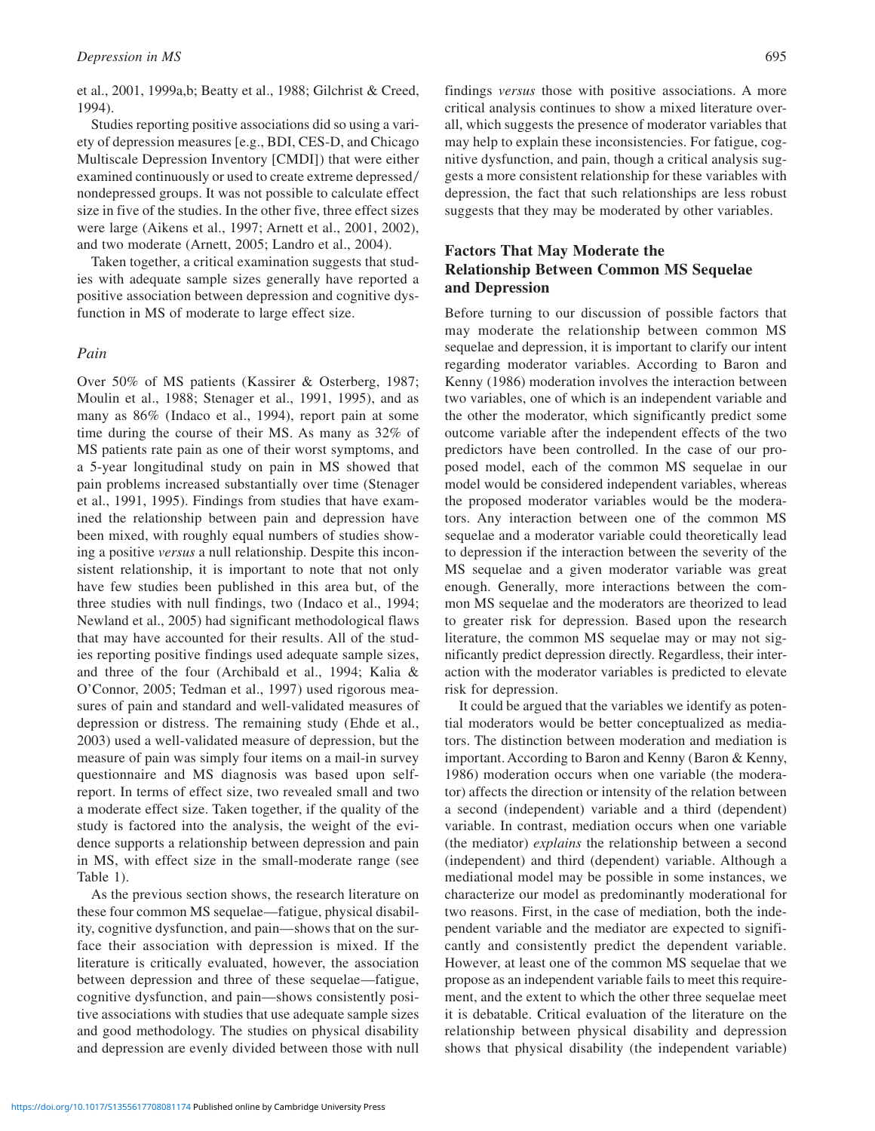et al., 2001, 1999a,b; Beatty et al., 1988; Gilchrist & Creed, 1994).

Studies reporting positive associations did so using a variety of depression measures [e.g., BDI, CES-D, and Chicago Multiscale Depression Inventory [CMDI]) that were either examined continuously or used to create extreme depressed/ nondepressed groups. It was not possible to calculate effect size in five of the studies. In the other five, three effect sizes were large (Aikens et al., 1997; Arnett et al., 2001, 2002), and two moderate (Arnett, 2005; Landro et al., 2004).

Taken together, a critical examination suggests that studies with adequate sample sizes generally have reported a positive association between depression and cognitive dysfunction in MS of moderate to large effect size.

### *Pain*

Over 50% of MS patients (Kassirer & Osterberg, 1987; Moulin et al., 1988; Stenager et al., 1991, 1995), and as many as 86% (Indaco et al., 1994), report pain at some time during the course of their MS. As many as 32% of MS patients rate pain as one of their worst symptoms, and a 5-year longitudinal study on pain in MS showed that pain problems increased substantially over time (Stenager et al., 1991, 1995). Findings from studies that have examined the relationship between pain and depression have been mixed, with roughly equal numbers of studies showing a positive *versus* a null relationship. Despite this inconsistent relationship, it is important to note that not only have few studies been published in this area but, of the three studies with null findings, two (Indaco et al., 1994; Newland et al., 2005) had significant methodological flaws that may have accounted for their results. All of the studies reporting positive findings used adequate sample sizes, and three of the four (Archibald et al., 1994; Kalia & O'Connor, 2005; Tedman et al., 1997) used rigorous measures of pain and standard and well-validated measures of depression or distress. The remaining study (Ehde et al., 2003) used a well-validated measure of depression, but the measure of pain was simply four items on a mail-in survey questionnaire and MS diagnosis was based upon selfreport. In terms of effect size, two revealed small and two a moderate effect size. Taken together, if the quality of the study is factored into the analysis, the weight of the evidence supports a relationship between depression and pain in MS, with effect size in the small-moderate range (see Table 1).

As the previous section shows, the research literature on these four common MS sequelae—fatigue, physical disability, cognitive dysfunction, and pain—shows that on the surface their association with depression is mixed. If the literature is critically evaluated, however, the association between depression and three of these sequelae—fatigue, cognitive dysfunction, and pain—shows consistently positive associations with studies that use adequate sample sizes and good methodology. The studies on physical disability and depression are evenly divided between those with null findings *versus* those with positive associations. A more critical analysis continues to show a mixed literature overall, which suggests the presence of moderator variables that may help to explain these inconsistencies. For fatigue, cognitive dysfunction, and pain, though a critical analysis suggests a more consistent relationship for these variables with depression, the fact that such relationships are less robust suggests that they may be moderated by other variables.

# **Factors That May Moderate the Relationship Between Common MS Sequelae and Depression**

Before turning to our discussion of possible factors that may moderate the relationship between common MS sequelae and depression, it is important to clarify our intent regarding moderator variables. According to Baron and Kenny (1986) moderation involves the interaction between two variables, one of which is an independent variable and the other the moderator, which significantly predict some outcome variable after the independent effects of the two predictors have been controlled. In the case of our proposed model, each of the common MS sequelae in our model would be considered independent variables, whereas the proposed moderator variables would be the moderators. Any interaction between one of the common MS sequelae and a moderator variable could theoretically lead to depression if the interaction between the severity of the MS sequelae and a given moderator variable was great enough. Generally, more interactions between the common MS sequelae and the moderators are theorized to lead to greater risk for depression. Based upon the research literature, the common MS sequelae may or may not significantly predict depression directly. Regardless, their interaction with the moderator variables is predicted to elevate risk for depression.

It could be argued that the variables we identify as potential moderators would be better conceptualized as mediators. The distinction between moderation and mediation is important. According to Baron and Kenny (Baron & Kenny, 1986) moderation occurs when one variable (the moderator) affects the direction or intensity of the relation between a second (independent) variable and a third (dependent) variable. In contrast, mediation occurs when one variable (the mediator) *explains* the relationship between a second (independent) and third (dependent) variable. Although a mediational model may be possible in some instances, we characterize our model as predominantly moderational for two reasons. First, in the case of mediation, both the independent variable and the mediator are expected to significantly and consistently predict the dependent variable. However, at least one of the common MS sequelae that we propose as an independent variable fails to meet this requirement, and the extent to which the other three sequelae meet it is debatable. Critical evaluation of the literature on the relationship between physical disability and depression shows that physical disability (the independent variable)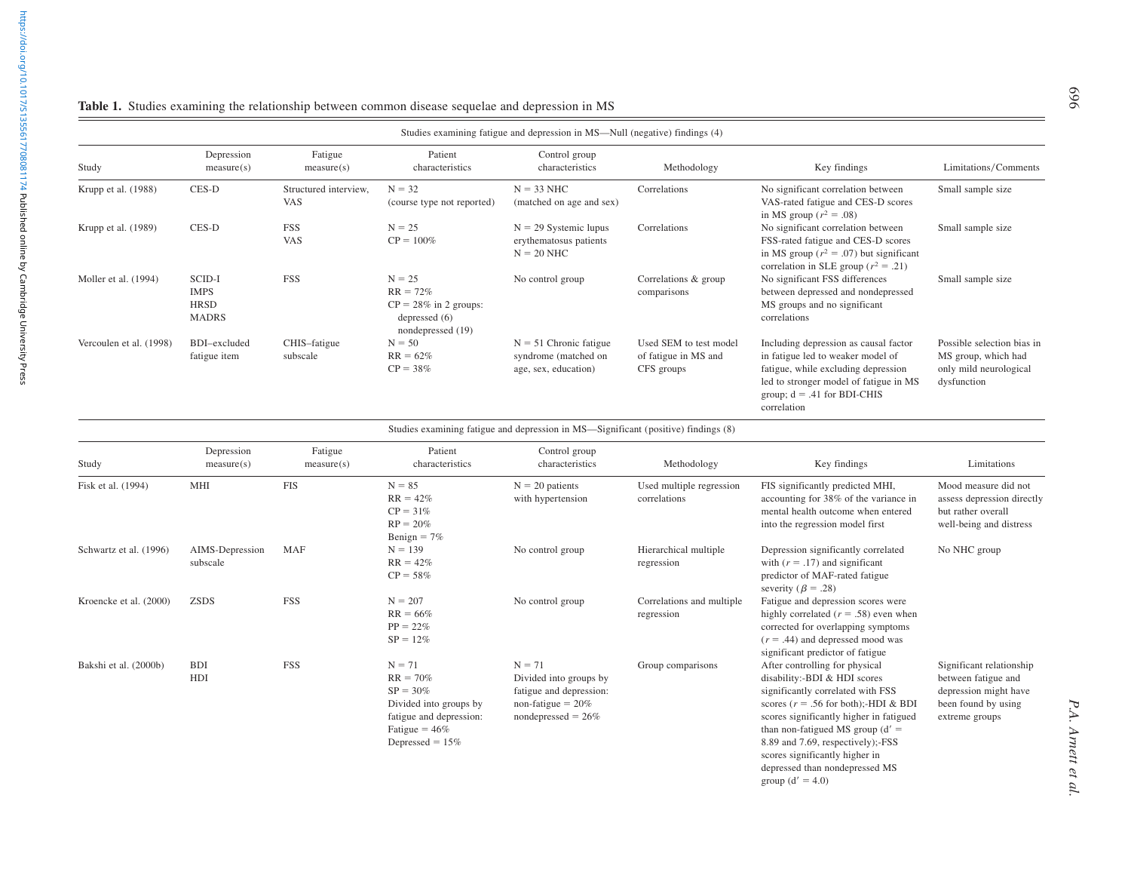https://doi.org/10.1017/S1355617708081174 Published online by Cambridge University Press <https://doi.org/10.1017/S1355617708081174>Published online by Cambridge University Press

#### **Table 1.** Studies examining the relationship between common disease sequelae and depression in MS

| Studies examining fatigue and depression in MS—Null (negative) findings (4) |                                                      |                                     |                                                                                            |                                                                          |                                                              |                                                                                                                                                                                                             |                                                                                            |  |  |
|-----------------------------------------------------------------------------|------------------------------------------------------|-------------------------------------|--------------------------------------------------------------------------------------------|--------------------------------------------------------------------------|--------------------------------------------------------------|-------------------------------------------------------------------------------------------------------------------------------------------------------------------------------------------------------------|--------------------------------------------------------------------------------------------|--|--|
| Study                                                                       | Depression<br>measure(s)                             | Fatigue<br>measure(s)               | Patient<br>characteristics                                                                 | Control group<br>characteristics                                         | Methodology                                                  | Key findings                                                                                                                                                                                                | Limitations/Comments                                                                       |  |  |
| Krupp et al. (1988)                                                         | CES-D                                                | Structured interview,<br><b>VAS</b> | $N = 32$<br>(course type not reported)                                                     | $N = 33$ NHC<br>(matched on age and sex)                                 | Correlations                                                 | No significant correlation between<br>VAS-rated fatigue and CES-D scores<br>in MS group ( $r^2 = .08$ )                                                                                                     | Small sample size                                                                          |  |  |
| Krupp et al. (1989)                                                         | CES-D                                                | <b>FSS</b><br><b>VAS</b>            | $N = 25$<br>$CP = 100\%$                                                                   | $N = 29$ Systemic lupus<br>erythematosus patients<br>$N = 20$ NHC        | Correlations                                                 | No significant correlation between<br>FSS-rated fatigue and CES-D scores<br>in MS group ( $r^2 = .07$ ) but significant<br>correlation in SLE group ( $r^2 = .21$ )                                         | Small sample size                                                                          |  |  |
| Moller et al. (1994)                                                        | SCID-I<br><b>IMPS</b><br><b>HRSD</b><br><b>MADRS</b> | <b>FSS</b>                          | $N = 25$<br>$RR = 72%$<br>$CP = 28\%$ in 2 groups:<br>depressed $(6)$<br>nondepressed (19) | No control group                                                         | Correlations & group<br>comparisons                          | No significant FSS differences<br>between depressed and nondepressed<br>MS groups and no significant<br>correlations                                                                                        | Small sample size                                                                          |  |  |
| Vercoulen et al. (1998)                                                     | BDI-excluded<br>fatigue item                         | CHIS-fatigue<br>subscale            | $N = 50$<br>$RR = 62%$<br>$CP = 38\%$                                                      | $N = 51$ Chronic fatigue<br>syndrome (matched on<br>age, sex, education) | Used SEM to test model<br>of fatigue in MS and<br>CFS groups | Including depression as causal factor<br>in fatigue led to weaker model of<br>fatigue, while excluding depression<br>led to stronger model of fatigue in MS<br>group; $d = .41$ for BDI-CHIS<br>correlation | Possible selection bias in<br>MS group, which had<br>only mild neurological<br>dysfunction |  |  |

Studies examining fatigue and depression in MS—Significant (positive) findings (8)

| Study                  | Depression<br>measure(s)    | Fatigue<br>measure(s) | Patient<br>characteristics                                                                                                          | Control group<br>characteristics                                                                               | Methodology                              | Key findings                                                                                                                                                                                                                                                                                                                                                   | Limitations                                                                                                       |
|------------------------|-----------------------------|-----------------------|-------------------------------------------------------------------------------------------------------------------------------------|----------------------------------------------------------------------------------------------------------------|------------------------------------------|----------------------------------------------------------------------------------------------------------------------------------------------------------------------------------------------------------------------------------------------------------------------------------------------------------------------------------------------------------------|-------------------------------------------------------------------------------------------------------------------|
| Fisk et al. (1994)     | MHI                         | <b>FIS</b>            | $N = 85$<br>$RR = 42%$<br>$CP = 31%$<br>$RP = 20%$<br>Benign = $7\%$                                                                | $N = 20$ patients<br>with hypertension                                                                         | Used multiple regression<br>correlations | FIS significantly predicted MHI,<br>accounting for 38% of the variance in<br>mental health outcome when entered<br>into the regression model first                                                                                                                                                                                                             | Mood measure did not<br>assess depression directly<br>but rather overall<br>well-being and distress               |
| Schwartz et al. (1996) | AIMS-Depression<br>subscale | <b>MAF</b>            | $N = 139$<br>$RR = 42%$<br>$CP = 58\%$                                                                                              | No control group                                                                                               | Hierarchical multiple<br>regression      | Depression significantly correlated<br>with $(r = .17)$ and significant<br>predictor of MAF-rated fatigue<br>severity ( $\beta$ = .28)                                                                                                                                                                                                                         | No NHC group                                                                                                      |
| Kroencke et al. (2000) | <b>ZSDS</b>                 | <b>FSS</b>            | $N = 207$<br>$RR = 66%$<br>$PP = 22%$<br>$SP = 12\%$                                                                                | No control group                                                                                               | Correlations and multiple<br>regression  | Fatigue and depression scores were<br>highly correlated ( $r = .58$ ) even when<br>corrected for overlapping symptoms<br>$(r = .44)$ and depressed mood was<br>significant predictor of fatigue                                                                                                                                                                |                                                                                                                   |
| Bakshi et al. (2000b)  | <b>BDI</b><br>HDI           | <b>FSS</b>            | $N = 71$<br>$RR = 70%$<br>$SP = 30\%$<br>Divided into groups by<br>fatigue and depression:<br>Fatigue = $46\%$<br>Depressed = $15%$ | $N = 71$<br>Divided into groups by<br>fatigue and depression:<br>non-fatigue $= 20\%$<br>nondepressed = $26\%$ | Group comparisons                        | After controlling for physical<br>disability:-BDI & HDI scores<br>significantly correlated with FSS<br>scores ( $r = .56$ for both);-HDI & BDI<br>scores significantly higher in fatigued<br>than non-fatigued MS group $(d' =$<br>8.89 and 7.69, respectively);-FSS<br>scores significantly higher in<br>depressed than nondepressed MS<br>group $(d' = 4.0)$ | Significant relationship<br>between fatigue and<br>depression might have<br>been found by using<br>extreme groups |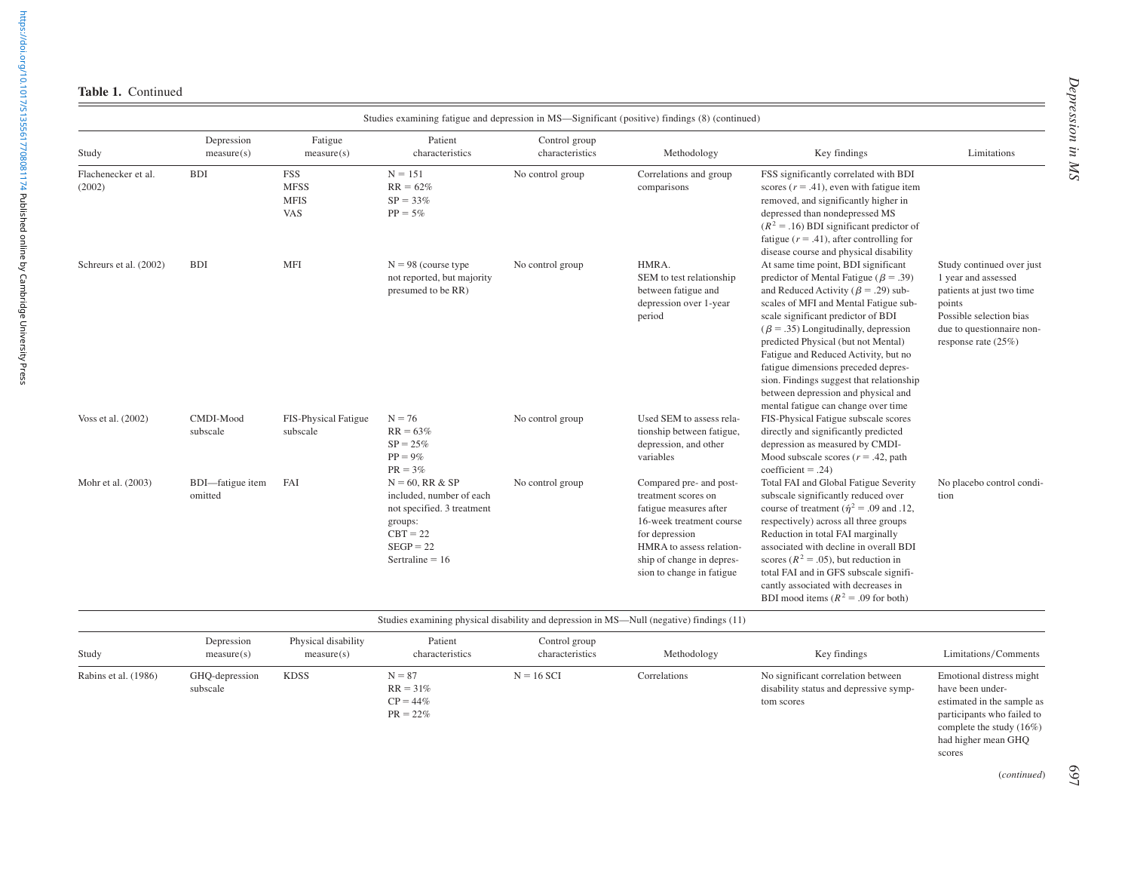#### **Table 1.** Continued  $\overline{\phantom{a}}$

|                               | Studies examining fatigue and depression in MS—Significant (positive) findings (8) (continued) |                                                        |                                                                                                                                           |                                  |                                                                                                                                                                                                              |                                                                                                                                                                                                                                                                                                                                                                                                                                                                                                                |                                                                                                                                                                          |  |  |  |
|-------------------------------|------------------------------------------------------------------------------------------------|--------------------------------------------------------|-------------------------------------------------------------------------------------------------------------------------------------------|----------------------------------|--------------------------------------------------------------------------------------------------------------------------------------------------------------------------------------------------------------|----------------------------------------------------------------------------------------------------------------------------------------------------------------------------------------------------------------------------------------------------------------------------------------------------------------------------------------------------------------------------------------------------------------------------------------------------------------------------------------------------------------|--------------------------------------------------------------------------------------------------------------------------------------------------------------------------|--|--|--|
| Study                         | Depression<br>measure(s)                                                                       | Fatigue<br>measure(s)                                  | Patient<br>characteristics                                                                                                                | Control group<br>characteristics | Methodology                                                                                                                                                                                                  | Key findings                                                                                                                                                                                                                                                                                                                                                                                                                                                                                                   | Limitations                                                                                                                                                              |  |  |  |
| Flachenecker et al.<br>(2002) | <b>BDI</b>                                                                                     | <b>FSS</b><br><b>MFSS</b><br><b>MFIS</b><br><b>VAS</b> | $N = 151$<br>$RR = 62%$<br>$SP = 33%$<br>$PP = 5\%$                                                                                       | No control group                 | Correlations and group<br>comparisons                                                                                                                                                                        | FSS significantly correlated with BDI<br>scores ( $r = .41$ ), even with fatigue item<br>removed, and significantly higher in<br>depressed than nondepressed MS<br>$(R2 = .16)$ BDI significant predictor of<br>fatigue ( $r = .41$ ), after controlling for<br>disease course and physical disability                                                                                                                                                                                                         |                                                                                                                                                                          |  |  |  |
| Schreurs et al. (2002)        | <b>BDI</b>                                                                                     | <b>MFI</b>                                             | $N = 98$ (course type<br>not reported, but majority<br>presumed to be RR)                                                                 | No control group                 | HMRA.<br>SEM to test relationship<br>between fatigue and<br>depression over 1-year<br>period                                                                                                                 | At same time point, BDI significant<br>predictor of Mental Fatigue ( $\beta$ = .39)<br>and Reduced Activity ( $\beta$ = .29) sub-<br>scales of MFI and Mental Fatigue sub-<br>scale significant predictor of BDI<br>$(\beta = .35)$ Longitudinally, depression<br>predicted Physical (but not Mental)<br>Fatigue and Reduced Activity, but no<br>fatigue dimensions preceded depres-<br>sion. Findings suggest that relationship<br>between depression and physical and<br>mental fatigue can change over time | Study continued over just<br>1 year and assessed<br>patients at just two time<br>points<br>Possible selection bias<br>due to questionnaire non-<br>response rate $(25%)$ |  |  |  |
| Voss et al. (2002)            | CMDI-Mood<br>subscale                                                                          | FIS-Physical Fatigue<br>subscale                       | $N = 76$<br>$RR = 63%$<br>$SP = 25%$<br>$PP = 9\%$<br>$PR = 3\%$                                                                          | No control group                 | Used SEM to assess rela-<br>tionship between fatigue,<br>depression, and other<br>variables                                                                                                                  | FIS-Physical Fatigue subscale scores<br>directly and significantly predicted<br>depression as measured by CMDI-<br>Mood subscale scores ( $r = .42$ , path<br>$coefficient = .24$ )                                                                                                                                                                                                                                                                                                                            |                                                                                                                                                                          |  |  |  |
| Mohr et al. (2003)            | BDI-fatigue item<br>omitted                                                                    | FAI                                                    | $N = 60$ , RR & SP<br>included, number of each<br>not specified. 3 treatment<br>groups:<br>$CBT = 22$<br>$SEGP = 22$<br>Sertraline $= 16$ | No control group                 | Compared pre- and post-<br>treatment scores on<br>fatigue measures after<br>16-week treatment course<br>for depression<br>HMRA to assess relation-<br>ship of change in depres-<br>sion to change in fatigue | Total FAI and Global Fatigue Severity<br>subscale significantly reduced over<br>course of treatment ( $\acute{\eta}^2$ = .09 and .12,<br>respectively) across all three groups<br>Reduction in total FAI marginally<br>associated with decline in overall BDI<br>scores ( $R^2 = .05$ ), but reduction in<br>total FAI and in GFS subscale signifi-<br>cantly associated with decreases in<br>BDI mood items ( $R^2$ = .09 for both)                                                                           | No placebo control condi-<br>tion                                                                                                                                        |  |  |  |
|                               |                                                                                                |                                                        |                                                                                                                                           |                                  | Studies examining physical disability and depression in MS—Null (negative) findings (11)                                                                                                                     |                                                                                                                                                                                                                                                                                                                                                                                                                                                                                                                |                                                                                                                                                                          |  |  |  |
|                               | Depression                                                                                     | Physical disability                                    | Patient                                                                                                                                   | Control group                    |                                                                                                                                                                                                              |                                                                                                                                                                                                                                                                                                                                                                                                                                                                                                                |                                                                                                                                                                          |  |  |  |

| Study                | Depression<br>measure(s)   | Physical disability<br>measure(s) | Patient<br>characteristics                           | Control group<br>characteristics | Methodology  | Key findings                                                                               | Limitations/Comments                                                                                                                                                     |
|----------------------|----------------------------|-----------------------------------|------------------------------------------------------|----------------------------------|--------------|--------------------------------------------------------------------------------------------|--------------------------------------------------------------------------------------------------------------------------------------------------------------------------|
| Rabins et al. (1986) | GHQ-depression<br>subscale | <b>KDSS</b>                       | $N = 87$<br>$RR = 31%$<br>$CP = 44\%$<br>$PR = 22\%$ | $N = 16$ SCI                     | Correlations | No significant correlation between<br>disability status and depressive symp-<br>tom scores | Emotional distress might<br>have been under-<br>estimated in the sample as<br>participants who failed to<br>complete the study $(16\%)$<br>had higher mean GHQ<br>scores |

(*continued*)

697

*Depression in MS*

Depression in MS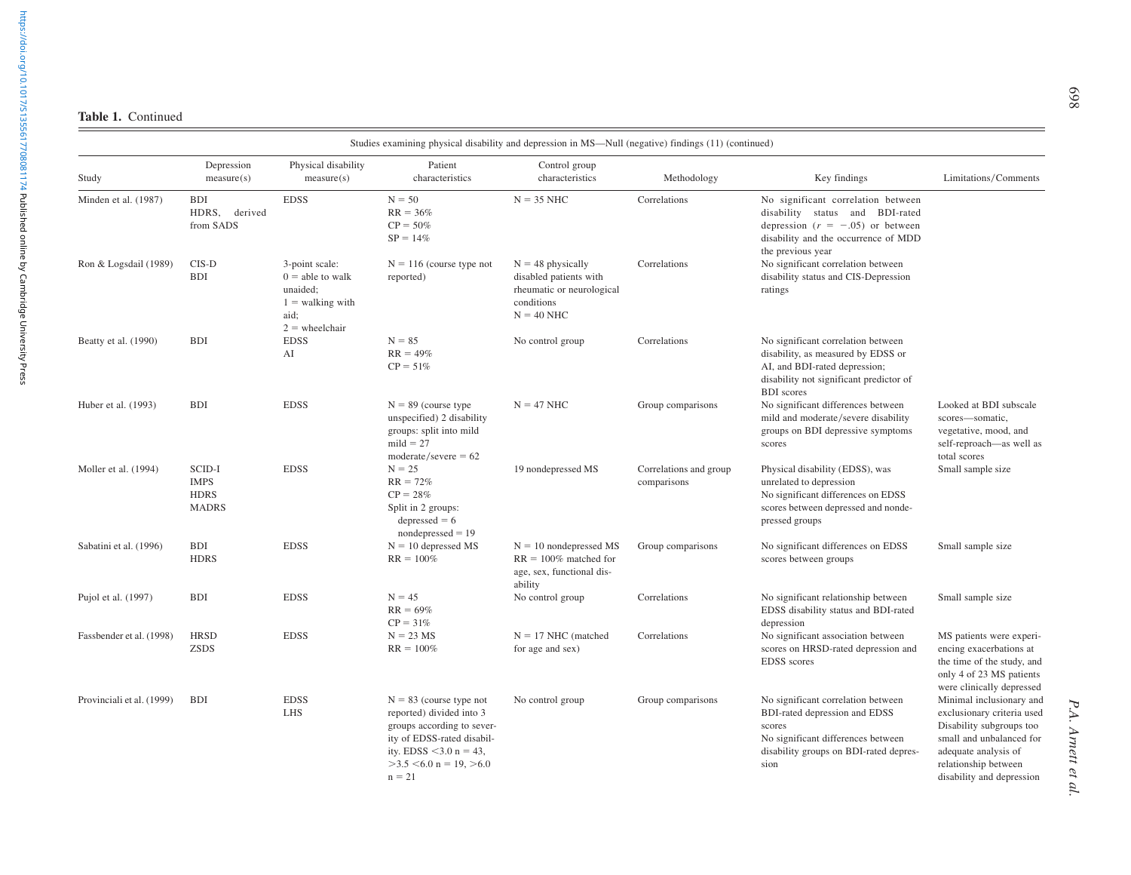|  | Table 1. Continued |
|--|--------------------|
|  |                    |

|                           | Studies examining physical disability and depression in MS—Null (negative) findings (11) (continued) |                                                                                                    |                                                                                                                                                                                        |                                                                                                          |                                       |                                                                                                                                                                            |                                                                                                                                                                                             |  |  |  |
|---------------------------|------------------------------------------------------------------------------------------------------|----------------------------------------------------------------------------------------------------|----------------------------------------------------------------------------------------------------------------------------------------------------------------------------------------|----------------------------------------------------------------------------------------------------------|---------------------------------------|----------------------------------------------------------------------------------------------------------------------------------------------------------------------------|---------------------------------------------------------------------------------------------------------------------------------------------------------------------------------------------|--|--|--|
| Study                     | Depression<br>measure(s)                                                                             | Physical disability<br>measure(s)                                                                  | Patient<br>characteristics                                                                                                                                                             | Control group<br>characteristics                                                                         | Methodology                           | Key findings                                                                                                                                                               | Limitations/Comments                                                                                                                                                                        |  |  |  |
| Minden et al. (1987)      | <b>BDI</b><br>HDRS,<br>derived<br>from SADS                                                          | <b>EDSS</b>                                                                                        | $N = 50$<br>$RR = 36%$<br>$CP = 50%$<br>$SP = 14%$                                                                                                                                     | $N = 35$ NHC                                                                                             | Correlations                          | No significant correlation between<br>disability status and BDI-rated<br>depression ( $r = -.05$ ) or between<br>disability and the occurrence of MDD<br>the previous year |                                                                                                                                                                                             |  |  |  |
| Ron & Logsdail (1989)     | CIS-D<br><b>BDI</b>                                                                                  | 3-point scale:<br>$0 =$ able to walk<br>unaided:<br>$1 =$ walking with<br>aid;<br>$2$ = wheelchair | $N = 116$ (course type not<br>reported)                                                                                                                                                | $N = 48$ physically<br>disabled patients with<br>rheumatic or neurological<br>conditions<br>$N = 40$ NHC | Correlations                          | No significant correlation between<br>disability status and CIS-Depression<br>ratings                                                                                      |                                                                                                                                                                                             |  |  |  |
| Beatty et al. (1990)      | <b>BDI</b>                                                                                           | <b>EDSS</b><br>AI                                                                                  | $N = 85$<br>$RR = 49%$<br>$CP = 51%$                                                                                                                                                   | No control group                                                                                         | Correlations                          | No significant correlation between<br>disability, as measured by EDSS or<br>AI, and BDI-rated depression;<br>disability not significant predictor of<br><b>BDI</b> scores  |                                                                                                                                                                                             |  |  |  |
| Huber et al. (1993)       | <b>BDI</b>                                                                                           | <b>EDSS</b>                                                                                        | $N = 89$ (course type)<br>unspecified) 2 disability<br>groups: split into mild<br>$mild = 27$<br>moderate/severe = $62$                                                                | $N = 47$ NHC                                                                                             | Group comparisons                     | No significant differences between<br>mild and moderate/severe disability<br>groups on BDI depressive symptoms<br>scores                                                   | Looked at BDI subscale<br>scores-somatic,<br>vegetative, mood, and<br>self-reproach-as well as<br>total scores                                                                              |  |  |  |
| Moller et al. (1994)      | SCID-I<br><b>IMPS</b><br><b>HDRS</b><br><b>MADRS</b>                                                 | <b>EDSS</b>                                                                                        | $N = 25$<br>$RR = 72%$<br>$CP = 28%$<br>Split in 2 groups:<br>$depressed = 6$<br>$nondepressed = 19$                                                                                   | 19 nondepressed MS                                                                                       | Correlations and group<br>comparisons | Physical disability (EDSS), was<br>unrelated to depression<br>No significant differences on EDSS<br>scores between depressed and nonde-<br>pressed groups                  | Small sample size                                                                                                                                                                           |  |  |  |
| Sabatini et al. (1996)    | <b>BDI</b><br><b>HDRS</b>                                                                            | <b>EDSS</b>                                                                                        | $N = 10$ depressed MS<br>$RR = 100\%$                                                                                                                                                  | $N = 10$ nondepressed MS<br>$RR = 100\%$ matched for<br>age, sex, functional dis-<br>ability             | Group comparisons                     | No significant differences on EDSS<br>scores between groups                                                                                                                | Small sample size                                                                                                                                                                           |  |  |  |
| Pujol et al. (1997)       | <b>BDI</b>                                                                                           | <b>EDSS</b>                                                                                        | $N = 45$<br>$RR = 69%$<br>$CP = 31%$                                                                                                                                                   | No control group                                                                                         | Correlations                          | No significant relationship between<br>EDSS disability status and BDI-rated<br>depression                                                                                  | Small sample size                                                                                                                                                                           |  |  |  |
| Fassbender et al. (1998)  | <b>HRSD</b><br><b>ZSDS</b>                                                                           | <b>EDSS</b>                                                                                        | $N = 23 MS$<br>$RR = 100%$                                                                                                                                                             | $N = 17$ NHC (matched<br>for age and sex)                                                                | Correlations                          | No significant association between<br>scores on HRSD-rated depression and<br><b>EDSS</b> scores                                                                            | MS patients were experi-<br>encing exacerbations at<br>the time of the study, and<br>only 4 of 23 MS patients<br>were clinically depressed                                                  |  |  |  |
| Provinciali et al. (1999) | <b>BDI</b>                                                                                           | <b>EDSS</b><br><b>LHS</b>                                                                          | $N = 83$ (course type not<br>reported) divided into 3<br>groups according to sever-<br>ity of EDSS-rated disabil-<br>ity. EDSS $<$ 3.0 n = 43,<br>$>3.5$ <6.0 n = 19, >6.0<br>$n = 21$ | No control group                                                                                         | Group comparisons                     | No significant correlation between<br>BDI-rated depression and EDSS<br>scores<br>No significant differences between<br>disability groups on BDI-rated depres-<br>sion      | Minimal inclusionary and<br>exclusionary criteria used<br>Disability subgroups too<br>small and unbalanced for<br>adequate analysis of<br>relationship between<br>disability and depression |  |  |  |

698

P.A. Arnett et al. *P.A. Arnett et al.*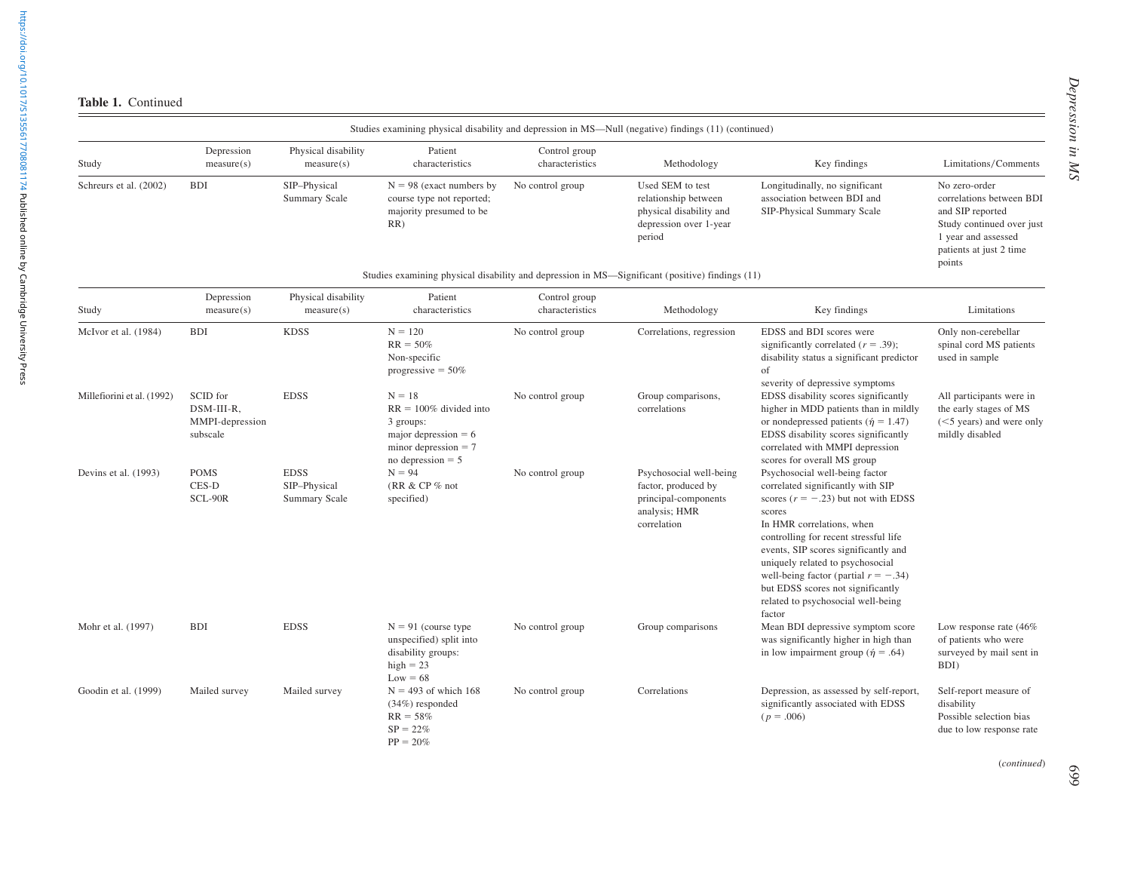| Studies examining physical disability and depression in MS—Null (negative) findings (11) (continued) |                                                       |                                                     |                                                                                                                               |                                  |                                                                                                         |                                                                                                                                                                                                                                                                                                                                                                                                            |                                                                                                                                                        |  |  |
|------------------------------------------------------------------------------------------------------|-------------------------------------------------------|-----------------------------------------------------|-------------------------------------------------------------------------------------------------------------------------------|----------------------------------|---------------------------------------------------------------------------------------------------------|------------------------------------------------------------------------------------------------------------------------------------------------------------------------------------------------------------------------------------------------------------------------------------------------------------------------------------------------------------------------------------------------------------|--------------------------------------------------------------------------------------------------------------------------------------------------------|--|--|
| Study                                                                                                | Depression<br>measure(s)                              | Physical disability<br>measure(s)                   | Patient<br>characteristics                                                                                                    | Control group<br>characteristics | Methodology                                                                                             | Key findings                                                                                                                                                                                                                                                                                                                                                                                               | Limitations/Comments                                                                                                                                   |  |  |
| Schreurs et al. (2002)                                                                               | <b>BDI</b>                                            | SIP-Physical<br><b>Summary Scale</b>                | $N = 98$ (exact numbers by<br>course type not reported;<br>majority presumed to be<br>RR)                                     | No control group                 | Used SEM to test<br>relationship between<br>physical disability and<br>depression over 1-year<br>period | Longitudinally, no significant<br>association between BDI and<br>SIP-Physical Summary Scale                                                                                                                                                                                                                                                                                                                | No zero-order<br>correlations between BDI<br>and SIP reported<br>Study continued over just<br>1 year and assessed<br>patients at just 2 time<br>points |  |  |
|                                                                                                      |                                                       |                                                     |                                                                                                                               |                                  | Studies examining physical disability and depression in MS—Significant (positive) findings (11)         |                                                                                                                                                                                                                                                                                                                                                                                                            |                                                                                                                                                        |  |  |
| Study                                                                                                | Depression<br>measure(s)                              | Physical disability<br>measure(s)                   | Patient<br>characteristics                                                                                                    | Control group<br>characteristics | Methodology                                                                                             | Key findings                                                                                                                                                                                                                                                                                                                                                                                               | Limitations                                                                                                                                            |  |  |
| McIvor et al. (1984)                                                                                 | <b>BDI</b>                                            | <b>KDSS</b>                                         | $N = 120$<br>$RR = 50%$<br>Non-specific<br>progressive = $50\%$                                                               | No control group                 | Correlations, regression                                                                                | EDSS and BDI scores were<br>significantly correlated $(r=.39)$ ;<br>disability status a significant predictor<br>of<br>severity of depressive symptoms                                                                                                                                                                                                                                                     | Only non-cerebellar<br>spinal cord MS patients<br>used in sample                                                                                       |  |  |
| Millefiorini et al. (1992)                                                                           | SCID for<br>DSM-III-R,<br>MMPI-depression<br>subscale | <b>EDSS</b>                                         | $N = 18$<br>$RR = 100\%$ divided into<br>3 groups:<br>major depression $= 6$<br>minor depression $= 7$<br>no depression $= 5$ | No control group                 | Group comparisons,<br>correlations                                                                      | EDSS disability scores significantly<br>higher in MDD patients than in mildly<br>or nondepressed patients ( $\acute{\eta}$ = 1.47)<br>EDSS disability scores significantly<br>correlated with MMPI depression<br>scores for overall MS group                                                                                                                                                               | All participants were in<br>the early stages of MS<br>$(< 5$ years) and were only<br>mildly disabled                                                   |  |  |
| Devins et al. (1993)                                                                                 | <b>POMS</b><br>CES-D<br>SCL-90R                       | <b>EDSS</b><br>SIP-Physical<br><b>Summary Scale</b> | $N = 94$<br>(RR & CP $%$ not<br>specified)                                                                                    | No control group                 | Psychosocial well-being<br>factor, produced by<br>principal-components<br>analysis; HMR<br>correlation  | Psychosocial well-being factor<br>correlated significantly with SIP<br>scores ( $r = -.23$ ) but not with EDSS<br>scores<br>In HMR correlations, when<br>controlling for recent stressful life<br>events, SIP scores significantly and<br>uniquely related to psychosocial<br>well-being factor (partial $r = -.34$ )<br>but EDSS scores not significantly<br>related to psychosocial well-being<br>factor |                                                                                                                                                        |  |  |
| Mohr et al. (1997)                                                                                   | <b>BDI</b>                                            | <b>EDSS</b>                                         | $N = 91$ (course type)<br>unspecified) split into<br>disability groups:<br>high $= 23$<br>$Low = 68$                          | No control group                 | Group comparisons                                                                                       | Mean BDI depressive symptom score<br>was significantly higher in high than<br>in low impairment group ( $\acute{\eta}$ = .64)                                                                                                                                                                                                                                                                              | Low response rate (46%<br>of patients who were<br>surveyed by mail sent in<br>BDI)                                                                     |  |  |
| Goodin et al. (1999)                                                                                 | Mailed survey                                         | Mailed survey                                       | $N = 493$ of which 168<br>$(34%)$ responded<br>$RR = 58%$<br>$SP = 22%$<br>$PP = 20%$                                         | No control group                 | Correlations                                                                                            | Depression, as assessed by self-report,<br>significantly associated with EDSS<br>$(p=.006)$                                                                                                                                                                                                                                                                                                                | Self-report measure of<br>disability<br>Possible selection bias<br>due to low response rate                                                            |  |  |

(*continued*)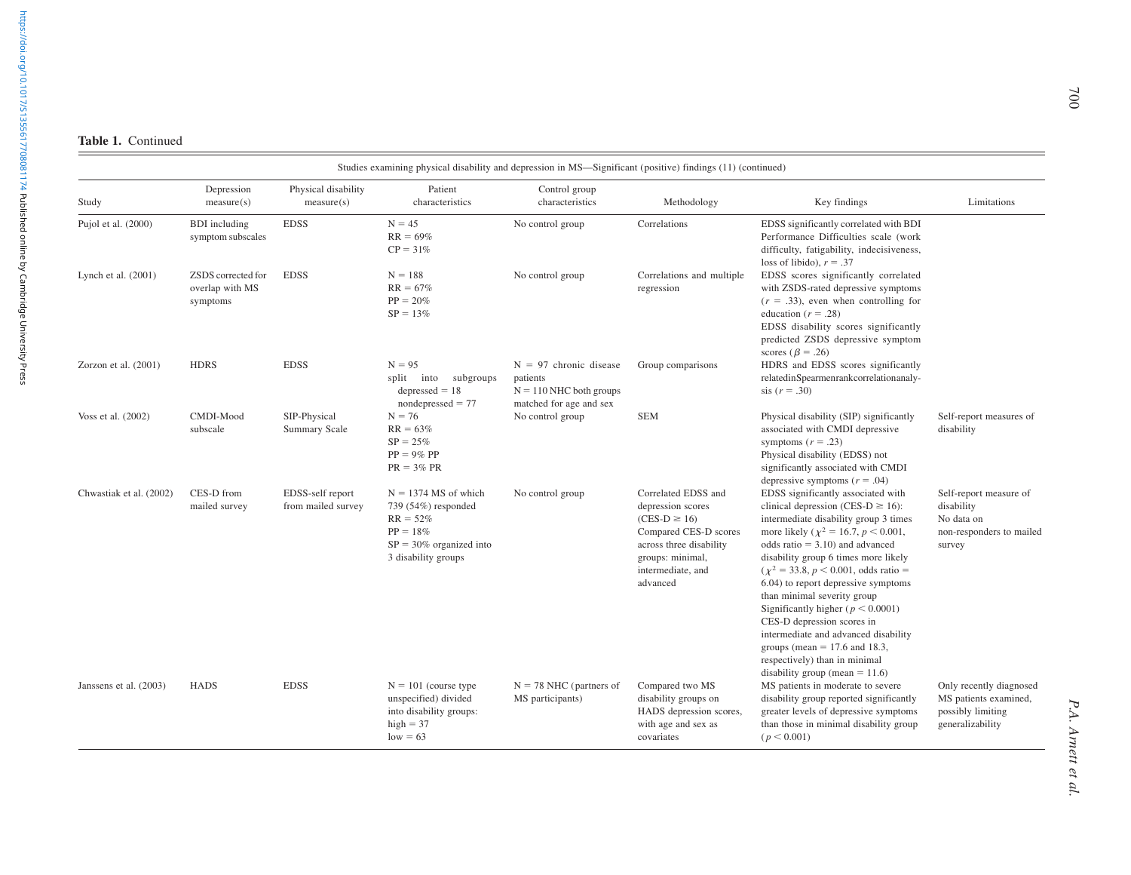| Studies examining physical disability and depression in MS—Significant (positive) findings (11) (continued) |                                                   |                                        |                                                                                                                                 |                                                                                              |                                                                                                                                                                       |                                                                                                                                                                                                                                                                                                                                                                                                                                                                                                                                                                                                       |                                                                                           |  |  |
|-------------------------------------------------------------------------------------------------------------|---------------------------------------------------|----------------------------------------|---------------------------------------------------------------------------------------------------------------------------------|----------------------------------------------------------------------------------------------|-----------------------------------------------------------------------------------------------------------------------------------------------------------------------|-------------------------------------------------------------------------------------------------------------------------------------------------------------------------------------------------------------------------------------------------------------------------------------------------------------------------------------------------------------------------------------------------------------------------------------------------------------------------------------------------------------------------------------------------------------------------------------------------------|-------------------------------------------------------------------------------------------|--|--|
| Study                                                                                                       | Depression<br>measure(s)                          | Physical disability<br>measure(s)      | Patient<br>characteristics                                                                                                      | Control group<br>characteristics                                                             | Methodology                                                                                                                                                           | Key findings                                                                                                                                                                                                                                                                                                                                                                                                                                                                                                                                                                                          | Limitations                                                                               |  |  |
| Pujol et al. (2000)                                                                                         | <b>BDI</b> including<br>symptom subscales         | <b>EDSS</b>                            | $N = 45$<br>$RR = 69%$<br>$CP = 31%$                                                                                            | No control group                                                                             | Correlations                                                                                                                                                          | EDSS significantly correlated with BDI<br>Performance Difficulties scale (work<br>difficulty, fatigability, indecisiveness,<br>loss of libido), $r = .37$                                                                                                                                                                                                                                                                                                                                                                                                                                             |                                                                                           |  |  |
| Lynch et al. $(2001)$                                                                                       | ZSDS corrected for<br>overlap with MS<br>symptoms | <b>EDSS</b>                            | $N = 188$<br>$RR = 67%$<br>$PP = 20%$<br>$SP = 13%$                                                                             | No control group                                                                             | Correlations and multiple<br>regression                                                                                                                               | EDSS scores significantly correlated<br>with ZSDS-rated depressive symptoms<br>$(r = .33)$ , even when controlling for<br>education ( $r = .28$ )<br>EDSS disability scores significantly<br>predicted ZSDS depressive symptom<br>scores ( $\beta$ = .26)                                                                                                                                                                                                                                                                                                                                             |                                                                                           |  |  |
| Zorzon et al. (2001)                                                                                        | <b>HDRS</b>                                       | <b>EDSS</b>                            | $N = 95$<br>split into subgroups<br>$depressed = 18$<br>$nondepressed = 77$                                                     | $N = 97$ chronic disease<br>patients<br>$N = 110$ NHC both groups<br>matched for age and sex | Group comparisons                                                                                                                                                     | HDRS and EDSS scores significantly<br>relatedinSpearmenrankcorrelationanaly-<br>$sis (r = .30)$                                                                                                                                                                                                                                                                                                                                                                                                                                                                                                       |                                                                                           |  |  |
| Voss et al. (2002)                                                                                          | CMDI-Mood<br>subscale                             | SIP-Physical<br><b>Summary Scale</b>   | $N = 76$<br>$RR = 63%$<br>$SP = 25%$<br>$PP = 9\% PP$<br>$PR = 3\% PR$                                                          | No control group                                                                             | <b>SEM</b>                                                                                                                                                            | Physical disability (SIP) significantly<br>associated with CMDI depressive<br>symptoms $(r=.23)$<br>Physical disability (EDSS) not<br>significantly associated with CMDI<br>depressive symptoms ( $r = .04$ )                                                                                                                                                                                                                                                                                                                                                                                         | Self-report measures of<br>disability                                                     |  |  |
| Chwastiak et al. (2002)                                                                                     | CES-D from<br>mailed survey                       | EDSS-self report<br>from mailed survey | $N = 1374$ MS of which<br>739 (54%) responded<br>$RR = 52%$<br>$PP = 18\%$<br>$SP = 30\%$ organized into<br>3 disability groups | No control group                                                                             | Correlated EDSS and<br>depression scores<br>$(CES-D \ge 16)$<br>Compared CES-D scores<br>across three disability<br>groups: minimal,<br>intermediate, and<br>advanced | EDSS significantly associated with<br>clinical depression (CES-D $\geq$ 16):<br>intermediate disability group 3 times<br>more likely ( $\chi^2$ = 16.7, $p$ < 0.001,<br>odds ratio $= 3.10$ ) and advanced<br>disability group 6 times more likely<br>$(\chi^2 = 33.8, p < 0.001, \text{ odds ratio} =$<br>6.04) to report depressive symptoms<br>than minimal severity group<br>Significantly higher ( $p < 0.0001$ )<br>CES-D depression scores in<br>intermediate and advanced disability<br>groups (mean = $17.6$ and 18.3,<br>respectively) than in minimal<br>disability group (mean $= 11.6$ ) | Self-report measure of<br>disability<br>No data on<br>non-responders to mailed<br>survey  |  |  |
| Janssens et al. (2003)                                                                                      | <b>HADS</b>                                       | <b>EDSS</b>                            | $N = 101$ (course type<br>unspecified) divided<br>into disability groups:<br>high $= 37$<br>$low = 63$                          | $N = 78$ NHC (partners of<br>MS participants)                                                | Compared two MS<br>disability groups on<br>HADS depression scores,<br>with age and sex as<br>covariates                                                               | MS patients in moderate to severe<br>disability group reported significantly<br>greater levels of depressive symptoms<br>than those in minimal disability group<br>(p < 0.001)                                                                                                                                                                                                                                                                                                                                                                                                                        | Only recently diagnosed<br>MS patients examined,<br>possibly limiting<br>generalizability |  |  |

P.A. Amett et al. *P.A. Arnett et al.*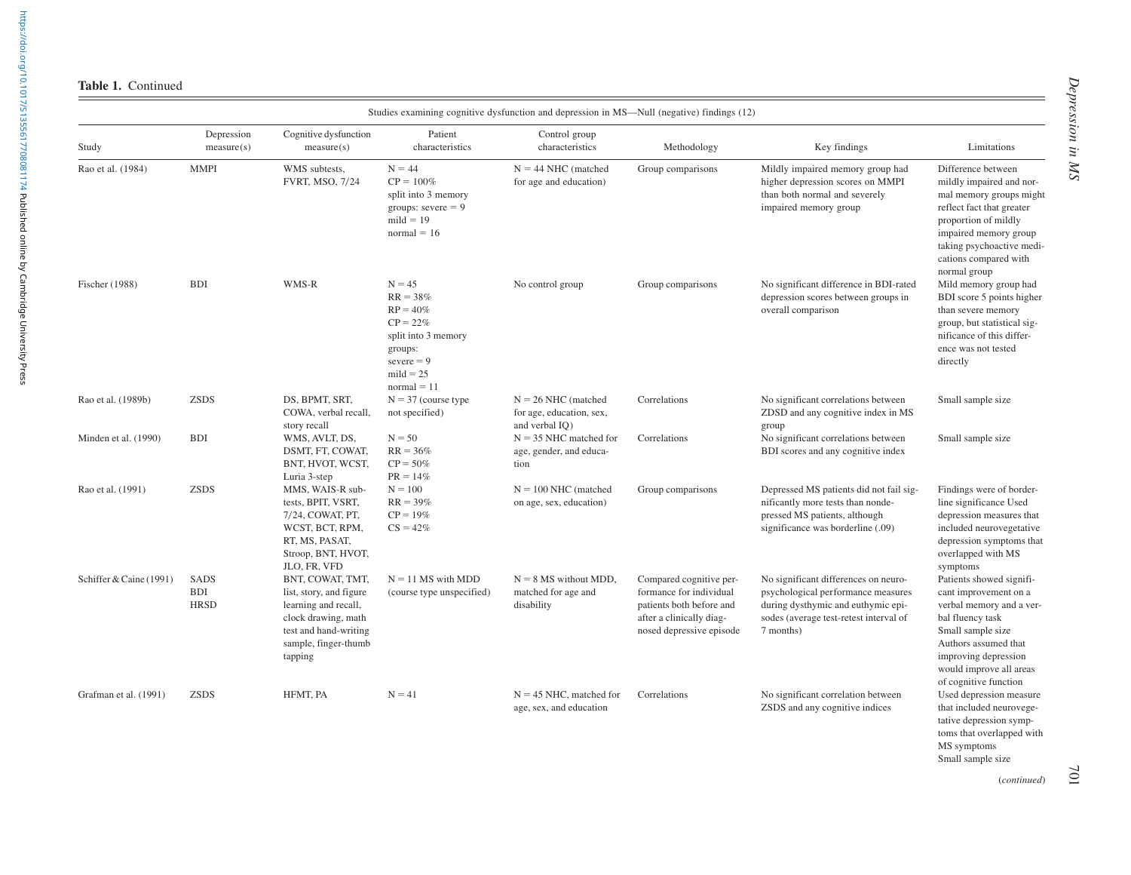https://doi.org/10.1017/S1355617708081174 Published online by Cambridge University Press <https://doi.org/10.1017/S1355617708081174>Published online by Cambridge University Press

| Studies examining cognitive dysfunction and depression in MS—Null (negative) findings (12) |                                   |                                                                                                                                                        |                                                                                                                                      |                                                                     |                                                                                                                                        |                                                                                                                                                                         |                                                                                                                                                                                                                               |  |  |
|--------------------------------------------------------------------------------------------|-----------------------------------|--------------------------------------------------------------------------------------------------------------------------------------------------------|--------------------------------------------------------------------------------------------------------------------------------------|---------------------------------------------------------------------|----------------------------------------------------------------------------------------------------------------------------------------|-------------------------------------------------------------------------------------------------------------------------------------------------------------------------|-------------------------------------------------------------------------------------------------------------------------------------------------------------------------------------------------------------------------------|--|--|
| Study                                                                                      | Depression<br>measure(s)          | Cognitive dysfunction<br>measure(s)                                                                                                                    | Patient<br>characteristics                                                                                                           | Control group<br>characteristics                                    | Methodology                                                                                                                            | Key findings                                                                                                                                                            | Limitations                                                                                                                                                                                                                   |  |  |
| Rao et al. (1984)                                                                          | <b>MMPI</b>                       | WMS subtests,<br><b>FVRT, MSO, 7/24</b>                                                                                                                | $N = 44$<br>$CP = 100\%$<br>split into 3 memory<br>groups: severe $= 9$<br>$mild = 19$<br>$normal = 16$                              | $N = 44$ NHC (matched<br>for age and education)                     | Group comparisons                                                                                                                      | Mildly impaired memory group had<br>higher depression scores on MMPI<br>than both normal and severely<br>impaired memory group                                          | Difference between<br>mildly impaired and nor-<br>mal memory groups might<br>reflect fact that greater<br>proportion of mildly<br>impaired memory group<br>taking psychoactive medi-<br>cations compared with<br>normal group |  |  |
| Fischer (1988)                                                                             | <b>BDI</b>                        | WMS-R                                                                                                                                                  | $N = 45$<br>$RR = 38%$<br>$RP = 40%$<br>$CP = 22%$<br>split into 3 memory<br>groups:<br>$severe = 9$<br>$mild = 25$<br>$normal = 11$ | No control group                                                    | Group comparisons                                                                                                                      | No significant difference in BDI-rated<br>depression scores between groups in<br>overall comparison                                                                     | Mild memory group had<br>BDI score 5 points higher<br>than severe memory<br>group, but statistical sig-<br>nificance of this differ-<br>ence was not tested<br>directly                                                       |  |  |
| Rao et al. (1989b)                                                                         | <b>ZSDS</b>                       | DS, BPMT, SRT,<br>COWA, verbal recall,<br>story recall                                                                                                 | $N = 37$ (course type<br>not specified)                                                                                              | $N = 26$ NHC (matched<br>for age, education, sex,<br>and verbal IQ) | Correlations                                                                                                                           | No significant correlations between<br>ZDSD and any cognitive index in MS<br>group                                                                                      | Small sample size                                                                                                                                                                                                             |  |  |
| Minden et al. (1990)                                                                       | <b>BDI</b>                        | WMS, AVLT, DS,<br>DSMT, FT, COWAT,<br>BNT, HVOT, WCST,<br>Luria 3-step                                                                                 | $N = 50$<br>$RR = 36%$<br>$CP = 50\%$<br>$PR = 14\%$                                                                                 | $N = 35$ NHC matched for<br>age, gender, and educa-<br>tion         | Correlations                                                                                                                           | No significant correlations between<br>BDI scores and any cognitive index                                                                                               | Small sample size                                                                                                                                                                                                             |  |  |
| Rao et al. (1991)                                                                          | <b>ZSDS</b>                       | MMS, WAIS-R sub-<br>tests, BPIT, VSRT,<br>7/24, COWAT, PT,<br>WCST, BCT, RPM,<br>RT, MS, PASAT,<br>Stroop, BNT, HVOT,<br>JLO, FR, VFD                  | $N = 100$<br>$RR = 39%$<br>$CP = 19\%$<br>$CS = 42%$                                                                                 | $N = 100$ NHC (matched<br>on age, sex, education)                   | Group comparisons                                                                                                                      | Depressed MS patients did not fail sig-<br>nificantly more tests than nonde-<br>pressed MS patients, although<br>significance was borderline (.09)                      | Findings were of border-<br>line significance Used<br>depression measures that<br>included neurovegetative<br>depression symptoms that<br>overlapped with MS<br>symptoms                                                      |  |  |
| Schiffer & Caine (1991)                                                                    | SADS<br><b>BDI</b><br><b>HRSD</b> | BNT, COWAT, TMT,<br>list, story, and figure<br>learning and recall,<br>clock drawing, math<br>test and hand-writing<br>sample, finger-thumb<br>tapping | $N = 11$ MS with MDD<br>(course type unspecified)                                                                                    | $N = 8$ MS without MDD,<br>matched for age and<br>disability        | Compared cognitive per-<br>formance for individual<br>patients both before and<br>after a clinically diag-<br>nosed depressive episode | No significant differences on neuro-<br>psychological performance measures<br>during dysthymic and euthymic epi-<br>sodes (average test-retest interval of<br>7 months) | Patients showed signifi-<br>cant improvement on a<br>verbal memory and a ver-<br>bal fluency task<br>Small sample size<br>Authors assumed that<br>improving depression<br>would improve all areas<br>of cognitive function    |  |  |
| Grafman et al. (1991)                                                                      | <b>ZSDS</b>                       | HFMT, PA                                                                                                                                               | $N = 41$                                                                                                                             | $N = 45$ NHC, matched for<br>age, sex, and education                | Correlations                                                                                                                           | No significant correlation between<br>ZSDS and any cognitive indices                                                                                                    | Used depression measure<br>that included neurovege-<br>tative depression symp-<br>toms that overlapped with                                                                                                                   |  |  |

701

MS symptoms Small sample size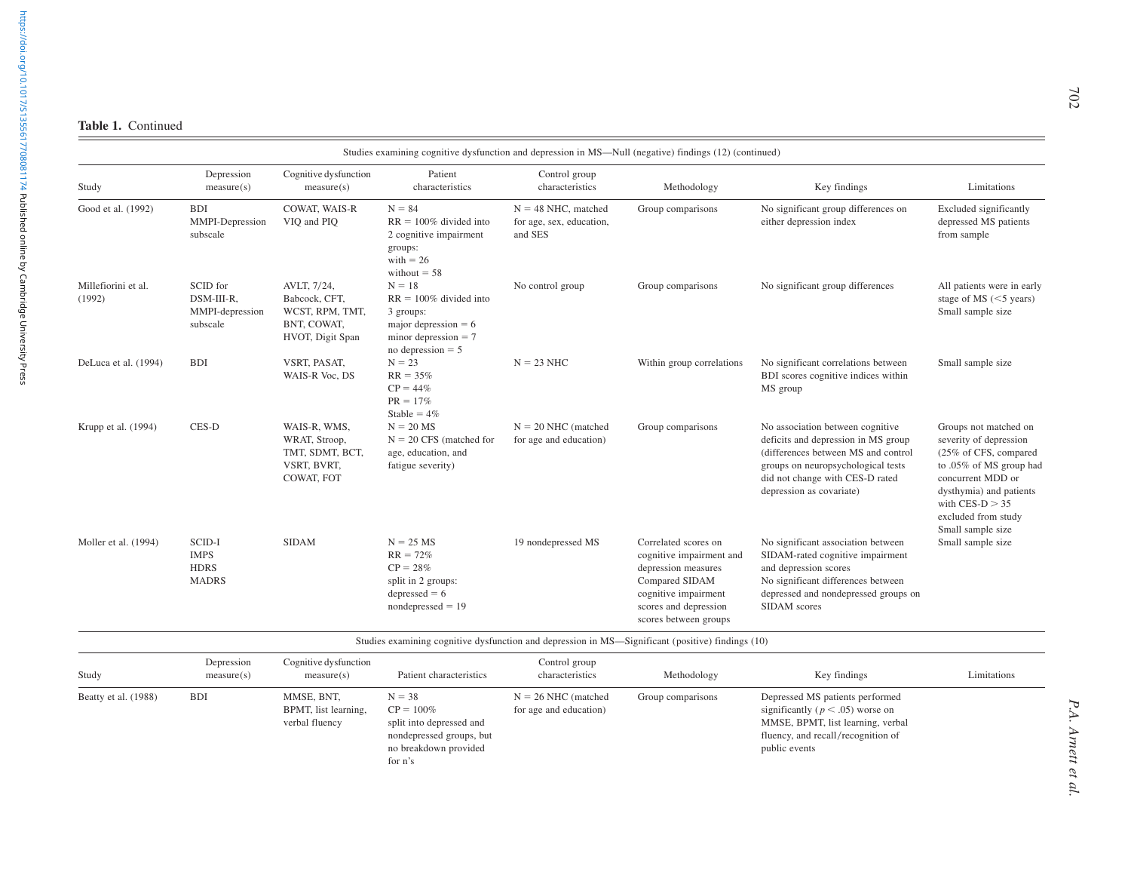#### **Table 1.** Continued

|                               |                                                       |                                                                                    |                                                                                                                               |                                                              | Studies examining cognitive dysfunction and depression in MS—Null (negative) findings (12) (continued)                                                              |                                                                                                                                                                                                                     |                                                                                                                                                                                                                      |
|-------------------------------|-------------------------------------------------------|------------------------------------------------------------------------------------|-------------------------------------------------------------------------------------------------------------------------------|--------------------------------------------------------------|---------------------------------------------------------------------------------------------------------------------------------------------------------------------|---------------------------------------------------------------------------------------------------------------------------------------------------------------------------------------------------------------------|----------------------------------------------------------------------------------------------------------------------------------------------------------------------------------------------------------------------|
| Study                         | Depression<br>measure(s)                              | Cognitive dysfunction<br>measure(s)                                                | Patient<br>characteristics                                                                                                    | Control group<br>characteristics                             | Methodology                                                                                                                                                         | Key findings                                                                                                                                                                                                        | Limitations                                                                                                                                                                                                          |
| Good et al. (1992)            | <b>BDI</b><br>MMPI-Depression<br>subscale             | COWAT, WAIS-R<br>VIQ and PIQ                                                       | $N = 84$<br>$RR = 100\%$ divided into<br>2 cognitive impairment<br>groups:<br>with $= 26$<br>without $= 58$                   | $N = 48$ NHC, matched<br>for age, sex, education,<br>and SES | Group comparisons                                                                                                                                                   | No significant group differences on<br>either depression index                                                                                                                                                      | Excluded significantly<br>depressed MS patients<br>from sample                                                                                                                                                       |
| Millefiorini et al.<br>(1992) | SCID for<br>DSM-III-R,<br>MMPI-depression<br>subscale | AVLT, 7/24,<br>Babcock, CFT,<br>WCST, RPM, TMT,<br>BNT, COWAT,<br>HVOT, Digit Span | $N = 18$<br>$RR = 100\%$ divided into<br>3 groups:<br>major depression $= 6$<br>minor depression $= 7$<br>no depression $= 5$ | No control group                                             | Group comparisons                                                                                                                                                   | No significant group differences                                                                                                                                                                                    | All patients were in early<br>stage of MS $(< 5$ years)<br>Small sample size                                                                                                                                         |
| DeLuca et al. (1994)          | <b>BDI</b>                                            | VSRT, PASAT,<br>WAIS-R Voc, DS                                                     | $N = 23$<br>$RR = 35%$<br>$CP = 44\%$<br>$PR = 17\%$<br>Stable = $4\%$                                                        | $N = 23$ NHC                                                 | Within group correlations                                                                                                                                           | No significant correlations between<br>BDI scores cognitive indices within<br>MS group                                                                                                                              | Small sample size                                                                                                                                                                                                    |
| Krupp et al. (1994)           | CES-D                                                 | WAIS-R, WMS,<br>WRAT, Stroop,<br>TMT, SDMT, BCT,<br>VSRT, BVRT,<br>COWAT, FOT      | $N = 20$ MS<br>$N = 20$ CFS (matched for<br>age, education, and<br>fatigue severity)                                          | $N = 20$ NHC (matched<br>for age and education)              | Group comparisons                                                                                                                                                   | No association between cognitive<br>deficits and depression in MS group<br>(differences between MS and control<br>groups on neuropsychological tests<br>did not change with CES-D rated<br>depression as covariate) | Groups not matched on<br>severity of depression<br>(25% of CFS, compared<br>to .05% of MS group had<br>concurrent MDD or<br>dysthymia) and patients<br>with $CES-D > 35$<br>excluded from study<br>Small sample size |
| Moller et al. (1994)          | SCID-I<br><b>IMPS</b><br><b>HDRS</b><br><b>MADRS</b>  | <b>SIDAM</b>                                                                       | $N = 25$ MS<br>$RR = 72%$<br>$CP = 28%$<br>split in 2 groups:<br>$depressed = 6$<br>$nondepressed = 19$                       | 19 nondepressed MS                                           | Correlated scores on<br>cognitive impairment and<br>depression measures<br>Compared SIDAM<br>cognitive impairment<br>scores and depression<br>scores between groups | No significant association between<br>SIDAM-rated cognitive impairment<br>and depression scores<br>No significant differences between<br>depressed and nondepressed groups on<br>SIDAM scores                       | Small sample size                                                                                                                                                                                                    |
|                               |                                                       |                                                                                    |                                                                                                                               |                                                              | Studies examining cognitive dysfunction and depression in MS—Significant (positive) findings (10)                                                                   |                                                                                                                                                                                                                     |                                                                                                                                                                                                                      |
| Study                         | Depression<br>measure(s)                              | Cognitive dysfunction<br>measure(s)                                                | Patient characteristics                                                                                                       | Control group<br>characteristics                             | Methodology                                                                                                                                                         | Key findings                                                                                                                                                                                                        | Limitations                                                                                                                                                                                                          |
| Beatty et al. (1988)          | <b>BDI</b>                                            | MMSE, BNT,<br>BPMT, list learning,<br>verbal fluency                               | $N = 38$<br>$CP = 100\%$<br>split into depressed and<br>nondepressed groups, but<br>no breakdown provided<br>for n's          | $N = 26$ NHC (matched<br>for age and education)              | Group comparisons                                                                                                                                                   | Depressed MS patients performed<br>significantly ( $p < .05$ ) worse on<br>MMSE, BPMT, list learning, verbal<br>fluency, and recall/recognition of<br>public events                                                 |                                                                                                                                                                                                                      |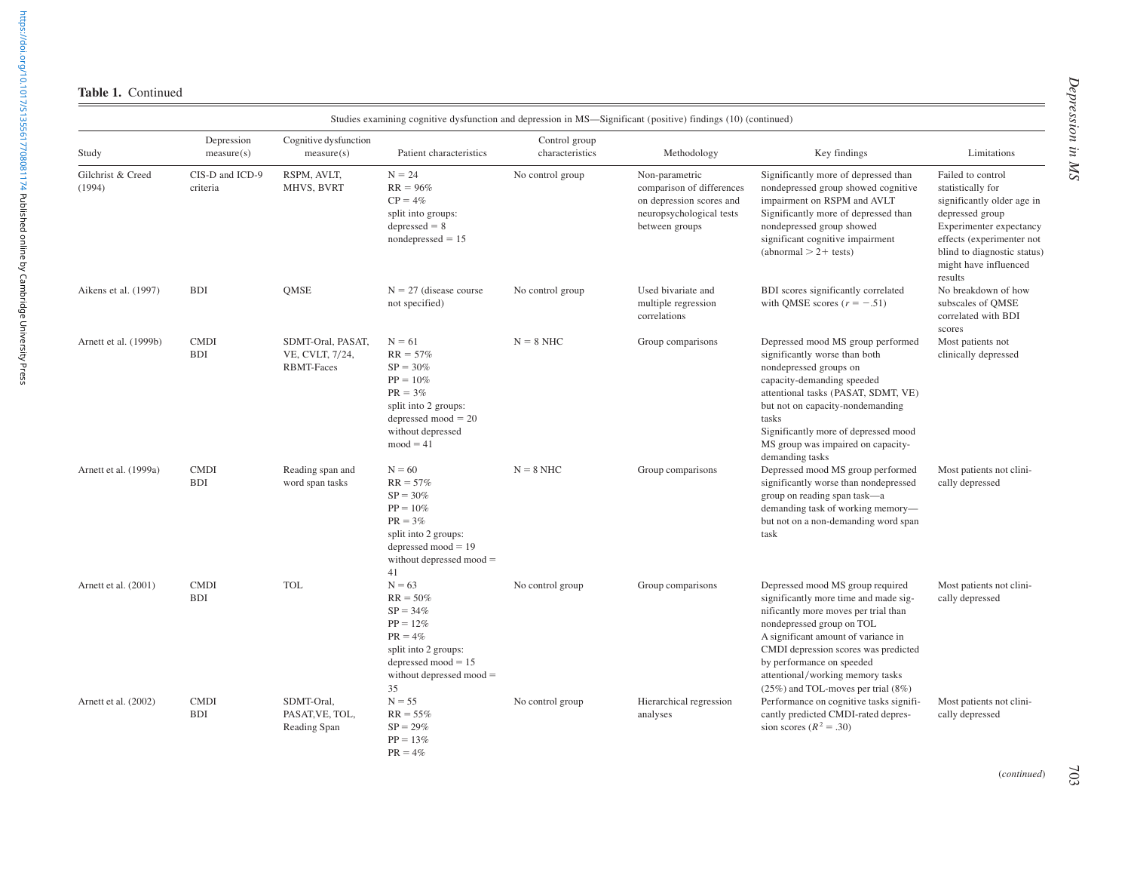|                             |                             |                                                           |                                                                                                                                                               |                                  | Studies examining cognitive dysfunction and depression in MS—Significant (positive) findings (10) (continued)         |                                                                                                                                                                                                                                                                                                                                            |                                                                                                                                                                                                                    |
|-----------------------------|-----------------------------|-----------------------------------------------------------|---------------------------------------------------------------------------------------------------------------------------------------------------------------|----------------------------------|-----------------------------------------------------------------------------------------------------------------------|--------------------------------------------------------------------------------------------------------------------------------------------------------------------------------------------------------------------------------------------------------------------------------------------------------------------------------------------|--------------------------------------------------------------------------------------------------------------------------------------------------------------------------------------------------------------------|
| Study                       | Depression<br>measure(s)    | Cognitive dysfunction<br>measure(s)                       | Patient characteristics                                                                                                                                       | Control group<br>characteristics | Methodology                                                                                                           | Key findings                                                                                                                                                                                                                                                                                                                               | Limitations                                                                                                                                                                                                        |
| Gilchrist & Creed<br>(1994) | CIS-D and ICD-9<br>criteria | RSPM, AVLT,<br>MHVS, BVRT                                 | $N = 24$<br>$RR = 96%$<br>$CP = 4\%$<br>split into groups:<br>$depressed = 8$<br>$nondepressed = 15$                                                          | No control group                 | Non-parametric<br>comparison of differences<br>on depression scores and<br>neuropsychological tests<br>between groups | Significantly more of depressed than<br>nondepressed group showed cognitive<br>impairment on RSPM and AVLT<br>Significantly more of depressed than<br>nondepressed group showed<br>significant cognitive impairment<br>$(abnormal > 2 + tests)$                                                                                            | Failed to control<br>statistically for<br>significantly older age in<br>depressed group<br>Experimenter expectancy<br>effects (experimenter not<br>blind to diagnostic status)<br>might have influenced<br>results |
| Aikens et al. (1997)        | <b>BDI</b>                  | OMSE                                                      | $N = 27$ (disease course<br>not specified)                                                                                                                    | No control group                 | Used bivariate and<br>multiple regression<br>correlations                                                             | BDI scores significantly correlated<br>with OMSE scores $(r = -.51)$                                                                                                                                                                                                                                                                       | No breakdown of how<br>subscales of OMSE<br>correlated with BDI<br>scores                                                                                                                                          |
| Arnett et al. (1999b)       | <b>CMDI</b><br><b>BDI</b>   | SDMT-Oral, PASAT,<br>VE, CVLT, 7/24,<br><b>RBMT-Faces</b> | $N = 61$<br>$RR = 57%$<br>$SP = 30\%$<br>$PP = 10\%$<br>$PR = 3\%$<br>split into 2 groups:<br>depressed mood $= 20$<br>without depressed<br>$\text{mod} = 41$ | $N = 8$ NHC                      | Group comparisons                                                                                                     | Depressed mood MS group performed<br>significantly worse than both<br>nondepressed groups on<br>capacity-demanding speeded<br>attentional tasks (PASAT, SDMT, VE)<br>but not on capacity-nondemanding<br>tasks<br>Significantly more of depressed mood<br>MS group was impaired on capacity-<br>demanding tasks                            | Most patients not<br>clinically depressed                                                                                                                                                                          |
| Arnett et al. (1999a)       | <b>CMDI</b><br><b>BDI</b>   | Reading span and<br>word span tasks                       | $N = 60$<br>$RR = 57%$<br>$SP = 30%$<br>$PP = 10\%$<br>$PR = 3%$<br>split into 2 groups:<br>depressed mood $= 19$<br>without depressed mood =<br>41           | $N = 8$ NHC                      | Group comparisons                                                                                                     | Depressed mood MS group performed<br>significantly worse than nondepressed<br>group on reading span task-a<br>demanding task of working memory-<br>but not on a non-demanding word span<br>task                                                                                                                                            | Most patients not clini-<br>cally depressed                                                                                                                                                                        |
| Arnett et al. (2001)        | <b>CMDI</b><br><b>BDI</b>   | <b>TOL</b>                                                | $N = 63$<br>$RR = 50%$<br>$SP = 34%$<br>$PP = 12%$<br>$PR = 4\%$<br>split into 2 groups:<br>depressed mood $= 15$<br>without depressed mood $=$<br>35         | No control group                 | Group comparisons                                                                                                     | Depressed mood MS group required<br>significantly more time and made sig-<br>nificantly more moves per trial than<br>nondepressed group on TOL<br>A significant amount of variance in<br>CMDI depression scores was predicted<br>by performance on speeded<br>attentional/working memory tasks<br>$(25\%)$ and TOL-moves per trial $(8\%)$ | Most patients not clini-<br>cally depressed                                                                                                                                                                        |
| Arnett et al. (2002)        | <b>CMDI</b><br><b>BDI</b>   | SDMT-Oral.<br>PASAT, VE, TOL,<br>Reading Span             | $N = 55$<br>$RR = 55%$<br>$SP = 29\%$<br>$PP = 13\%$<br>$PR = 4\%$                                                                                            | No control group                 | Hierarchical regression<br>analyses                                                                                   | Performance on cognitive tasks signifi-<br>cantly predicted CMDI-rated depres-<br>sion scores ( $R^2 = .30$ )                                                                                                                                                                                                                              | Most patients not clini-<br>cally depressed                                                                                                                                                                        |

703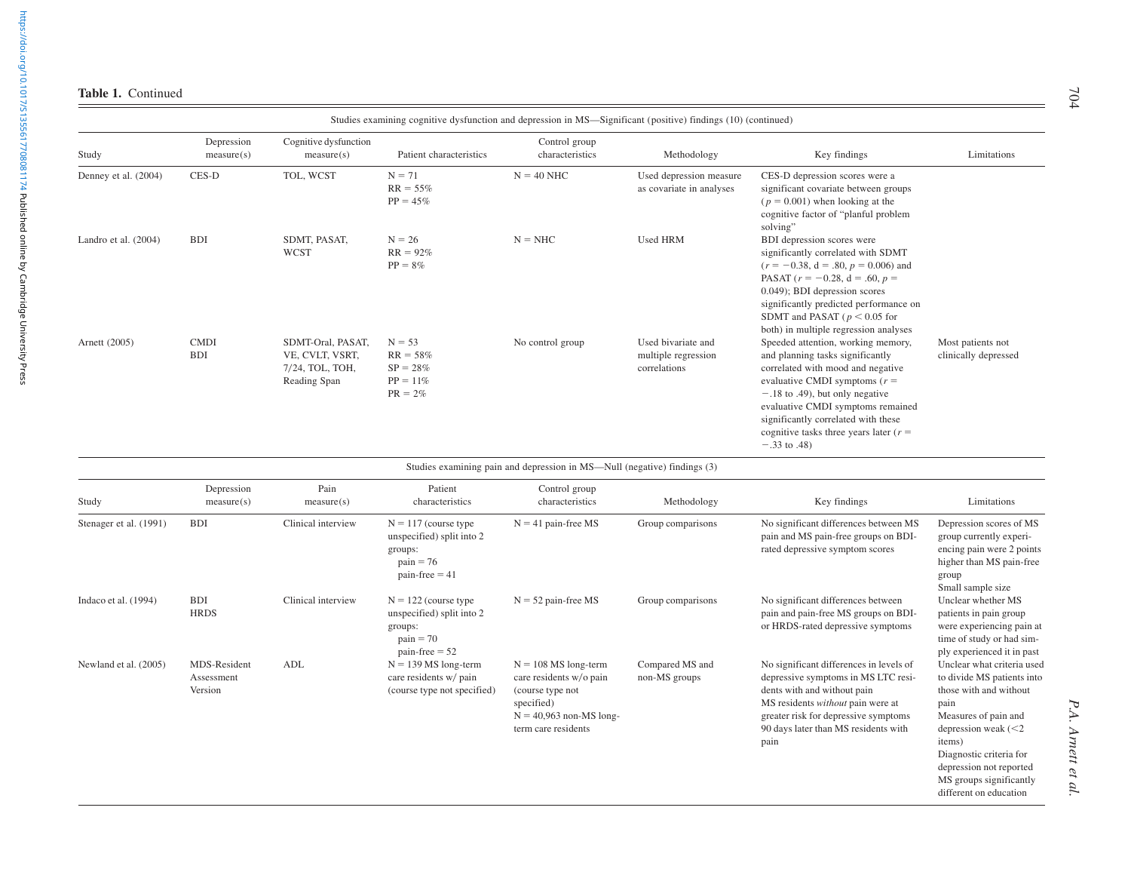#### **Table 1.** Continued  $\frac{1}{2}$

|                      |                           |                                                                         |                                                                    |                                  | Studies examining cognitive dysfunction and depression in MS—Significant (positive) findings (10) (continued) |                                                                                                                                                                                                                                                                                                                                    |                                           |
|----------------------|---------------------------|-------------------------------------------------------------------------|--------------------------------------------------------------------|----------------------------------|---------------------------------------------------------------------------------------------------------------|------------------------------------------------------------------------------------------------------------------------------------------------------------------------------------------------------------------------------------------------------------------------------------------------------------------------------------|-------------------------------------------|
| Study                | Depression<br>measure(s)  | Cognitive dysfunction<br>measure(s)                                     | Patient characteristics                                            | Control group<br>characteristics | Methodology                                                                                                   | Key findings                                                                                                                                                                                                                                                                                                                       | Limitations                               |
| Denney et al. (2004) | CES-D                     | TOL, WCST                                                               | $N = 71$<br>$RR = 55%$<br>$PP = 45%$                               | $N = 40$ NHC                     | Used depression measure<br>as covariate in analyses                                                           | CES-D depression scores were a<br>significant covariate between groups<br>$(p = 0.001)$ when looking at the<br>cognitive factor of "planful problem<br>solving"                                                                                                                                                                    |                                           |
| Landro et al. (2004) | <b>BDI</b>                | SDMT, PASAT,<br><b>WCST</b>                                             | $N = 26$<br>$RR = 92%$<br>$PP = 8\%$                               | $N = NHC$                        | <b>Used HRM</b>                                                                                               | BDI depression scores were<br>significantly correlated with SDMT<br>$(r = -0.38, d = .80, p = 0.006)$ and<br>PASAT $(r = -0.28, d = .60, p =$<br>0.049); BDI depression scores<br>significantly predicted performance on<br>SDMT and PASAT ( $p < 0.05$ for<br>both) in multiple regression analyses                               |                                           |
| Arnett (2005)        | <b>CMDI</b><br><b>BDI</b> | SDMT-Oral, PASAT,<br>VE, CVLT, VSRT,<br>7/24, TOL, TOH,<br>Reading Span | $N = 53$<br>$RR = 58%$<br>$SP = 28\%$<br>$PP = 11\%$<br>$PR = 2\%$ | No control group                 | Used bivariate and<br>multiple regression<br>correlations                                                     | Speeded attention, working memory,<br>and planning tasks significantly<br>correlated with mood and negative<br>evaluative CMDI symptoms ( $r =$<br>$-.18$ to .49), but only negative<br>evaluative CMDI symptoms remained<br>significantly correlated with these<br>cognitive tasks three years later ( $r =$<br>$-.33$ to $.48$ ) | Most patients not<br>clinically depressed |

|                        |                                       |                    |                                                                                                    | Studies examining pain and depression in MS—Null (negative) findings (3)                                                                |                                  |                                                                                                                                                                                                                                            |                                                                                                                                                                                                                                         |
|------------------------|---------------------------------------|--------------------|----------------------------------------------------------------------------------------------------|-----------------------------------------------------------------------------------------------------------------------------------------|----------------------------------|--------------------------------------------------------------------------------------------------------------------------------------------------------------------------------------------------------------------------------------------|-----------------------------------------------------------------------------------------------------------------------------------------------------------------------------------------------------------------------------------------|
| Study                  | Depression<br>measure(s)              | Pain<br>measure(s) | Patient<br>characteristics                                                                         | Control group<br>characteristics                                                                                                        | Methodology                      | Key findings                                                                                                                                                                                                                               | Limitations                                                                                                                                                                                                                             |
| Stenager et al. (1991) | <b>BDI</b>                            | Clinical interview | $N = 117$ (course type)<br>unspecified) split into 2<br>groups:<br>$pain = 76$<br>$pain-free = 41$ | $N = 41$ pain-free MS                                                                                                                   | Group comparisons                | No significant differences between MS<br>pain and MS pain-free groups on BDI-<br>rated depressive symptom scores                                                                                                                           | Depression scores of MS<br>group currently experi-<br>encing pain were 2 points<br>higher than MS pain-free<br>group<br>Small sample size                                                                                               |
| Indaco et al. (1994)   | <b>BDI</b><br><b>HRDS</b>             | Clinical interview | $N = 122$ (course type)<br>unspecified) split into 2<br>groups:<br>$pain = 70$<br>$pain-free = 52$ | $N = 52$ pain-free MS                                                                                                                   | Group comparisons                | No significant differences between<br>pain and pain-free MS groups on BDI-<br>or HRDS-rated depressive symptoms                                                                                                                            | Unclear whether MS<br>patients in pain group<br>were experiencing pain at<br>time of study or had sim-<br>ply experienced it in past                                                                                                    |
| Newland et al. (2005)  | MDS-Resident<br>Assessment<br>Version | ADL                | $N = 139$ MS long-term<br>care residents w/ pain<br>(course type not specified)                    | $N = 108$ MS long-term<br>care residents w/o pain<br>(course type not<br>specified)<br>$N = 40,963$ non-MS long-<br>term care residents | Compared MS and<br>non-MS groups | No significant differences in levels of<br>depressive symptoms in MS LTC resi-<br>dents with and without pain<br>MS residents without pain were at<br>greater risk for depressive symptoms<br>90 days later than MS residents with<br>pain | Unclear what criteria used<br>to divide MS patients into<br>those with and without<br>pain<br>Measures of pain and<br>depression weak $(< 2$<br>items)<br>Diagnostic criteria for<br>depression not reported<br>MS groups significantly |

704

different on education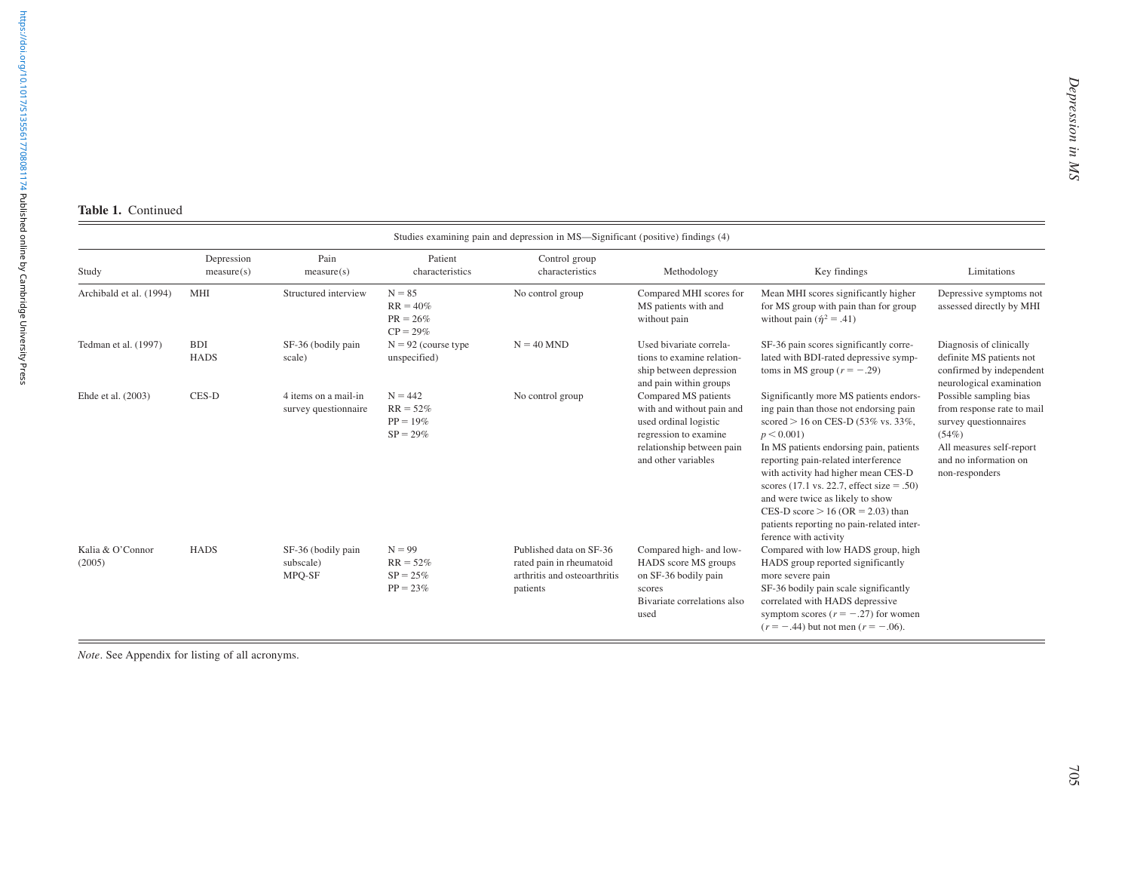https://doi.org/10.1017/S1355617708081174 Published online by Cambridge University Press <https://doi.org/10.1017/S1355617708081174>Published online by Cambridge University Press

# **Table 1.** Continued

|                            | Studies examining pain and depression in MS—Significant (positive) findings (4) |                                              |                                                       |                                                                                                 |                                                                                                                                                         |                                                                                                                                                                                                                                                                                                                                                                                                                                                                                 |                                                                                                                                                               |  |  |
|----------------------------|---------------------------------------------------------------------------------|----------------------------------------------|-------------------------------------------------------|-------------------------------------------------------------------------------------------------|---------------------------------------------------------------------------------------------------------------------------------------------------------|---------------------------------------------------------------------------------------------------------------------------------------------------------------------------------------------------------------------------------------------------------------------------------------------------------------------------------------------------------------------------------------------------------------------------------------------------------------------------------|---------------------------------------------------------------------------------------------------------------------------------------------------------------|--|--|
| Study                      | Depression<br>measure(s)                                                        | Pain<br>measure(s)                           | Patient<br>characteristics                            | Control group<br>characteristics                                                                | Methodology                                                                                                                                             | Key findings                                                                                                                                                                                                                                                                                                                                                                                                                                                                    | Limitations                                                                                                                                                   |  |  |
| Archibald et al. (1994)    | MHI                                                                             | Structured interview                         | $N = 85$<br>$RR = 40%$<br>$PR = 26%$<br>$CP = 29\%$   | No control group                                                                                | Compared MHI scores for<br>MS patients with and<br>without pain                                                                                         | Mean MHI scores significantly higher<br>for MS group with pain than for group<br>without pain $(\hat{\eta}^2 = .41)$                                                                                                                                                                                                                                                                                                                                                            | Depressive symptoms not<br>assessed directly by MHI                                                                                                           |  |  |
| Tedman et al. (1997)       | <b>BDI</b><br><b>HADS</b>                                                       | SF-36 (bodily pain<br>scale)                 | $N = 92$ (course type<br>unspecified)                 | $N = 40$ MND                                                                                    | Used bivariate correla-<br>tions to examine relation-<br>ship between depression<br>and pain within groups                                              | SF-36 pain scores significantly corre-<br>lated with BDI-rated depressive symp-<br>toms in MS group ( $r = -.29$ )                                                                                                                                                                                                                                                                                                                                                              | Diagnosis of clinically<br>definite MS patients not<br>confirmed by independent<br>neurological examination                                                   |  |  |
| Ehde et al. (2003)         | CES-D                                                                           | 4 items on a mail-in<br>survey questionnaire | $N = 442$<br>$RR = 52%$<br>$PP = 19\%$<br>$SP = 29\%$ | No control group                                                                                | Compared MS patients<br>with and without pain and<br>used ordinal logistic<br>regression to examine<br>relationship between pain<br>and other variables | Significantly more MS patients endors-<br>ing pain than those not endorsing pain<br>scored $> 16$ on CES-D (53% vs. 33%,<br>p < 0.001<br>In MS patients endorsing pain, patients<br>reporting pain-related interference<br>with activity had higher mean CES-D<br>scores $(17.1 \text{ vs. } 22.7, \text{ effect size} = .50)$<br>and were twice as likely to show<br>CES-D score $> 16$ (OR = 2.03) than<br>patients reporting no pain-related inter-<br>ference with activity | Possible sampling bias<br>from response rate to mail<br>survey questionnaires<br>(54%)<br>All measures self-report<br>and no information on<br>non-responders |  |  |
| Kalia & O'Connor<br>(2005) | <b>HADS</b>                                                                     | SF-36 (bodily pain<br>subscale)<br>MPQ-SF    | $N = 99$<br>$RR = 52%$<br>$SP = 25%$<br>$PP = 23%$    | Published data on SF-36<br>rated pain in rheumatoid<br>arthritis and osteoarthritis<br>patients | Compared high- and low-<br>HADS score MS groups<br>on SF-36 bodily pain<br>scores<br>Bivariate correlations also<br>used                                | Compared with low HADS group, high<br>HADS group reported significantly<br>more severe pain<br>SF-36 bodily pain scale significantly<br>correlated with HADS depressive<br>symptom scores ( $r = -.27$ ) for women<br>$(r = -.44)$ but not men $(r = -.06)$ .                                                                                                                                                                                                                   |                                                                                                                                                               |  |  |

*Note*. See Appendix for listing of all acronyms.

 $=$ 

÷,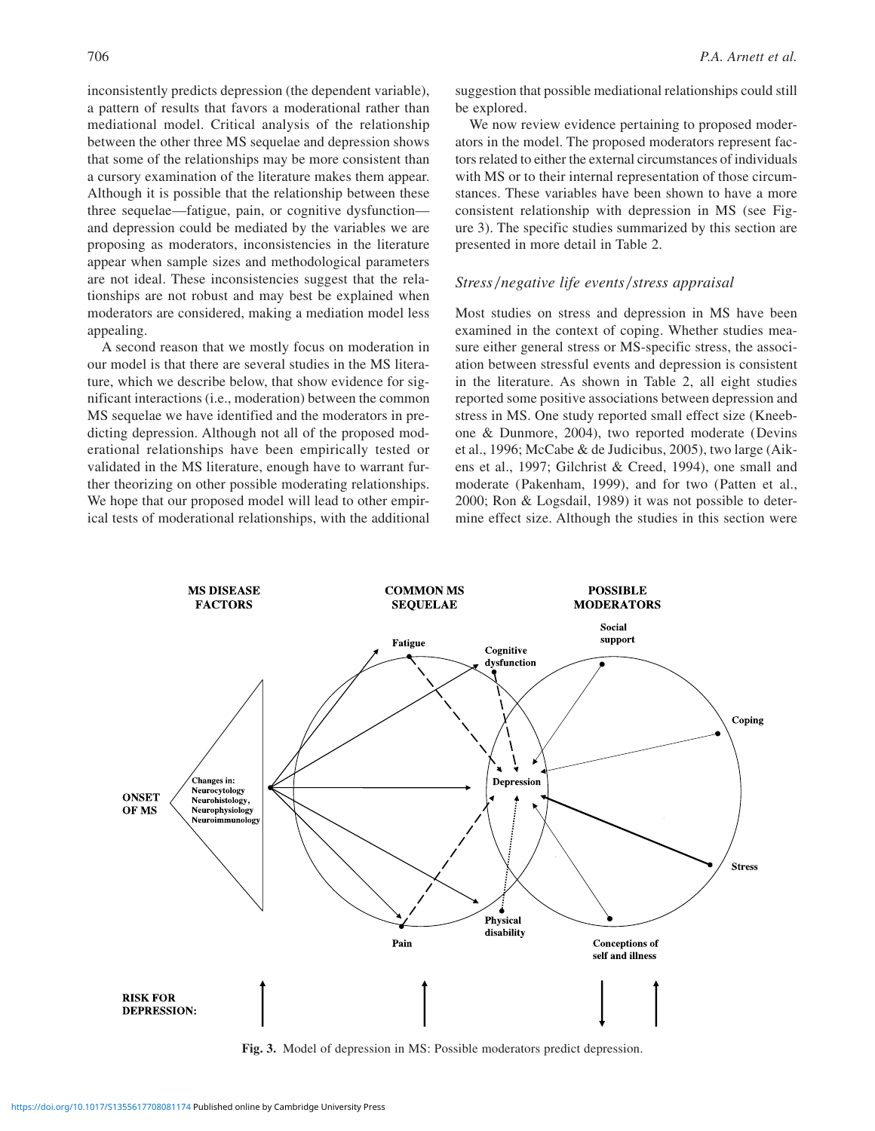inconsistently predicts depression (the dependent variable), a pattern of results that favors a moderational rather than mediational model. Critical analysis of the relationship between the other three MS sequelae and depression shows that some of the relationships may be more consistent than a cursory examination of the literature makes them appear. Although it is possible that the relationship between these three sequelae—fatigue, pain, or cognitive dysfunction and depression could be mediated by the variables we are proposing as moderators, inconsistencies in the literature appear when sample sizes and methodological parameters are not ideal. These inconsistencies suggest that the relationships are not robust and may best be explained when moderators are considered, making a mediation model less appealing.

A second reason that we mostly focus on moderation in our model is that there are several studies in the MS literature, which we describe below, that show evidence for significant interactions (i.e., moderation) between the common MS sequelae we have identified and the moderators in predicting depression. Although not all of the proposed moderational relationships have been empirically tested or validated in the MS literature, enough have to warrant further theorizing on other possible moderating relationships. We hope that our proposed model will lead to other empirical tests of moderational relationships, with the additional suggestion that possible mediational relationships could still be explored.

We now review evidence pertaining to proposed moderators in the model. The proposed moderators represent factors related to either the external circumstances of individuals with MS or to their internal representation of those circumstances. These variables have been shown to have a more consistent relationship with depression in MS (see Figure 3). The specific studies summarized by this section are presented in more detail in Table 2.

# *Stress*/negative life events/stress appraisal

Most studies on stress and depression in MS have been examined in the context of coping. Whether studies measure either general stress or MS-specific stress, the association between stressful events and depression is consistent in the literature. As shown in Table 2, all eight studies reported some positive associations between depression and stress in MS. One study reported small effect size (Kneebone & Dunmore, 2004), two reported moderate (Devins et al., 1996; McCabe & de Judicibus, 2005), two large (Aikens et al., 1997; Gilchrist & Creed, 1994), one small and moderate (Pakenham, 1999), and for two (Patten et al., 2000; Ron & Logsdail, 1989) it was not possible to determine effect size. Although the studies in this section were



**Fig. 3.** Model of depression in MS: Possible moderators predict depression.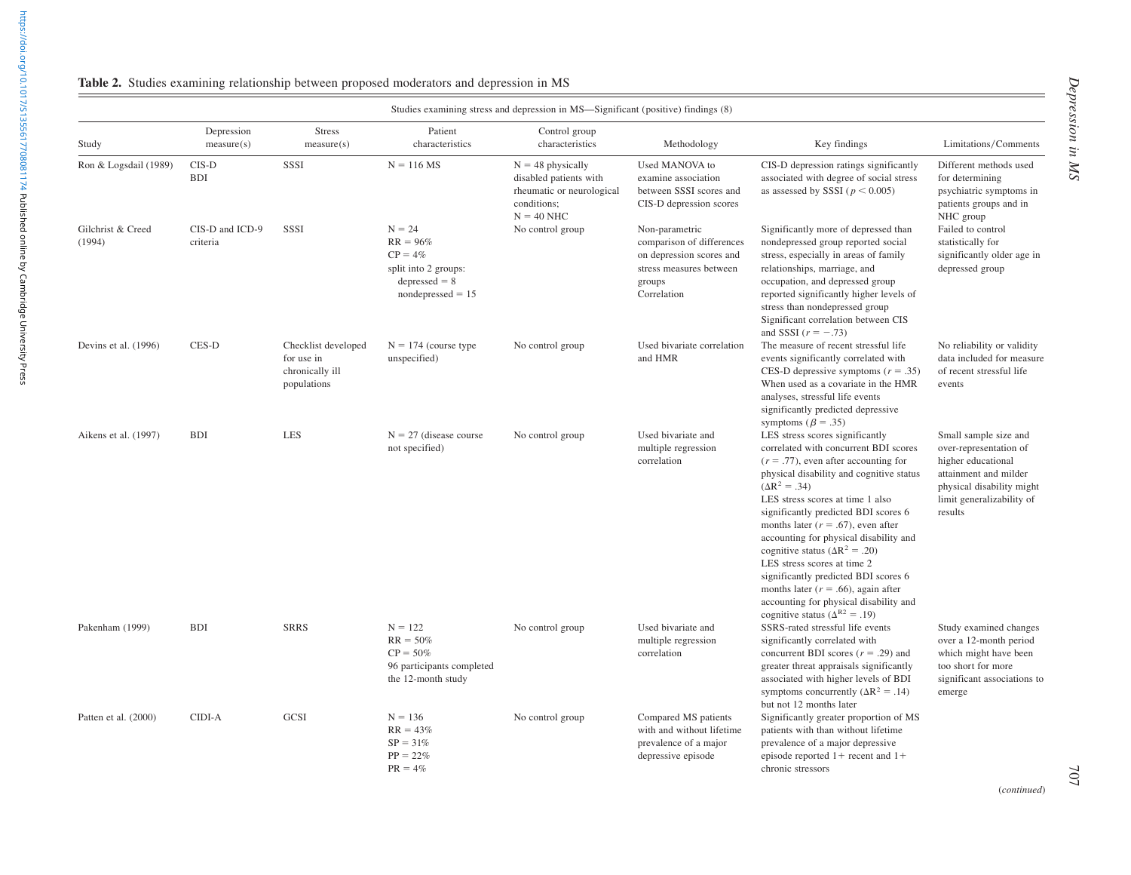| Depression<br>measure(s)    | <b>Stress</b><br>measure(s)                                         | Patient<br>characteristics                                                                             | Control group<br>characteristics                                                                          | Methodology                                                                                                               |
|-----------------------------|---------------------------------------------------------------------|--------------------------------------------------------------------------------------------------------|-----------------------------------------------------------------------------------------------------------|---------------------------------------------------------------------------------------------------------------------------|
| $CIS-D$<br><b>BDI</b>       | <b>SSSI</b>                                                         | $N = 116$ MS                                                                                           | $N = 48$ physically<br>disabled patients with<br>rheumatic or neurological<br>conditions;<br>$N = 40$ NHC | Used MANOVA to<br>examine association<br>between SSSI scores and<br>CIS-D depression scores                               |
| CIS-D and ICD-9<br>criteria | <b>SSSI</b>                                                         | $N = 24$<br>$RR = 96%$<br>$CP = 4\%$<br>split into 2 groups:<br>$depressed = 8$<br>$nondepressed = 15$ | No control group                                                                                          | Non-parametric<br>comparison of differenc<br>on depression scores and<br>stress measures between<br>groups<br>Correlation |
| CES-D                       | Checklist developed<br>for use in<br>chronically ill<br>populations | $N = 174$ (course type<br>unspecified)                                                                 | No control group                                                                                          | Used bivariate correlatio<br>and HMR                                                                                      |
| <b>BDI</b>                  | <b>LES</b>                                                          | $N = 27$ (disease course<br>not specified)                                                             | No control group                                                                                          | Used bivariate and<br>multiple regression<br>correlation                                                                  |

#### **Table 2.** Studies examining relationship between proposed moderators and depression in MS

https://doi.org/10.1017/S1355617708081174 Published online by Cambridge University Press <https://doi.org/10.1017/S1355617708081174>Published online by Cambridge University Press

 $\overline{\phantom{a}}$ 

and a

| Study                       | measure(s)                  | measure(s)                                                          | characteristics                                                                                        | <u>5</u><br>characteristics                                                                               | Methodology                                                                                                                 | Key findings                                                                                                                                                                                                                                                                                                                                                                                                                                                                                                                                                                                               | Limitations/Comments                                                                                                                                                |
|-----------------------------|-----------------------------|---------------------------------------------------------------------|--------------------------------------------------------------------------------------------------------|-----------------------------------------------------------------------------------------------------------|-----------------------------------------------------------------------------------------------------------------------------|------------------------------------------------------------------------------------------------------------------------------------------------------------------------------------------------------------------------------------------------------------------------------------------------------------------------------------------------------------------------------------------------------------------------------------------------------------------------------------------------------------------------------------------------------------------------------------------------------------|---------------------------------------------------------------------------------------------------------------------------------------------------------------------|
| Ron & Logsdail (1989)       | CIS-D<br><b>BDI</b>         | SSSI                                                                | $N = 116$ MS                                                                                           | $N = 48$ physically<br>disabled patients with<br>rheumatic or neurological<br>conditions;<br>$N = 40$ NHC | Used MANOVA to<br>examine association<br>between SSSI scores and<br>CIS-D depression scores                                 | CIS-D depression ratings significantly<br>associated with degree of social stress<br>as assessed by SSSI ( $p < 0.005$ )                                                                                                                                                                                                                                                                                                                                                                                                                                                                                   | Different methods used<br>for determining<br>psychiatric symptoms in<br>patients groups and in<br>NHC group                                                         |
| Gilchrist & Creed<br>(1994) | CIS-D and ICD-9<br>criteria | SSSI                                                                | $N = 24$<br>$RR = 96%$<br>$CP = 4\%$<br>split into 2 groups:<br>$depressed = 8$<br>$nondepressed = 15$ | No control group                                                                                          | Non-parametric<br>comparison of differences<br>on depression scores and<br>stress measures between<br>groups<br>Correlation | Significantly more of depressed than<br>nondepressed group reported social<br>stress, especially in areas of family<br>relationships, marriage, and<br>occupation, and depressed group<br>reported significantly higher levels of<br>stress than nondepressed group<br>Significant correlation between CIS<br>and SSSI $(r = -.73)$                                                                                                                                                                                                                                                                        | Failed to control<br>statistically for<br>significantly older age in<br>depressed group                                                                             |
| Devins et al. (1996)        | CES-D                       | Checklist developed<br>for use in<br>chronically ill<br>populations | $N = 174$ (course type)<br>unspecified)                                                                | No control group                                                                                          | Used bivariate correlation<br>and HMR                                                                                       | The measure of recent stressful life<br>events significantly correlated with<br>CES-D depressive symptoms ( $r = .35$ )<br>When used as a covariate in the HMR<br>analyses, stressful life events<br>significantly predicted depressive<br>symptoms ( $\beta$ = .35)                                                                                                                                                                                                                                                                                                                                       | No reliability or validity<br>data included for measure<br>of recent stressful life<br>events                                                                       |
| Aikens et al. (1997)        | <b>BDI</b>                  | LES                                                                 | $N = 27$ (disease course<br>not specified)                                                             | No control group                                                                                          | Used bivariate and<br>multiple regression<br>correlation                                                                    | LES stress scores significantly<br>correlated with concurrent BDI scores<br>$(r = .77)$ , even after accounting for<br>physical disability and cognitive status<br>$(\Delta R^2 = .34)$<br>LES stress scores at time 1 also<br>significantly predicted BDI scores 6<br>months later ( $r = .67$ ), even after<br>accounting for physical disability and<br>cognitive status ( $\Delta R^2 = .20$ )<br>LES stress scores at time 2<br>significantly predicted BDI scores 6<br>months later ( $r = .66$ ), again after<br>accounting for physical disability and<br>cognitive status ( $\Delta^{R2} = .19$ ) | Small sample size and<br>over-representation of<br>higher educational<br>attainment and milder<br>physical disability might<br>limit generalizability of<br>results |
| Pakenham (1999)             | <b>BDI</b>                  | <b>SRRS</b>                                                         | $N = 122$<br>$RR = 50%$<br>$CP = 50%$<br>96 participants completed<br>the 12-month study               | No control group                                                                                          | Used bivariate and<br>multiple regression<br>correlation                                                                    | SSRS-rated stressful life events<br>significantly correlated with<br>concurrent BDI scores ( $r = .29$ ) and<br>greater threat appraisals significantly<br>associated with higher levels of BDI<br>symptoms concurrently ( $\Delta R^2 = .14$ )<br>but not 12 months later                                                                                                                                                                                                                                                                                                                                 | Study examined changes<br>over a 12-month period<br>which might have been<br>too short for more<br>significant associations to<br>emerge                            |
| Patten et al. (2000)        | CIDI-A                      | GCSI                                                                | $N = 136$<br>$RR = 43%$<br>$SP = 31%$<br>$PP = 22%$<br>$PR = 4\%$                                      | No control group                                                                                          | Compared MS patients<br>with and without lifetime<br>prevalence of a major<br>depressive episode                            | Significantly greater proportion of MS<br>patients with than without lifetime<br>prevalence of a major depressive<br>episode reported $1+$ recent and $1+$<br>chronic stressors                                                                                                                                                                                                                                                                                                                                                                                                                            | $\ell$ and $\ell$                                                                                                                                                   |

707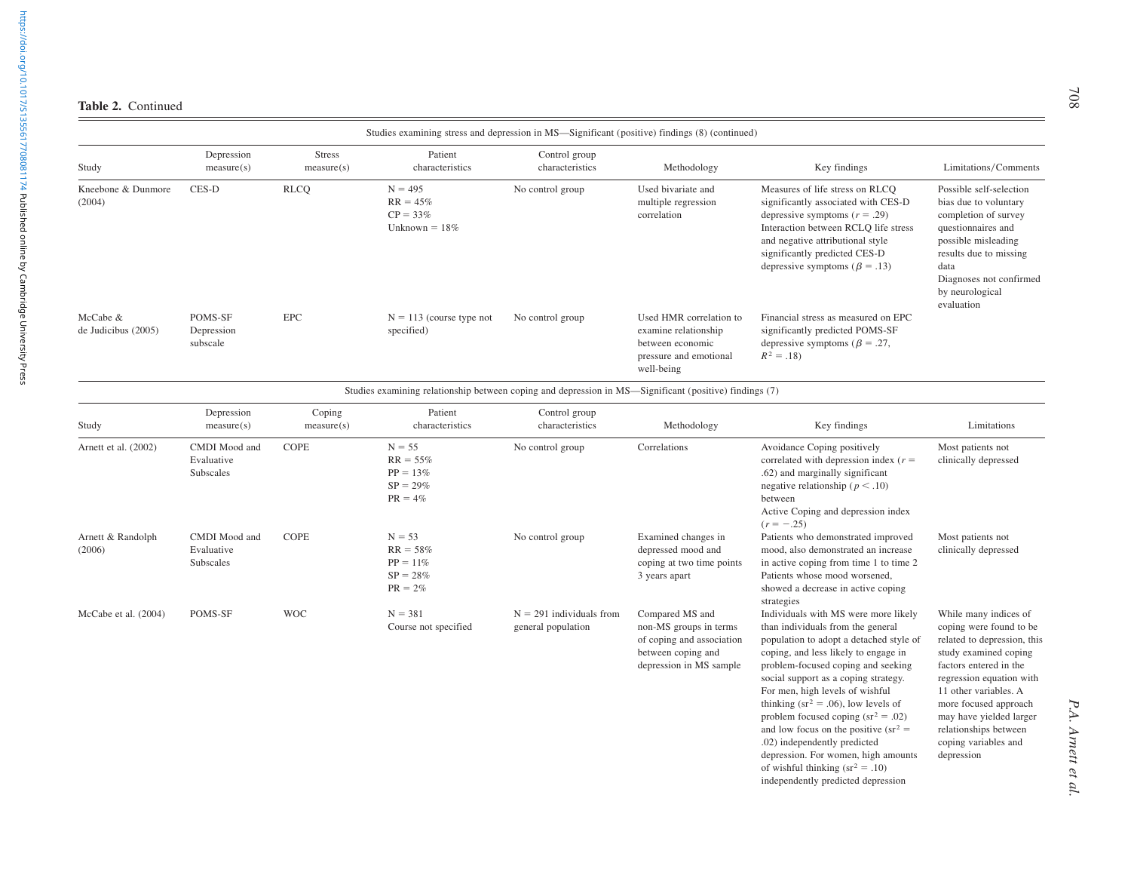#### **Table 2.** Continued $\overline{\phantom{a}}$

|                                 |                                          |                             | Studies examining stress and depression in MS—Significant (positive) findings (8) (continued)          |                                                  |                                                                                                                         |                                                                                                                                                                                                                                                                                                                                                                    |                                                                                                                                                                                                                                             |
|---------------------------------|------------------------------------------|-----------------------------|--------------------------------------------------------------------------------------------------------|--------------------------------------------------|-------------------------------------------------------------------------------------------------------------------------|--------------------------------------------------------------------------------------------------------------------------------------------------------------------------------------------------------------------------------------------------------------------------------------------------------------------------------------------------------------------|---------------------------------------------------------------------------------------------------------------------------------------------------------------------------------------------------------------------------------------------|
| Study                           | Depression<br>measure(s)                 | <b>Stress</b><br>measure(s) | Patient<br>characteristics                                                                             | Control group<br>characteristics                 | Methodology                                                                                                             | Key findings                                                                                                                                                                                                                                                                                                                                                       | Limitations/Comments                                                                                                                                                                                                                        |
| Kneebone & Dunmore<br>(2004)    | CES-D                                    | <b>RLCQ</b>                 | $N = 495$<br>$RR = 45%$<br>$CP = 33%$<br>Unknown = $18\%$                                              | No control group                                 | Used bivariate and<br>multiple regression<br>correlation                                                                | Measures of life stress on RLCQ<br>significantly associated with CES-D<br>depressive symptoms $(r=.29)$<br>Interaction between RCLO life stress<br>and negative attributional style<br>significantly predicted CES-D<br>depressive symptoms ( $\beta$ = .13)                                                                                                       | Possible self-selection<br>bias due to voluntary<br>completion of survey<br>questionnaires and<br>possible misleading<br>results due to missing<br>data<br>Diagnoses not confirmed<br>by neurological<br>evaluation                         |
| McCabe &<br>de Judicibus (2005) | POMS-SF<br>Depression<br>subscale        | <b>EPC</b>                  | $N = 113$ (course type not<br>specified)                                                               | No control group                                 | Used HMR correlation to<br>examine relationship<br>between economic<br>pressure and emotional<br>well-being             | Financial stress as measured on EPC<br>significantly predicted POMS-SF<br>depressive symptoms ( $\beta$ = .27,<br>$R^2 = .18$                                                                                                                                                                                                                                      |                                                                                                                                                                                                                                             |
|                                 |                                          |                             | Studies examining relationship between coping and depression in MS—Significant (positive) findings (7) |                                                  |                                                                                                                         |                                                                                                                                                                                                                                                                                                                                                                    |                                                                                                                                                                                                                                             |
| Study                           | Depression<br>measure(s)                 | Coping<br>measure(s)        | Patient<br>characteristics                                                                             | Control group<br>characteristics                 | Methodology                                                                                                             | Key findings                                                                                                                                                                                                                                                                                                                                                       | Limitations                                                                                                                                                                                                                                 |
| Arnett et al. (2002)            | CMDI Mood and<br>Evaluative<br>Subscales | <b>COPE</b>                 | $N = 55$<br>$RR = 55%$<br>$PP = 13%$<br>$SP = 29\%$<br>$PR = 4\%$                                      | No control group                                 | Correlations                                                                                                            | Avoidance Coping positively<br>correlated with depression index $(r =$<br>.62) and marginally significant<br>negative relationship ( $p < .10$ )<br>between<br>Active Coping and depression index<br>$(r = -.25)$                                                                                                                                                  | Most patients not<br>clinically depressed                                                                                                                                                                                                   |
| Arnett & Randolph<br>(2006)     | CMDI Mood and<br>Evaluative<br>Subscales | <b>COPE</b>                 | $N = 53$<br>$RR = 58%$<br>$PP = 11\%$<br>$SP = 28%$<br>$PR = 2\%$                                      | No control group                                 | Examined changes in<br>depressed mood and<br>coping at two time points<br>3 years apart                                 | Patients who demonstrated improved<br>mood, also demonstrated an increase<br>in active coping from time 1 to time 2<br>Patients whose mood worsened,<br>showed a decrease in active coping<br>strategies                                                                                                                                                           | Most patients not<br>clinically depressed                                                                                                                                                                                                   |
| McCabe et al. (2004)            | POMS-SF                                  | <b>WOC</b>                  | $N = 381$<br>Course not specified                                                                      | $N = 291$ individuals from<br>general population | Compared MS and<br>non-MS groups in terms<br>of coping and association<br>between coping and<br>depression in MS sample | Individuals with MS were more likely<br>than individuals from the general<br>population to adopt a detached style of<br>coping, and less likely to engage in<br>problem-focused coping and seeking<br>social support as a coping strategy.<br>For men, high levels of wishful<br>thinking ( $sr^2 = .06$ ), low levels of<br>problem focused coping $(sr^2 = .02)$ | While many indices of<br>coping were found to be<br>related to depression, this<br>study examined coping<br>factors entered in the<br>regression equation with<br>11 other variables. A<br>more focused approach<br>may have yielded larger |

708

relationships between coping variables and depression

and low focus on the positive  $(sr^2 =$ .02) independently predicted depression. For women, high amounts of wishful thinking  $(sr^2 = .10)$ independently predicted depression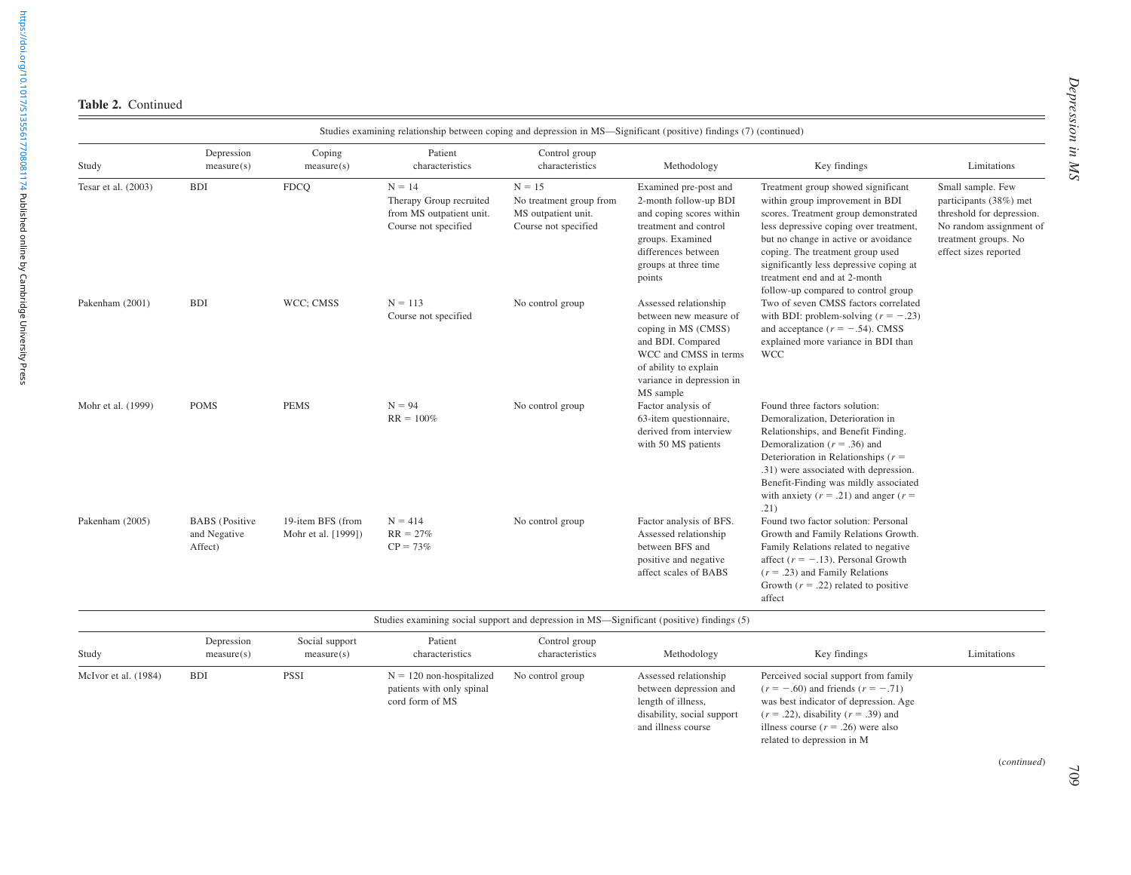https://doi.org/10.1017/S1355617708081174 Published online by Cambridge University Press <https://doi.org/10.1017/S1355617708081174>Published online by Cambridge University Press

| Study                | Depression<br>measure(s)                         | Coping<br>measure(s)                     | Patient<br>characteristics                                                                | Control group<br>characteristics                                                   | Methodology                                                                                                                                                                             | Key findings                                                                                                                                                                                                                                                                                                                                          | Limitations                                                                                                                                          |
|----------------------|--------------------------------------------------|------------------------------------------|-------------------------------------------------------------------------------------------|------------------------------------------------------------------------------------|-----------------------------------------------------------------------------------------------------------------------------------------------------------------------------------------|-------------------------------------------------------------------------------------------------------------------------------------------------------------------------------------------------------------------------------------------------------------------------------------------------------------------------------------------------------|------------------------------------------------------------------------------------------------------------------------------------------------------|
| Tesar et al. (2003)  | <b>BDI</b>                                       | <b>FDCQ</b>                              | $N = 14$<br>Therapy Group recruited<br>from MS outpatient unit.<br>Course not specified   | $N = 15$<br>No treatment group from<br>MS outpatient unit.<br>Course not specified | Examined pre-post and<br>2-month follow-up BDI<br>and coping scores within<br>treatment and control<br>groups. Examined<br>differences between<br>groups at three time<br>points        | Treatment group showed significant<br>within group improvement in BDI<br>scores. Treatment group demonstrated<br>less depressive coping over treatment,<br>but no change in active or avoidance<br>coping. The treatment group used<br>significantly less depressive coping at<br>treatment end and at 2-month<br>follow-up compared to control group | Small sample. Few<br>participants (38%) met<br>threshold for depression.<br>No random assignment of<br>treatment groups. No<br>effect sizes reported |
| Pakenham (2001)      | <b>BDI</b>                                       | WCC; CMSS                                | $N = 113$<br>Course not specified                                                         | No control group                                                                   | Assessed relationship<br>between new measure of<br>coping in MS (CMSS)<br>and BDI. Compared<br>WCC and CMSS in terms<br>of ability to explain<br>variance in depression in<br>MS sample | Two of seven CMSS factors correlated<br>with BDI: problem-solving $(r = -.23)$<br>and acceptance $(r = -.54)$ . CMSS<br>explained more variance in BDI than<br><b>WCC</b>                                                                                                                                                                             |                                                                                                                                                      |
| Mohr et al. (1999)   | <b>POMS</b>                                      | <b>PEMS</b>                              | $N = 94$<br>$RR = 100%$                                                                   | No control group                                                                   | Factor analysis of<br>63-item questionnaire,<br>derived from interview<br>with 50 MS patients                                                                                           | Found three factors solution:<br>Demoralization, Deterioration in<br>Relationships, and Benefit Finding.<br>Demoralization ( $r = .36$ ) and<br>Deterioration in Relationships ( $r =$<br>.31) were associated with depression.<br>Benefit-Finding was mildly associated<br>with anxiety ( $r = .21$ ) and anger ( $r =$<br>.21)                      |                                                                                                                                                      |
| Pakenham (2005)      | <b>BABS</b> (Positive<br>and Negative<br>Affect) | 19-item BFS (from<br>Mohr et al. [1999]) | $N = 414$<br>$RR = 27%$<br>$CP = 73%$                                                     | No control group                                                                   | Factor analysis of BFS.<br>Assessed relationship<br>between BFS and<br>positive and negative<br>affect scales of BABS                                                                   | Found two factor solution: Personal<br>Growth and Family Relations Growth.<br>Family Relations related to negative<br>affect ( $r = -.13$ ). Personal Growth<br>$(r=.23)$ and Family Relations<br>Growth $(r = .22)$ related to positive<br>affect                                                                                                    |                                                                                                                                                      |
|                      |                                                  |                                          | Studies examining social support and depression in MS—Significant (positive) findings (5) |                                                                                    |                                                                                                                                                                                         |                                                                                                                                                                                                                                                                                                                                                       |                                                                                                                                                      |
| Study                | Depression<br>measure(s)                         | Social support<br>measure(s)             | Patient<br>characteristics                                                                | Control group<br>characteristics                                                   | Methodology                                                                                                                                                                             | Key findings                                                                                                                                                                                                                                                                                                                                          | Limitations                                                                                                                                          |
| McIvor et al. (1984) | <b>BDI</b>                                       | <b>PSSI</b>                              | $N = 120$ non-hospitalized                                                                | No control group                                                                   | Assessed relationship                                                                                                                                                                   | Perceived social support from family                                                                                                                                                                                                                                                                                                                  |                                                                                                                                                      |

between depression and length of illness, disability, social suppor<sup>t</sup> and illness course

 $(r = -.60)$  and friends  $(r = -.71)$ was best indicator of depression. Age  $(r = .22)$ , disability  $(r = .39)$  and illness course  $(r = .26)$  were also related to depression in M

patients with only spinal cord form of MS

709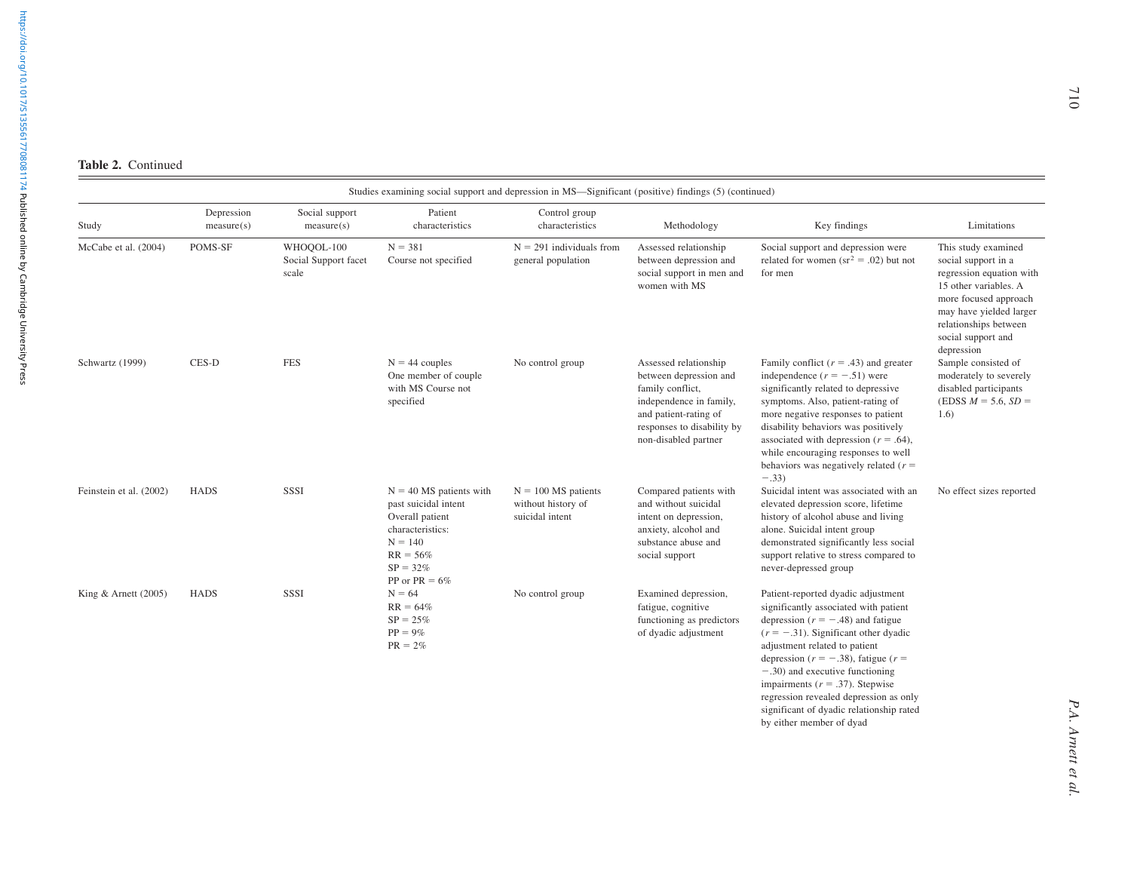| <b>Table 2. Continued</b> |  |
|---------------------------|--|
|---------------------------|--|

 $\overline{\phantom{a}}$ 

|                         | Studies examining social support and depression in MS—Significant (positive) findings (5) (continued) |                                             |                                                                                                                                                       |                                                                |                                                                                                                                                                               |                                                                                                                                                                                                                                                                                                                                                                                                                   |                                                                                                                                                                                                                  |  |  |
|-------------------------|-------------------------------------------------------------------------------------------------------|---------------------------------------------|-------------------------------------------------------------------------------------------------------------------------------------------------------|----------------------------------------------------------------|-------------------------------------------------------------------------------------------------------------------------------------------------------------------------------|-------------------------------------------------------------------------------------------------------------------------------------------------------------------------------------------------------------------------------------------------------------------------------------------------------------------------------------------------------------------------------------------------------------------|------------------------------------------------------------------------------------------------------------------------------------------------------------------------------------------------------------------|--|--|
| Study                   | Depression<br>measure(s)                                                                              | Social support<br>measure(s)                | Patient<br>characteristics                                                                                                                            | Control group<br>characteristics                               | Methodology                                                                                                                                                                   | Key findings                                                                                                                                                                                                                                                                                                                                                                                                      | Limitations                                                                                                                                                                                                      |  |  |
| McCabe et al. (2004)    | POMS-SF                                                                                               | WHOOOL-100<br>Social Support facet<br>scale | $N = 381$<br>Course not specified                                                                                                                     | $N = 291$ individuals from<br>general population               | Assessed relationship<br>between depression and<br>social support in men and<br>women with MS                                                                                 | Social support and depression were<br>related for women ( $sr^2 = .02$ ) but not<br>for men                                                                                                                                                                                                                                                                                                                       | This study examined<br>social support in a<br>regression equation with<br>15 other variables. A<br>more focused approach<br>may have yielded larger<br>relationships between<br>social support and<br>depression |  |  |
| Schwartz (1999)         | CES-D                                                                                                 | <b>FES</b>                                  | $N = 44$ couples<br>One member of couple<br>with MS Course not<br>specified                                                                           | No control group                                               | Assessed relationship<br>between depression and<br>family conflict,<br>independence in family,<br>and patient-rating of<br>responses to disability by<br>non-disabled partner | Family conflict $(r = .43)$ and greater<br>independence $(r = -.51)$ were<br>significantly related to depressive<br>symptoms. Also, patient-rating of<br>more negative responses to patient<br>disability behaviors was positively<br>associated with depression ( $r = .64$ ),<br>while encouraging responses to well<br>behaviors was negatively related $(r =$<br>$-.33)$                                      | Sample consisted of<br>moderately to severely<br>disabled participants<br>$(EDSS M = 5.6, SD =$<br>1.6)                                                                                                          |  |  |
| Feinstein et al. (2002) | <b>HADS</b>                                                                                           | <b>SSSI</b>                                 | $N = 40$ MS patients with<br>past suicidal intent<br>Overall patient<br>characteristics:<br>$N = 140$<br>$RR = 56%$<br>$SP = 32%$<br>PP or $PR = 6\%$ | $N = 100$ MS patients<br>without history of<br>suicidal intent | Compared patients with<br>and without suicidal<br>intent on depression,<br>anxiety, alcohol and<br>substance abuse and<br>social support                                      | Suicidal intent was associated with an<br>elevated depression score, lifetime<br>history of alcohol abuse and living<br>alone. Suicidal intent group<br>demonstrated significantly less social<br>support relative to stress compared to<br>never-depressed group                                                                                                                                                 | No effect sizes reported                                                                                                                                                                                         |  |  |
| King & Arnett $(2005)$  | <b>HADS</b>                                                                                           | SSSI                                        | $N = 64$<br>$RR = 64%$<br>$SP = 25\%$<br>$PP = 9\%$<br>$PR = 2\%$                                                                                     | No control group                                               | Examined depression,<br>fatigue, cognitive<br>functioning as predictors<br>of dyadic adjustment                                                                               | Patient-reported dyadic adjustment<br>significantly associated with patient<br>depression ( $r = -.48$ ) and fatigue<br>$(r = -.31)$ . Significant other dyadic<br>adjustment related to patient<br>depression ( $r = -.38$ ), fatigue ( $r =$<br>$-.30$ ) and executive functioning<br>impairments ( $r = .37$ ). Stepwise<br>regression revealed depression as only<br>significant of dyadic relationship rated |                                                                                                                                                                                                                  |  |  |

by either member of dyad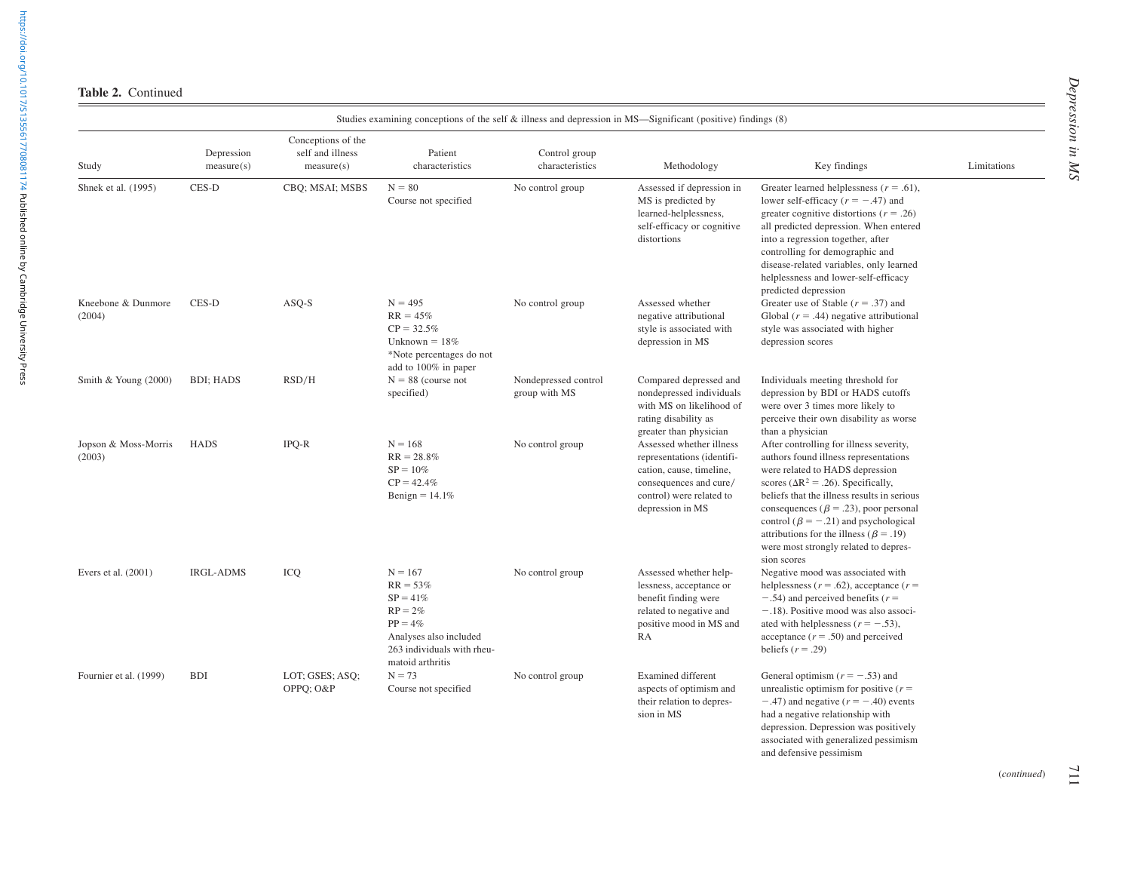### **Table 2.** Continued

|                                | Studies examining conceptions of the self $\&$ illness and depression in MS—Significant (positive) findings (8) |                                                      |                                                                                                                                              |                                       |                                                                                                                                                              |                                                                                                                                                                                                                                                                                                                                                                                                                           |             |  |  |  |
|--------------------------------|-----------------------------------------------------------------------------------------------------------------|------------------------------------------------------|----------------------------------------------------------------------------------------------------------------------------------------------|---------------------------------------|--------------------------------------------------------------------------------------------------------------------------------------------------------------|---------------------------------------------------------------------------------------------------------------------------------------------------------------------------------------------------------------------------------------------------------------------------------------------------------------------------------------------------------------------------------------------------------------------------|-------------|--|--|--|
| Study                          | Depression<br>measure(s)                                                                                        | Conceptions of the<br>self and illness<br>measure(s) | Patient<br>characteristics                                                                                                                   | Control group<br>characteristics      | Methodology                                                                                                                                                  | Key findings                                                                                                                                                                                                                                                                                                                                                                                                              | Limitations |  |  |  |
| Shnek et al. (1995)            | CES-D                                                                                                           | CBQ; MSAI; MSBS                                      | $N = 80$<br>Course not specified                                                                                                             | No control group                      | Assessed if depression in<br>MS is predicted by<br>learned-helplessness,<br>self-efficacy or cognitive<br>distortions                                        | Greater learned helplessness ( $r = .61$ ),<br>lower self-efficacy ( $r = -.47$ ) and<br>greater cognitive distortions ( $r = .26$ )<br>all predicted depression. When entered<br>into a regression together, after<br>controlling for demographic and<br>disease-related variables, only learned<br>helplessness and lower-self-efficacy<br>predicted depression                                                         |             |  |  |  |
| Kneebone & Dunmore<br>(2004)   | CES-D                                                                                                           | ASQ-S                                                | $N = 495$<br>$RR = 45%$<br>$CP = 32.5%$<br>Unknown = $18\%$<br>*Note percentages do not<br>add to 100% in paper                              | No control group                      | Assessed whether<br>negative attributional<br>style is associated with<br>depression in MS                                                                   | Greater use of Stable ( $r = .37$ ) and<br>Global ( $r = .44$ ) negative attributional<br>style was associated with higher<br>depression scores                                                                                                                                                                                                                                                                           |             |  |  |  |
| Smith & Young (2000)           | <b>BDI</b> ; HADS                                                                                               | RSD/H                                                | $N = 88$ (course not<br>specified)                                                                                                           | Nondepressed control<br>group with MS | Compared depressed and<br>nondepressed individuals<br>with MS on likelihood of<br>rating disability as<br>greater than physician                             | Individuals meeting threshold for<br>depression by BDI or HADS cutoffs<br>were over 3 times more likely to<br>perceive their own disability as worse<br>than a physician                                                                                                                                                                                                                                                  |             |  |  |  |
| Jopson & Moss-Morris<br>(2003) | <b>HADS</b>                                                                                                     | $IPO-R$                                              | $N = 168$<br>$RR = 28.8%$<br>$SP = 10\%$<br>$CP = 42.4\%$<br>Benign = $14.1%$                                                                | No control group                      | Assessed whether illness<br>representations (identifi-<br>cation, cause, timeline,<br>consequences and cure/<br>control) were related to<br>depression in MS | After controlling for illness severity,<br>authors found illness representations<br>were related to HADS depression<br>scores ( $\Delta R^2$ = .26). Specifically,<br>beliefs that the illness results in serious<br>consequences ( $\beta$ = .23), poor personal<br>control ( $\beta$ = -.21) and psychological<br>attributions for the illness ( $\beta$ = .19)<br>were most strongly related to depres-<br>sion scores |             |  |  |  |
| Evers et al. (2001)            | <b>IRGL-ADMS</b>                                                                                                | <b>ICQ</b>                                           | $N = 167$<br>$RR = 53%$<br>$SP = 41%$<br>$RP = 2%$<br>$PP = 4\%$<br>Analyses also included<br>263 individuals with rheu-<br>matoid arthritis | No control group                      | Assessed whether help-<br>lessness, acceptance or<br>benefit finding were<br>related to negative and<br>positive mood in MS and<br>RA                        | Negative mood was associated with<br>helplessness ( $r = .62$ ), acceptance ( $r =$<br>$-.54$ ) and perceived benefits ( $r =$<br>$-.18$ ). Positive mood was also associ-<br>ated with helplessness ( $r = -.53$ ),<br>acceptance ( $r = .50$ ) and perceived<br>beliefs $(r=.29)$                                                                                                                                       |             |  |  |  |
| Fournier et al. (1999)         | <b>BDI</b>                                                                                                      | LOT; GSES; ASQ;<br>OPPQ; O&P                         | $N = 73$<br>Course not specified                                                                                                             | No control group                      | Examined different<br>aspects of optimism and<br>their relation to depres-<br>sion in MS                                                                     | General optimism ( $r = -.53$ ) and<br>unrealistic optimism for positive $(r =$<br>$-.47$ ) and negative ( $r = -.40$ ) events<br>had a negative relationship with<br>depression. Depression was positively                                                                                                                                                                                                               |             |  |  |  |

associated with generalized pessimism

and defensive pessimism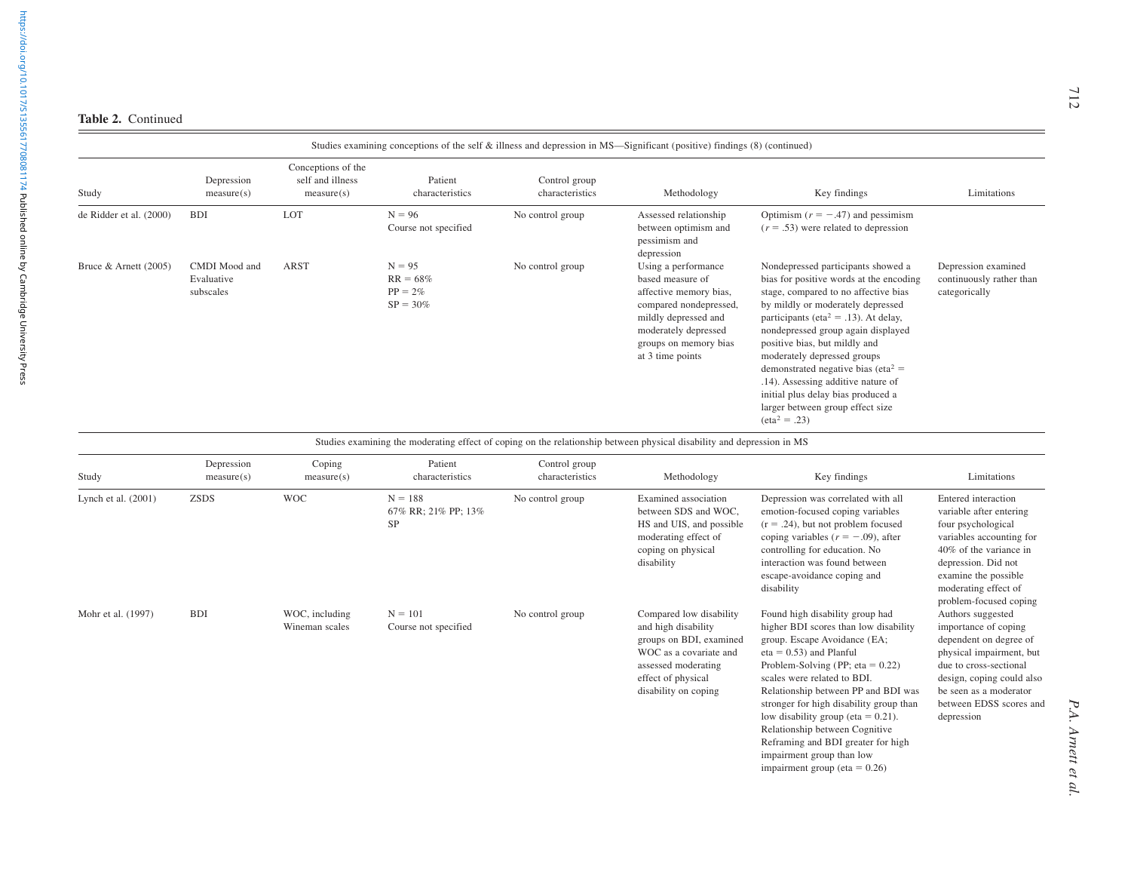https://doi.org/10.1017/S1355617708081174 Published online by Cambridge University Press <https://doi.org/10.1017/S1355617708081174>Published online by Cambridge University Press

|                         |                                          |                                                      |                                                     |                                  | Studies examining conceptions of the self $\&$ illness and depression in MS—Significant (positive) findings (8) (continued)                                                              |                                                                                                                                                                                                                                                                                                                                                                                                                                                                                                         |                                                                  |
|-------------------------|------------------------------------------|------------------------------------------------------|-----------------------------------------------------|----------------------------------|------------------------------------------------------------------------------------------------------------------------------------------------------------------------------------------|---------------------------------------------------------------------------------------------------------------------------------------------------------------------------------------------------------------------------------------------------------------------------------------------------------------------------------------------------------------------------------------------------------------------------------------------------------------------------------------------------------|------------------------------------------------------------------|
| Study                   | Depression<br>measure(s)                 | Conceptions of the<br>self and illness<br>measure(s) | Patient<br>characteristics                          | Control group<br>characteristics | Methodology                                                                                                                                                                              | Key findings                                                                                                                                                                                                                                                                                                                                                                                                                                                                                            | Limitations                                                      |
| de Ridder et al. (2000) | <b>BDI</b>                               | LOT                                                  | $N = 96$<br>Course not specified                    | No control group                 | Assessed relationship<br>between optimism and<br>pessimism and<br>depression                                                                                                             | Optimism ( $r = -.47$ ) and pessimism<br>$(r = .53)$ were related to depression                                                                                                                                                                                                                                                                                                                                                                                                                         |                                                                  |
| Bruce & Arnett (2005)   | CMDI Mood and<br>Evaluative<br>subscales | <b>ARST</b>                                          | $N = 95$<br>$RR = 68%$<br>$PP = 2\%$<br>$SP = 30\%$ | No control group                 | Using a performance<br>based measure of<br>affective memory bias,<br>compared nondepressed,<br>mildly depressed and<br>moderately depressed<br>groups on memory bias<br>at 3 time points | Nondepressed participants showed a<br>bias for positive words at the encoding<br>stage, compared to no affective bias<br>by mildly or moderately depressed<br>participants (eta <sup>2</sup> = .13). At delay,<br>nondepressed group again displayed<br>positive bias, but mildly and<br>moderately depressed groups<br>demonstrated negative bias (eta <sup>2</sup> =<br>.14). Assessing additive nature of<br>initial plus delay bias produced a<br>larger between group effect size<br>$eta^2 = .23$ | Depression examined<br>continuously rather than<br>categorically |

Studies examining the moderating effect of coping on the relationship between physical disability and depression in MS

| Study                 | Depression<br>measure(s) | Coping<br>measure(s)             | Patient<br>characteristics             | Control group<br>characteristics | Methodology                                                                                                                                                              | Key findings                                                                                                                                                                                                                                                                                                                                                                                                                                                                     | Limitations                                                                                                                                                                                                                                                                                                                                                                                                                                              |
|-----------------------|--------------------------|----------------------------------|----------------------------------------|----------------------------------|--------------------------------------------------------------------------------------------------------------------------------------------------------------------------|----------------------------------------------------------------------------------------------------------------------------------------------------------------------------------------------------------------------------------------------------------------------------------------------------------------------------------------------------------------------------------------------------------------------------------------------------------------------------------|----------------------------------------------------------------------------------------------------------------------------------------------------------------------------------------------------------------------------------------------------------------------------------------------------------------------------------------------------------------------------------------------------------------------------------------------------------|
| Lynch et al. $(2001)$ | <b>ZSDS</b>              | <b>WOC</b>                       | $N = 188$<br>67% RR; 21% PP; 13%<br>SP | No control group                 | Examined association<br>between SDS and WOC,<br>HS and UIS, and possible<br>moderating effect of<br>coping on physical<br>disability                                     | Depression was correlated with all<br>emotion-focused coping variables<br>$(r = .24)$ , but not problem focused<br>coping variables $(r = -.09)$ , after<br>controlling for education. No<br>interaction was found between<br>escape-avoidance coping and<br>disability                                                                                                                                                                                                          | Entered interaction<br>variable after entering<br>four psychological<br>variables accounting for<br>40% of the variance in<br>depression. Did not<br>examine the possible<br>moderating effect of<br>problem-focused coping<br>Authors suggested<br>importance of coping<br>dependent on degree of<br>physical impairment, but<br>due to cross-sectional<br>design, coping could also<br>be seen as a moderator<br>between EDSS scores and<br>depression |
| Mohr et al. (1997)    | <b>BDI</b>               | WOC, including<br>Wineman scales | $N = 101$<br>Course not specified      | No control group                 | Compared low disability<br>and high disability<br>groups on BDI, examined<br>WOC as a covariate and<br>assessed moderating<br>effect of physical<br>disability on coping | Found high disability group had<br>higher BDI scores than low disability<br>group. Escape Avoidance (EA;<br>$eta = 0.53$ ) and Planful<br>Problem-Solving (PP; $eta = 0.22$ )<br>scales were related to BDI.<br>Relationship between PP and BDI was<br>stronger for high disability group than<br>low disability group (eta $= 0.21$ ).<br>Relationship between Cognitive<br>Reframing and BDI greater for high<br>impairment group than low<br>impairment group (eta = $0.26$ ) |                                                                                                                                                                                                                                                                                                                                                                                                                                                          |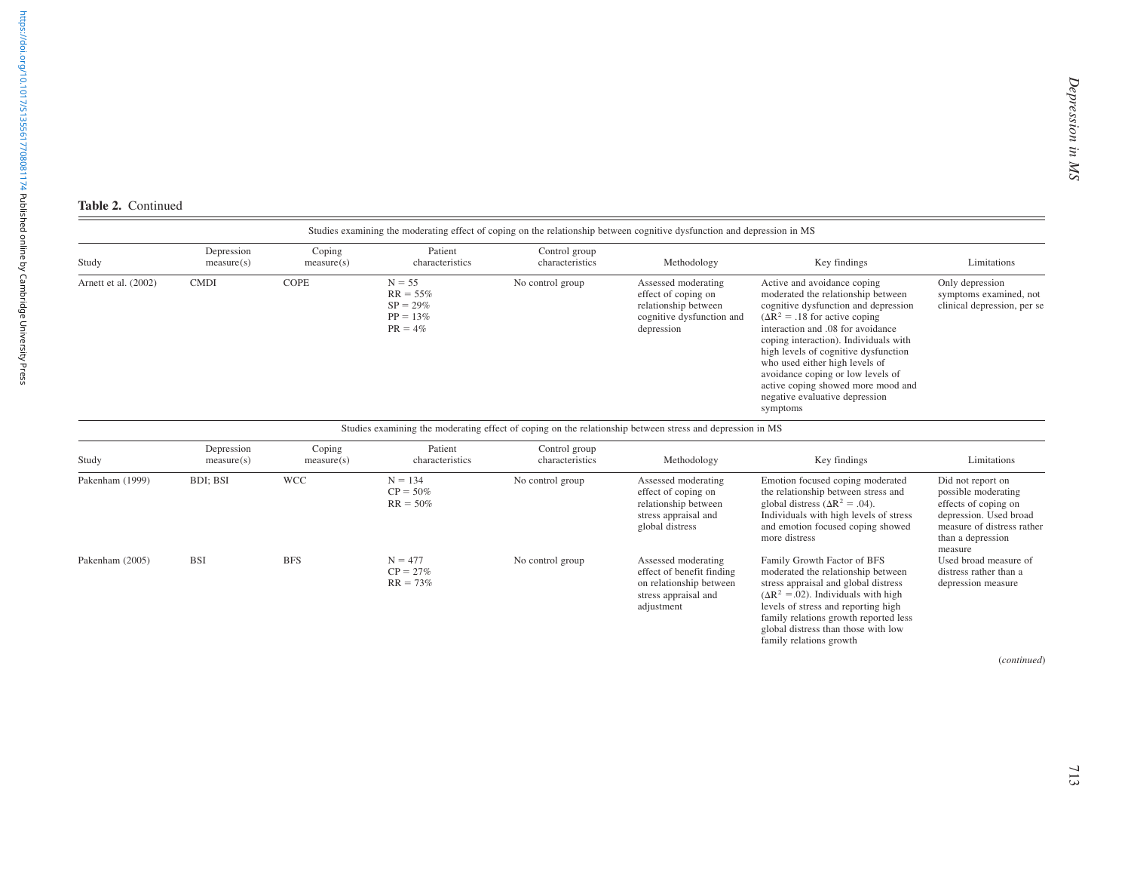|                      |                          |                      |                                                                  |                                  | Studies examining the moderating effect of coping on the relationship between cognitive dysfunction and depression in MS |                                                                                                                                                                                                                                                                                                                                                                                                                                     |                                                                                                                                                          |
|----------------------|--------------------------|----------------------|------------------------------------------------------------------|----------------------------------|--------------------------------------------------------------------------------------------------------------------------|-------------------------------------------------------------------------------------------------------------------------------------------------------------------------------------------------------------------------------------------------------------------------------------------------------------------------------------------------------------------------------------------------------------------------------------|----------------------------------------------------------------------------------------------------------------------------------------------------------|
| Study                | Depression<br>measure(s) | Coping<br>measure(s) | Patient<br>characteristics                                       | Control group<br>characteristics | Methodology                                                                                                              | Key findings                                                                                                                                                                                                                                                                                                                                                                                                                        | Limitations                                                                                                                                              |
| Arnett et al. (2002) | <b>CMDI</b>              | <b>COPE</b>          | $N = 55$<br>$RR = 55%$<br>$SP = 29%$<br>$PP = 13%$<br>$PR = 4\%$ | No control group                 | Assessed moderating<br>effect of coping on<br>relationship between<br>cognitive dysfunction and<br>depression            | Active and avoidance coping<br>moderated the relationship between<br>cognitive dysfunction and depression<br>$(\Delta R^2 = .18$ for active coping<br>interaction and .08 for avoidance<br>coping interaction). Individuals with<br>high levels of cognitive dysfunction<br>who used either high levels of<br>avoidance coping or low levels of<br>active coping showed more mood and<br>negative evaluative depression<br>symptoms | Only depression<br>symptoms examined, not<br>clinical depression, per se                                                                                 |
|                      |                          |                      |                                                                  |                                  | Studies examining the moderating effect of coping on the relationship between stress and depression in MS                |                                                                                                                                                                                                                                                                                                                                                                                                                                     |                                                                                                                                                          |
| Study                | Depression<br>measure(s) | Coping<br>measure(s) | Patient<br>characteristics                                       | Control group<br>characteristics | Methodology                                                                                                              | Key findings                                                                                                                                                                                                                                                                                                                                                                                                                        | Limitations                                                                                                                                              |
| Pakenham (1999)      | BDI; BSI                 | <b>WCC</b>           | $N = 134$<br>$CP = 50%$<br>$RR = 50%$                            | No control group                 | Assessed moderating<br>effect of coping on<br>relationship between<br>stress appraisal and<br>global distress            | Emotion focused coping moderated<br>the relationship between stress and<br>global distress ( $\Delta R^2 = .04$ ).<br>Individuals with high levels of stress<br>and emotion focused coping showed<br>more distress                                                                                                                                                                                                                  | Did not report on<br>possible moderating<br>effects of coping on<br>depression. Used broad<br>measure of distress rather<br>than a depression<br>measure |
| Pakenham (2005)      | <b>BSI</b>               | <b>BFS</b>           | $N = 477$<br>$CP = 27%$<br>$RR = 73%$                            | No control group                 | Assessed moderating<br>effect of benefit finding<br>on relationship between<br>stress appraisal and<br>adjustment        | Family Growth Factor of BFS<br>moderated the relationship between<br>stress appraisal and global distress<br>$(\Delta R^2 = 0.02)$ . Individuals with high<br>levels of stress and reporting high<br>family relations growth reported less<br>global distress than those with low<br>family relations growth                                                                                                                        | Used broad measure of<br>distress rather than a<br>depression measure                                                                                    |

(*continued*)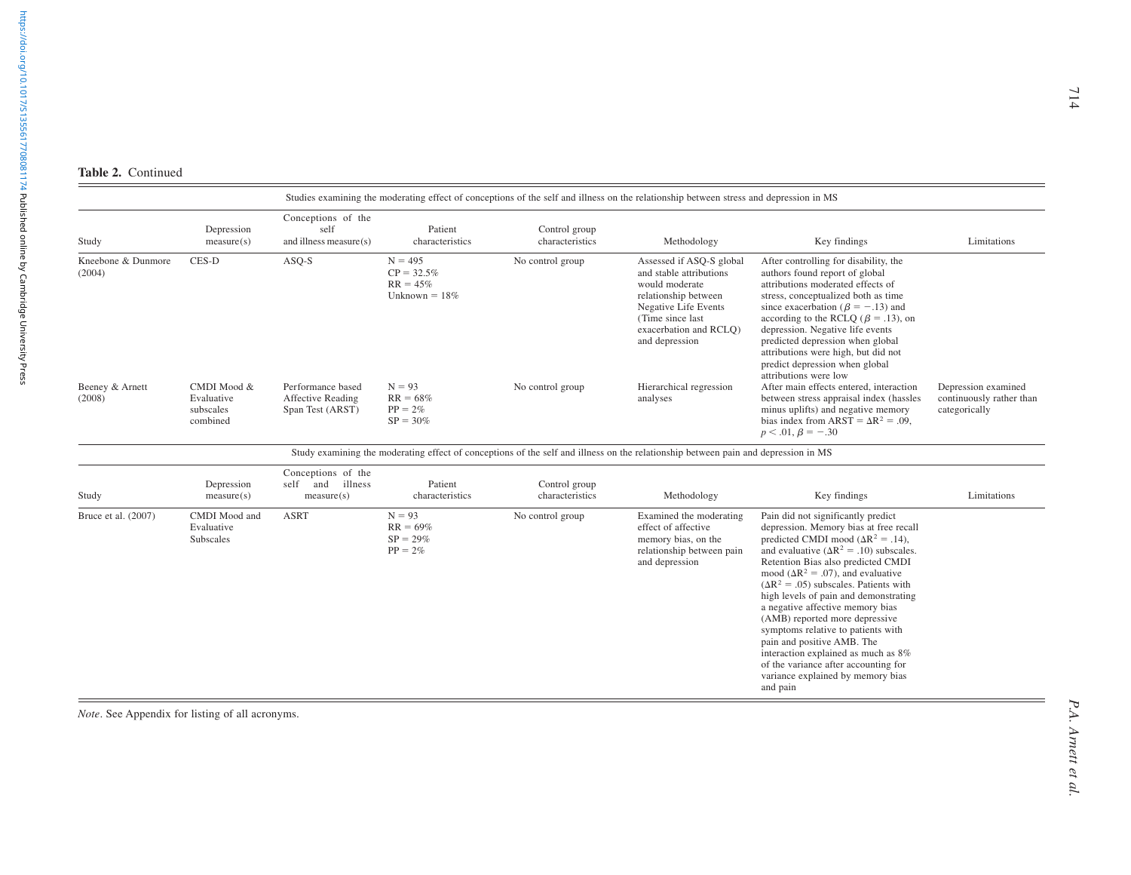|  | <b>Table 2. Continued</b> |
|--|---------------------------|
|  |                           |

| Studies examining the moderating effect of conceptions of the self and illness on the relationship between stress and depression in MS |                                                    |                                                            |                                                              |                                  |                                                                                                                                                                                        |                                                                                                                                                                                                                                                                                                                                                                                                                                                                                                                                                                                                                                         |                                                                  |
|----------------------------------------------------------------------------------------------------------------------------------------|----------------------------------------------------|------------------------------------------------------------|--------------------------------------------------------------|----------------------------------|----------------------------------------------------------------------------------------------------------------------------------------------------------------------------------------|-----------------------------------------------------------------------------------------------------------------------------------------------------------------------------------------------------------------------------------------------------------------------------------------------------------------------------------------------------------------------------------------------------------------------------------------------------------------------------------------------------------------------------------------------------------------------------------------------------------------------------------------|------------------------------------------------------------------|
| Study                                                                                                                                  | Depression<br>measure(s)                           | Conceptions of the<br>self<br>and illness measure(s)       | Patient<br>characteristics                                   | Control group<br>characteristics | Methodology                                                                                                                                                                            | Key findings                                                                                                                                                                                                                                                                                                                                                                                                                                                                                                                                                                                                                            | Limitations                                                      |
| Kneebone & Dunmore<br>(2004)                                                                                                           | CES-D                                              | ASQ-S                                                      | $N = 495$<br>$CP = 32.5\%$<br>$RR = 45%$<br>Unknown = $18\%$ | No control group                 | Assessed if ASO-S global<br>and stable attributions<br>would moderate<br>relationship between<br>Negative Life Events<br>(Time since last)<br>exacerbation and RCLO)<br>and depression | After controlling for disability, the<br>authors found report of global<br>attributions moderated effects of<br>stress, conceptualized both as time<br>since exacerbation ( $\beta = -.13$ ) and<br>according to the RCLQ ( $\beta$ = .13), on<br>depression. Negative life events<br>predicted depression when global<br>attributions were high, but did not<br>predict depression when global<br>attributions were low                                                                                                                                                                                                                |                                                                  |
| Beeney & Arnett<br>(2008)                                                                                                              | CMDI Mood &<br>Evaluative<br>subscales<br>combined | Performance based<br>Affective Reading<br>Span Test (ARST) | $N = 93$<br>$RR = 68%$<br>$PP = 2\%$<br>$SP = 30%$           | No control group                 | Hierarchical regression<br>analyses                                                                                                                                                    | After main effects entered, interaction<br>between stress appraisal index (hassles<br>minus uplifts) and negative memory<br>bias index from ARST = $\Delta R^2$ = .09,<br>$p < .01, \beta = -.30$                                                                                                                                                                                                                                                                                                                                                                                                                                       | Depression examined<br>continuously rather than<br>categorically |
|                                                                                                                                        |                                                    |                                                            |                                                              |                                  | Study examining the moderating effect of conceptions of the self and illness on the relationship between pain and depression in MS                                                     |                                                                                                                                                                                                                                                                                                                                                                                                                                                                                                                                                                                                                                         |                                                                  |
| Study                                                                                                                                  | Depression<br>measure(s)                           | Conceptions of the<br>illness<br>self<br>and<br>measure(s) | Patient<br>characteristics                                   | Control group<br>characteristics | Methodology                                                                                                                                                                            | Key findings                                                                                                                                                                                                                                                                                                                                                                                                                                                                                                                                                                                                                            | Limitations                                                      |
| Bruce et al. (2007)                                                                                                                    | CMDI Mood and<br>Evaluative<br>Subscales           | <b>ASRT</b>                                                | $N = 93$<br>$RR = 69%$<br>$SP = 29\%$<br>$PP = 2\%$          | No control group                 | Examined the moderating<br>effect of affective<br>memory bias, on the<br>relationship between pain<br>and depression                                                                   | Pain did not significantly predict<br>depression. Memory bias at free recall<br>predicted CMDI mood ( $\Delta R^2 = .14$ ),<br>and evaluative ( $\Delta R^2 = .10$ ) subscales.<br>Retention Bias also predicted CMDI<br>mood ( $\Delta R^2$ = .07), and evaluative<br>$(\Delta R^2 = .05)$ subscales. Patients with<br>high levels of pain and demonstrating<br>a negative affective memory bias<br>(AMB) reported more depressive<br>symptoms relative to patients with<br>pain and positive AMB. The<br>interaction explained as much as 8%<br>of the variance after accounting for<br>variance explained by memory bias<br>and pain |                                                                  |

*Note*. See Appendix for listing of all acronyms.

 $\equiv$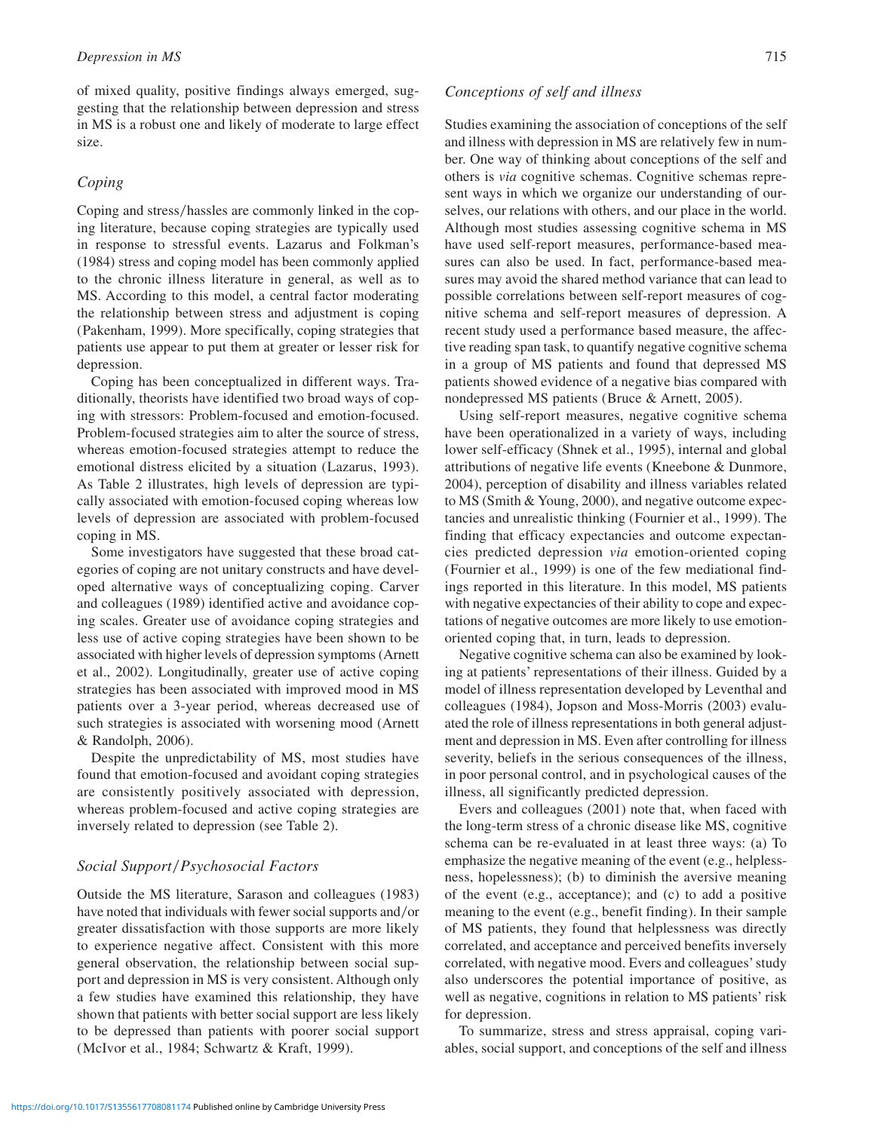of mixed quality, positive findings always emerged, suggesting that the relationship between depression and stress in MS is a robust one and likely of moderate to large effect size.

### *Coping*

Coping and stress/hassles are commonly linked in the coping literature, because coping strategies are typically used in response to stressful events. Lazarus and Folkman's (1984) stress and coping model has been commonly applied to the chronic illness literature in general, as well as to MS. According to this model, a central factor moderating the relationship between stress and adjustment is coping (Pakenham, 1999). More specifically, coping strategies that patients use appear to put them at greater or lesser risk for depression.

Coping has been conceptualized in different ways. Traditionally, theorists have identified two broad ways of coping with stressors: Problem-focused and emotion-focused. Problem-focused strategies aim to alter the source of stress, whereas emotion-focused strategies attempt to reduce the emotional distress elicited by a situation (Lazarus, 1993). As Table 2 illustrates, high levels of depression are typically associated with emotion-focused coping whereas low levels of depression are associated with problem-focused coping in MS.

Some investigators have suggested that these broad categories of coping are not unitary constructs and have developed alternative ways of conceptualizing coping. Carver and colleagues (1989) identified active and avoidance coping scales. Greater use of avoidance coping strategies and less use of active coping strategies have been shown to be associated with higher levels of depression symptoms (Arnett et al., 2002). Longitudinally, greater use of active coping strategies has been associated with improved mood in MS patients over a 3-year period, whereas decreased use of such strategies is associated with worsening mood (Arnett & Randolph, 2006).

Despite the unpredictability of MS, most studies have found that emotion-focused and avoidant coping strategies are consistently positively associated with depression, whereas problem-focused and active coping strategies are inversely related to depression (see Table 2).

#### *Social Support*/*Psychosocial Factors*

Outside the MS literature, Sarason and colleagues (1983) have noted that individuals with fewer social supports and/or greater dissatisfaction with those supports are more likely to experience negative affect. Consistent with this more general observation, the relationship between social support and depression in MS is very consistent. Although only a few studies have examined this relationship, they have shown that patients with better social support are less likely to be depressed than patients with poorer social support (McIvor et al., 1984; Schwartz & Kraft, 1999).

## *Conceptions of self and illness*

Studies examining the association of conceptions of the self and illness with depression in MS are relatively few in number. One way of thinking about conceptions of the self and others is *via* cognitive schemas. Cognitive schemas represent ways in which we organize our understanding of ourselves, our relations with others, and our place in the world. Although most studies assessing cognitive schema in MS have used self-report measures, performance-based measures can also be used. In fact, performance-based measures may avoid the shared method variance that can lead to possible correlations between self-report measures of cognitive schema and self-report measures of depression. A recent study used a performance based measure, the affective reading span task, to quantify negative cognitive schema in a group of MS patients and found that depressed MS patients showed evidence of a negative bias compared with nondepressed MS patients (Bruce & Arnett, 2005).

Using self-report measures, negative cognitive schema have been operationalized in a variety of ways, including lower self-efficacy (Shnek et al., 1995), internal and global attributions of negative life events (Kneebone & Dunmore, 2004), perception of disability and illness variables related to MS (Smith & Young, 2000), and negative outcome expectancies and unrealistic thinking (Fournier et al., 1999). The finding that efficacy expectancies and outcome expectancies predicted depression *via* emotion-oriented coping (Fournier et al., 1999) is one of the few mediational findings reported in this literature. In this model, MS patients with negative expectancies of their ability to cope and expectations of negative outcomes are more likely to use emotionoriented coping that, in turn, leads to depression.

Negative cognitive schema can also be examined by looking at patients' representations of their illness. Guided by a model of illness representation developed by Leventhal and colleagues (1984), Jopson and Moss-Morris (2003) evaluated the role of illness representations in both general adjustment and depression in MS. Even after controlling for illness severity, beliefs in the serious consequences of the illness, in poor personal control, and in psychological causes of the illness, all significantly predicted depression.

Evers and colleagues (2001) note that, when faced with the long-term stress of a chronic disease like MS, cognitive schema can be re-evaluated in at least three ways: (a) To emphasize the negative meaning of the event (e.g., helplessness, hopelessness); (b) to diminish the aversive meaning of the event (e.g., acceptance); and (c) to add a positive meaning to the event (e.g., benefit finding). In their sample of MS patients, they found that helplessness was directly correlated, and acceptance and perceived benefits inversely correlated, with negative mood. Evers and colleagues' study also underscores the potential importance of positive, as well as negative, cognitions in relation to MS patients' risk for depression.

To summarize, stress and stress appraisal, coping variables, social support, and conceptions of the self and illness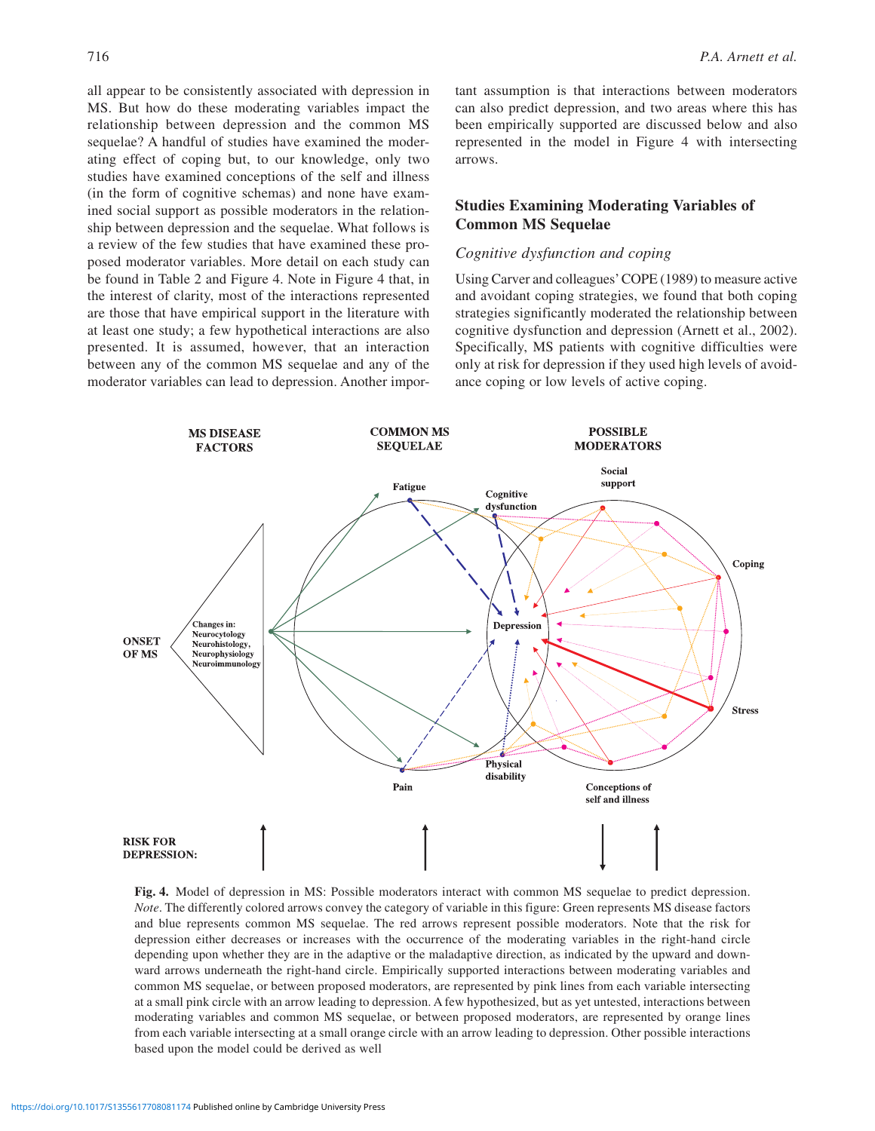all appear to be consistently associated with depression in MS. But how do these moderating variables impact the relationship between depression and the common MS sequelae? A handful of studies have examined the moderating effect of coping but, to our knowledge, only two studies have examined conceptions of the self and illness (in the form of cognitive schemas) and none have examined social support as possible moderators in the relationship between depression and the sequelae. What follows is a review of the few studies that have examined these proposed moderator variables. More detail on each study can be found in Table 2 and Figure 4. Note in Figure 4 that, in the interest of clarity, most of the interactions represented are those that have empirical support in the literature with at least one study; a few hypothetical interactions are also presented. It is assumed, however, that an interaction between any of the common MS sequelae and any of the moderator variables can lead to depression. Another important assumption is that interactions between moderators can also predict depression, and two areas where this has been empirically supported are discussed below and also represented in the model in Figure 4 with intersecting arrows.

# **Studies Examining Moderating Variables of Common MS Sequelae**

# *Cognitive dysfunction and coping*

Using Carver and colleagues'COPE (1989) to measure active and avoidant coping strategies, we found that both coping strategies significantly moderated the relationship between cognitive dysfunction and depression (Arnett et al., 2002). Specifically, MS patients with cognitive difficulties were only at risk for depression if they used high levels of avoidance coping or low levels of active coping.



**Fig. 4.** Model of depression in MS: Possible moderators interact with common MS sequelae to predict depression. *Note*. The differently colored arrows convey the category of variable in this figure: Green represents MS disease factors and blue represents common MS sequelae. The red arrows represent possible moderators. Note that the risk for depression either decreases or increases with the occurrence of the moderating variables in the right-hand circle depending upon whether they are in the adaptive or the maladaptive direction, as indicated by the upward and downward arrows underneath the right-hand circle. Empirically supported interactions between moderating variables and common MS sequelae, or between proposed moderators, are represented by pink lines from each variable intersecting at a small pink circle with an arrow leading to depression. A few hypothesized, but as yet untested, interactions between moderating variables and common MS sequelae, or between proposed moderators, are represented by orange lines from each variable intersecting at a small orange circle with an arrow leading to depression. Other possible interactions based upon the model could be derived as well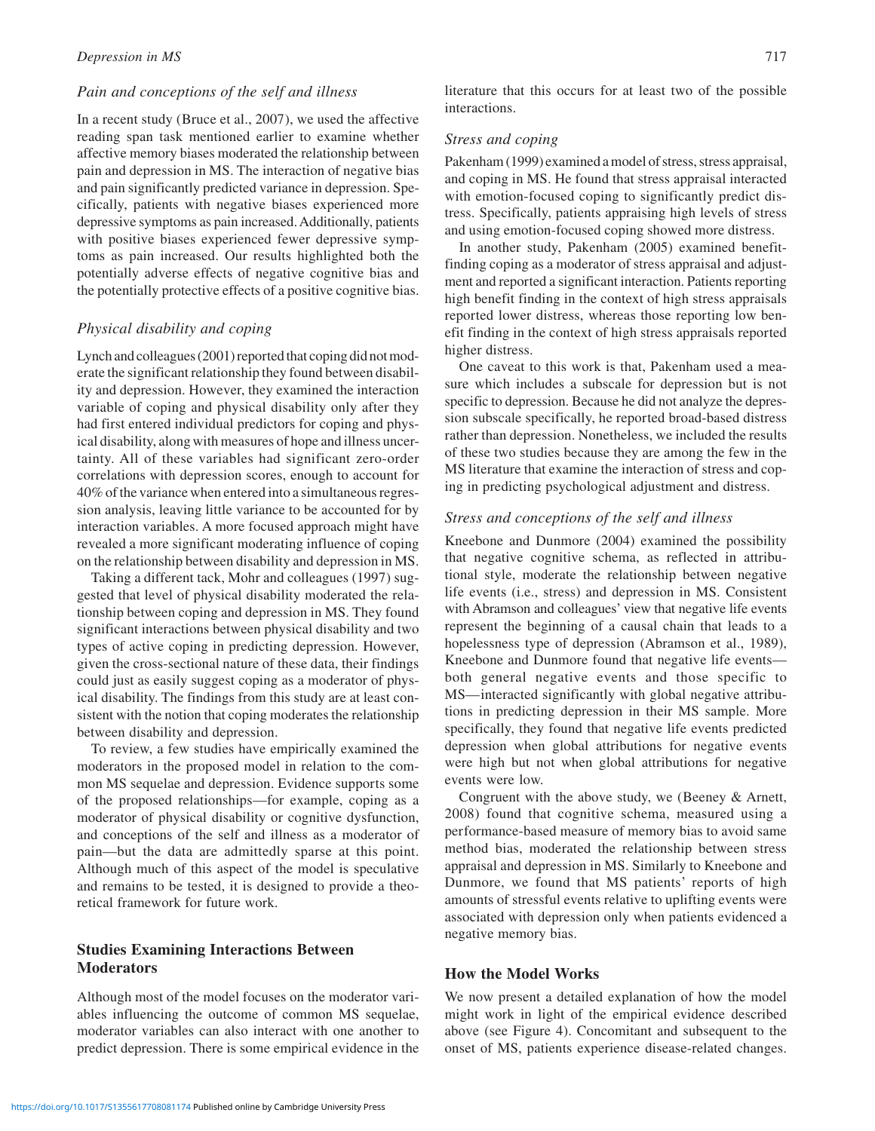#### *Pain and conceptions of the self and illness*

In a recent study (Bruce et al., 2007), we used the affective reading span task mentioned earlier to examine whether affective memory biases moderated the relationship between pain and depression in MS. The interaction of negative bias and pain significantly predicted variance in depression. Specifically, patients with negative biases experienced more depressive symptoms as pain increased. Additionally, patients with positive biases experienced fewer depressive symptoms as pain increased. Our results highlighted both the potentially adverse effects of negative cognitive bias and the potentially protective effects of a positive cognitive bias.

# *Physical disability and coping*

Lynch and colleagues (2001) reported that coping did not moderate the significant relationship they found between disability and depression. However, they examined the interaction variable of coping and physical disability only after they had first entered individual predictors for coping and physical disability, along with measures of hope and illness uncertainty. All of these variables had significant zero-order correlations with depression scores, enough to account for 40% of the variance when entered into a simultaneous regression analysis, leaving little variance to be accounted for by interaction variables. A more focused approach might have revealed a more significant moderating influence of coping on the relationship between disability and depression in MS.

Taking a different tack, Mohr and colleagues (1997) suggested that level of physical disability moderated the relationship between coping and depression in MS. They found significant interactions between physical disability and two types of active coping in predicting depression. However, given the cross-sectional nature of these data, their findings could just as easily suggest coping as a moderator of physical disability. The findings from this study are at least consistent with the notion that coping moderates the relationship between disability and depression.

To review, a few studies have empirically examined the moderators in the proposed model in relation to the common MS sequelae and depression. Evidence supports some of the proposed relationships—for example, coping as a moderator of physical disability or cognitive dysfunction, and conceptions of the self and illness as a moderator of pain—but the data are admittedly sparse at this point. Although much of this aspect of the model is speculative and remains to be tested, it is designed to provide a theoretical framework for future work.

# **Studies Examining Interactions Between Moderators**

Although most of the model focuses on the moderator variables influencing the outcome of common MS sequelae, moderator variables can also interact with one another to predict depression. There is some empirical evidence in the literature that this occurs for at least two of the possible interactions.

#### *Stress and coping*

Pakenham (1999) examined a model of stress, stress appraisal, and coping in MS. He found that stress appraisal interacted with emotion-focused coping to significantly predict distress. Specifically, patients appraising high levels of stress and using emotion-focused coping showed more distress.

In another study, Pakenham (2005) examined benefitfinding coping as a moderator of stress appraisal and adjustment and reported a significant interaction. Patients reporting high benefit finding in the context of high stress appraisals reported lower distress, whereas those reporting low benefit finding in the context of high stress appraisals reported higher distress.

One caveat to this work is that, Pakenham used a measure which includes a subscale for depression but is not specific to depression. Because he did not analyze the depression subscale specifically, he reported broad-based distress rather than depression. Nonetheless, we included the results of these two studies because they are among the few in the MS literature that examine the interaction of stress and coping in predicting psychological adjustment and distress.

#### *Stress and conceptions of the self and illness*

Kneebone and Dunmore (2004) examined the possibility that negative cognitive schema, as reflected in attributional style, moderate the relationship between negative life events (i.e., stress) and depression in MS. Consistent with Abramson and colleagues' view that negative life events represent the beginning of a causal chain that leads to a hopelessness type of depression (Abramson et al., 1989), Kneebone and Dunmore found that negative life events both general negative events and those specific to MS—interacted significantly with global negative attributions in predicting depression in their MS sample. More specifically, they found that negative life events predicted depression when global attributions for negative events were high but not when global attributions for negative events were low.

Congruent with the above study, we (Beeney & Arnett, 2008) found that cognitive schema, measured using a performance-based measure of memory bias to avoid same method bias, moderated the relationship between stress appraisal and depression in MS. Similarly to Kneebone and Dunmore, we found that MS patients' reports of high amounts of stressful events relative to uplifting events were associated with depression only when patients evidenced a negative memory bias.

# **How the Model Works**

We now present a detailed explanation of how the model might work in light of the empirical evidence described above (see Figure 4). Concomitant and subsequent to the onset of MS, patients experience disease-related changes.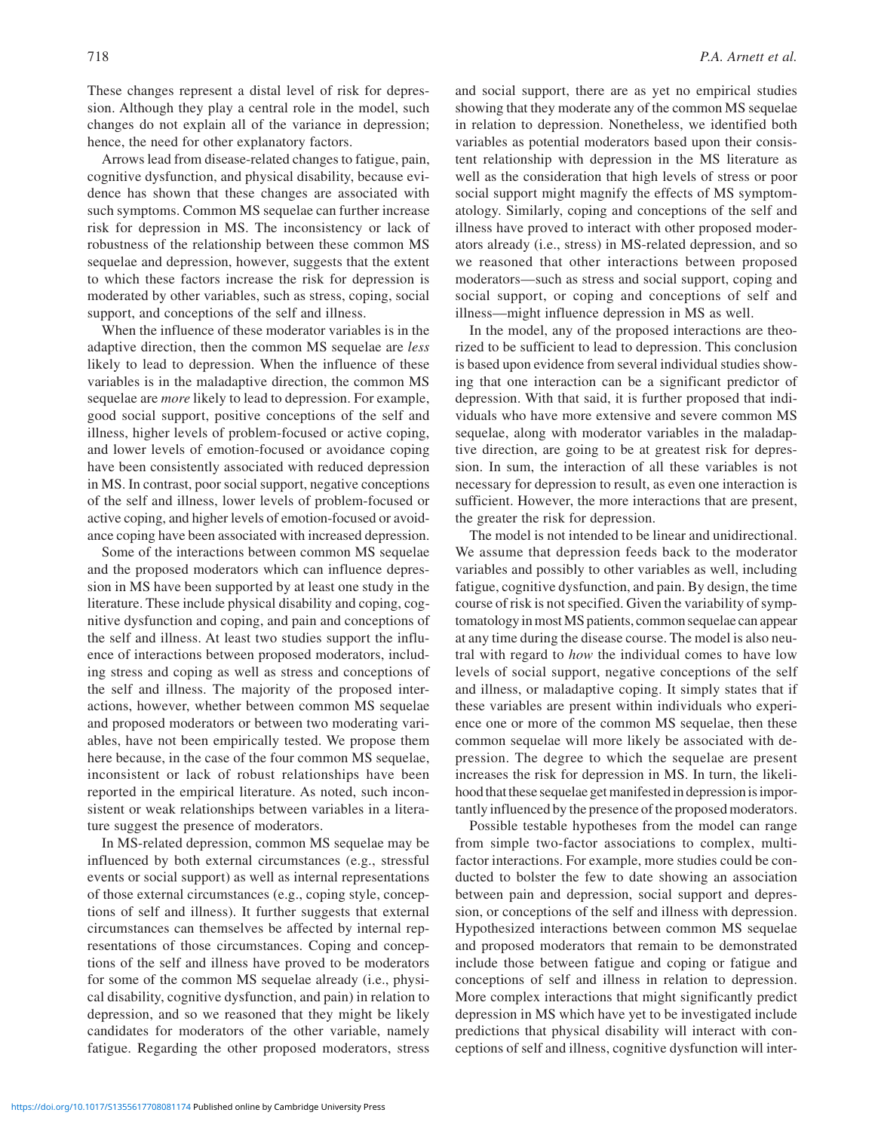These changes represent a distal level of risk for depression. Although they play a central role in the model, such changes do not explain all of the variance in depression; hence, the need for other explanatory factors.

Arrows lead from disease-related changes to fatigue, pain, cognitive dysfunction, and physical disability, because evidence has shown that these changes are associated with such symptoms. Common MS sequelae can further increase risk for depression in MS. The inconsistency or lack of robustness of the relationship between these common MS sequelae and depression, however, suggests that the extent to which these factors increase the risk for depression is moderated by other variables, such as stress, coping, social support, and conceptions of the self and illness.

When the influence of these moderator variables is in the adaptive direction, then the common MS sequelae are *less* likely to lead to depression. When the influence of these variables is in the maladaptive direction, the common MS sequelae are *more* likely to lead to depression. For example, good social support, positive conceptions of the self and illness, higher levels of problem-focused or active coping, and lower levels of emotion-focused or avoidance coping have been consistently associated with reduced depression in MS. In contrast, poor social support, negative conceptions of the self and illness, lower levels of problem-focused or active coping, and higher levels of emotion-focused or avoidance coping have been associated with increased depression.

Some of the interactions between common MS sequelae and the proposed moderators which can influence depression in MS have been supported by at least one study in the literature. These include physical disability and coping, cognitive dysfunction and coping, and pain and conceptions of the self and illness. At least two studies support the influence of interactions between proposed moderators, including stress and coping as well as stress and conceptions of the self and illness. The majority of the proposed interactions, however, whether between common MS sequelae and proposed moderators or between two moderating variables, have not been empirically tested. We propose them here because, in the case of the four common MS sequelae, inconsistent or lack of robust relationships have been reported in the empirical literature. As noted, such inconsistent or weak relationships between variables in a literature suggest the presence of moderators.

In MS-related depression, common MS sequelae may be influenced by both external circumstances (e.g., stressful events or social support) as well as internal representations of those external circumstances (e.g., coping style, conceptions of self and illness). It further suggests that external circumstances can themselves be affected by internal representations of those circumstances. Coping and conceptions of the self and illness have proved to be moderators for some of the common MS sequelae already (i.e., physical disability, cognitive dysfunction, and pain) in relation to depression, and so we reasoned that they might be likely candidates for moderators of the other variable, namely fatigue. Regarding the other proposed moderators, stress and social support, there are as yet no empirical studies showing that they moderate any of the common MS sequelae in relation to depression. Nonetheless, we identified both variables as potential moderators based upon their consistent relationship with depression in the MS literature as well as the consideration that high levels of stress or poor social support might magnify the effects of MS symptomatology. Similarly, coping and conceptions of the self and illness have proved to interact with other proposed moderators already (i.e., stress) in MS-related depression, and so we reasoned that other interactions between proposed moderators—such as stress and social support, coping and social support, or coping and conceptions of self and illness—might influence depression in MS as well.

In the model, any of the proposed interactions are theorized to be sufficient to lead to depression. This conclusion is based upon evidence from several individual studies showing that one interaction can be a significant predictor of depression. With that said, it is further proposed that individuals who have more extensive and severe common MS sequelae, along with moderator variables in the maladaptive direction, are going to be at greatest risk for depression. In sum, the interaction of all these variables is not necessary for depression to result, as even one interaction is sufficient. However, the more interactions that are present, the greater the risk for depression.

The model is not intended to be linear and unidirectional. We assume that depression feeds back to the moderator variables and possibly to other variables as well, including fatigue, cognitive dysfunction, and pain. By design, the time course of risk is not specified. Given the variability of symptomatologyin mostMS patients, common sequelae can appear at any time during the disease course. The model is also neutral with regard to *how* the individual comes to have low levels of social support, negative conceptions of the self and illness, or maladaptive coping. It simply states that if these variables are present within individuals who experience one or more of the common MS sequelae, then these common sequelae will more likely be associated with depression. The degree to which the sequelae are present increases the risk for depression in MS. In turn, the likelihood that these sequelae get manifested in depression is importantly influenced by the presence of the proposed moderators.

Possible testable hypotheses from the model can range from simple two-factor associations to complex, multifactor interactions. For example, more studies could be conducted to bolster the few to date showing an association between pain and depression, social support and depression, or conceptions of the self and illness with depression. Hypothesized interactions between common MS sequelae and proposed moderators that remain to be demonstrated include those between fatigue and coping or fatigue and conceptions of self and illness in relation to depression. More complex interactions that might significantly predict depression in MS which have yet to be investigated include predictions that physical disability will interact with conceptions of self and illness, cognitive dysfunction will inter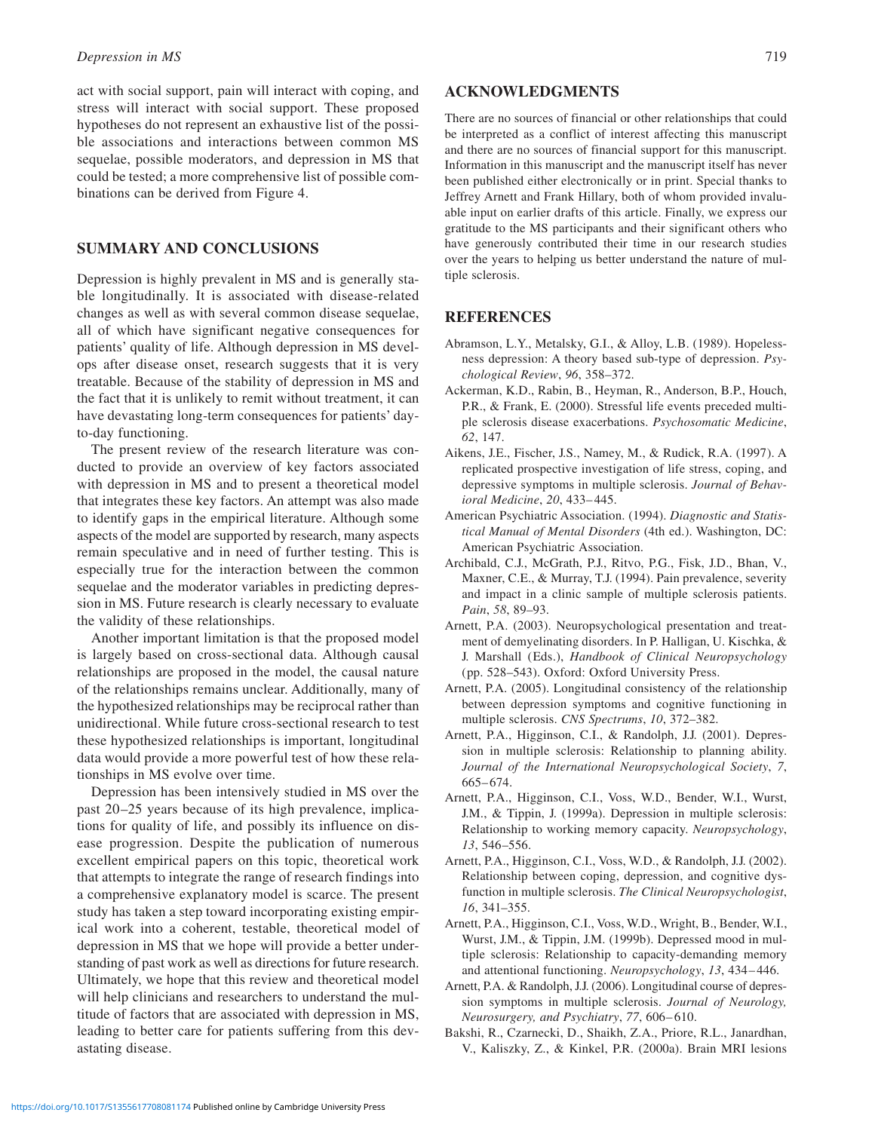act with social support, pain will interact with coping, and stress will interact with social support. These proposed hypotheses do not represent an exhaustive list of the possible associations and interactions between common MS sequelae, possible moderators, and depression in MS that could be tested; a more comprehensive list of possible combinations can be derived from Figure 4.

## **SUMMARY AND CONCLUSIONS**

Depression is highly prevalent in MS and is generally stable longitudinally. It is associated with disease-related changes as well as with several common disease sequelae, all of which have significant negative consequences for patients' quality of life. Although depression in MS develops after disease onset, research suggests that it is very treatable. Because of the stability of depression in MS and the fact that it is unlikely to remit without treatment, it can have devastating long-term consequences for patients' dayto-day functioning.

The present review of the research literature was conducted to provide an overview of key factors associated with depression in MS and to present a theoretical model that integrates these key factors. An attempt was also made to identify gaps in the empirical literature. Although some aspects of the model are supported by research, many aspects remain speculative and in need of further testing. This is especially true for the interaction between the common sequelae and the moderator variables in predicting depression in MS. Future research is clearly necessary to evaluate the validity of these relationships.

Another important limitation is that the proposed model is largely based on cross-sectional data. Although causal relationships are proposed in the model, the causal nature of the relationships remains unclear. Additionally, many of the hypothesized relationships may be reciprocal rather than unidirectional. While future cross-sectional research to test these hypothesized relationships is important, longitudinal data would provide a more powerful test of how these relationships in MS evolve over time.

Depression has been intensively studied in MS over the past 20–25 years because of its high prevalence, implications for quality of life, and possibly its influence on disease progression. Despite the publication of numerous excellent empirical papers on this topic, theoretical work that attempts to integrate the range of research findings into a comprehensive explanatory model is scarce. The present study has taken a step toward incorporating existing empirical work into a coherent, testable, theoretical model of depression in MS that we hope will provide a better understanding of past work as well as directions for future research. Ultimately, we hope that this review and theoretical model will help clinicians and researchers to understand the multitude of factors that are associated with depression in MS, leading to better care for patients suffering from this devastating disease.

#### **ACKNOWLEDGMENTS**

There are no sources of financial or other relationships that could be interpreted as a conflict of interest affecting this manuscript and there are no sources of financial support for this manuscript. Information in this manuscript and the manuscript itself has never been published either electronically or in print. Special thanks to Jeffrey Arnett and Frank Hillary, both of whom provided invaluable input on earlier drafts of this article. Finally, we express our gratitude to the MS participants and their significant others who have generously contributed their time in our research studies over the years to helping us better understand the nature of multiple sclerosis.

### **REFERENCES**

- Abramson, L.Y., Metalsky, G.I., & Alloy, L.B. (1989). Hopelessness depression: A theory based sub-type of depression. *Psychological Review*, *96*, 358–372.
- Ackerman, K.D., Rabin, B., Heyman, R., Anderson, B.P., Houch, P.R., & Frank, E. (2000). Stressful life events preceded multiple sclerosis disease exacerbations. *Psychosomatic Medicine*, *62*, 147.
- Aikens, J.E., Fischer, J.S., Namey, M., & Rudick, R.A. (1997). A replicated prospective investigation of life stress, coping, and depressive symptoms in multiple sclerosis. *Journal of Behavioral Medicine*, *20*, 433– 445.
- American Psychiatric Association. (1994). *Diagnostic and Statistical Manual of Mental Disorders* (4th ed.). Washington, DC: American Psychiatric Association.
- Archibald, C.J., McGrath, P.J., Ritvo, P.G., Fisk, J.D., Bhan, V., Maxner, C.E., & Murray, T.J. (1994). Pain prevalence, severity and impact in a clinic sample of multiple sclerosis patients. *Pain*, *58*, 89–93.
- Arnett, P.A. (2003). Neuropsychological presentation and treatment of demyelinating disorders. In P. Halligan, U. Kischka, & J. Marshall (Eds.), *Handbook of Clinical Neuropsychology* (pp. 528–543). Oxford: Oxford University Press.
- Arnett, P.A. (2005). Longitudinal consistency of the relationship between depression symptoms and cognitive functioning in multiple sclerosis. *CNS Spectrums*, *10*, 372–382.
- Arnett, P.A., Higginson, C.I., & Randolph, J.J. (2001). Depression in multiple sclerosis: Relationship to planning ability. *Journal of the International Neuropsychological Society*, *7*, 665– 674.
- Arnett, P.A., Higginson, C.I., Voss, W.D., Bender, W.I., Wurst, J.M., & Tippin, J. (1999a). Depression in multiple sclerosis: Relationship to working memory capacity. *Neuropsychology*, *13*, 546–556.
- Arnett, P.A., Higginson, C.I., Voss, W.D., & Randolph, J.J. (2002). Relationship between coping, depression, and cognitive dysfunction in multiple sclerosis. *The Clinical Neuropsychologist*, *16*, 341–355.
- Arnett, P.A., Higginson, C.I., Voss, W.D., Wright, B., Bender, W.I., Wurst, J.M., & Tippin, J.M. (1999b). Depressed mood in multiple sclerosis: Relationship to capacity-demanding memory and attentional functioning. *Neuropsychology*, *13*, 434– 446.
- Arnett, P.A. & Randolph, J.J. (2006). Longitudinal course of depression symptoms in multiple sclerosis. *Journal of Neurology, Neurosurgery, and Psychiatry*, *77*, 606– 610.
- Bakshi, R., Czarnecki, D., Shaikh, Z.A., Priore, R.L., Janardhan, V., Kaliszky, Z., & Kinkel, P.R. (2000a). Brain MRI lesions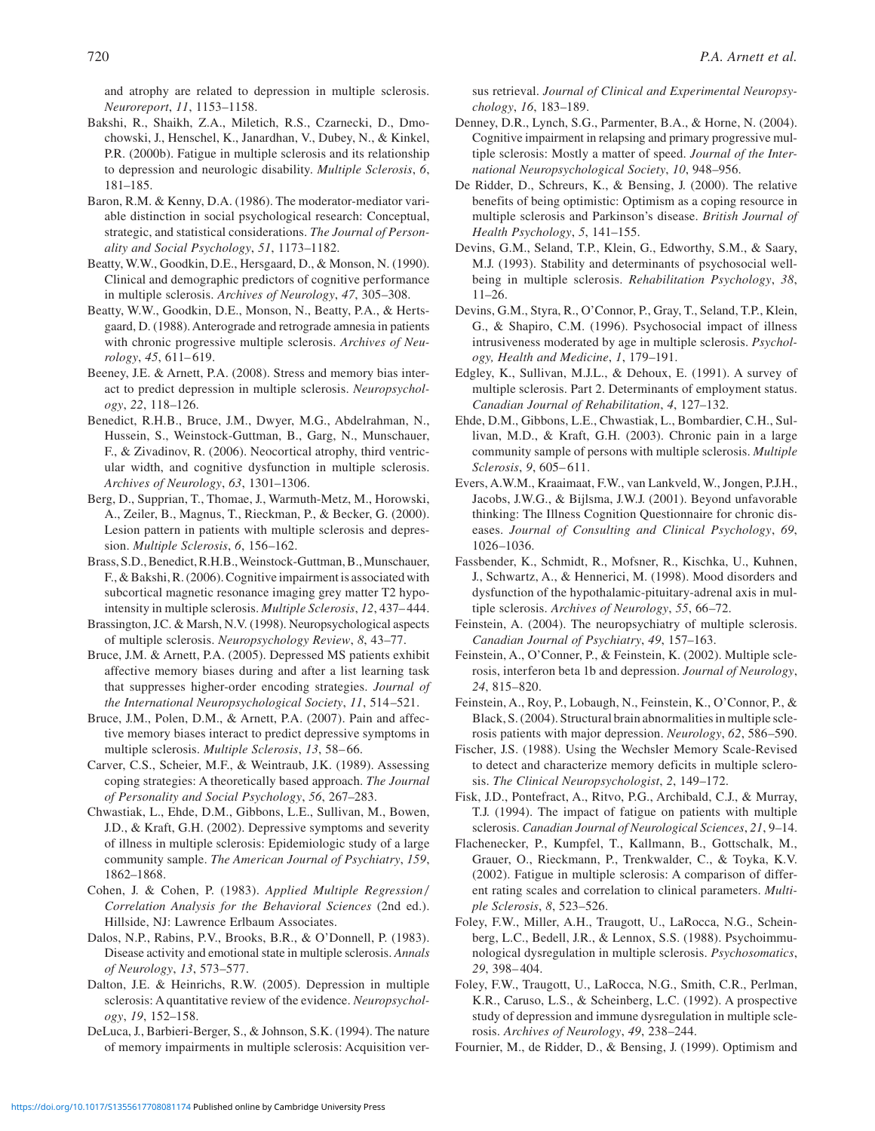and atrophy are related to depression in multiple sclerosis. *Neuroreport*, *11*, 1153–1158.

- Bakshi, R., Shaikh, Z.A., Miletich, R.S., Czarnecki, D., Dmochowski, J., Henschel, K., Janardhan, V., Dubey, N., & Kinkel, P.R. (2000b). Fatigue in multiple sclerosis and its relationship to depression and neurologic disability. *Multiple Sclerosis*, *6*, 181–185.
- Baron, R.M. & Kenny, D.A. (1986). The moderator-mediator variable distinction in social psychological research: Conceptual, strategic, and statistical considerations. *The Journal of Personality and Social Psychology*, *51*, 1173–1182.
- Beatty, W.W., Goodkin, D.E., Hersgaard, D., & Monson, N. (1990). Clinical and demographic predictors of cognitive performance in multiple sclerosis. *Archives of Neurology*, *47*, 305–308.
- Beatty, W.W., Goodkin, D.E., Monson, N., Beatty, P.A., & Hertsgaard, D. (1988). Anterograde and retrograde amnesia in patients with chronic progressive multiple sclerosis. *Archives of Neurology*, *45*, 611– 619.
- Beeney, J.E. & Arnett, P.A. (2008). Stress and memory bias interact to predict depression in multiple sclerosis. *Neuropsychology*, *22*, 118–126.
- Benedict, R.H.B., Bruce, J.M., Dwyer, M.G., Abdelrahman, N., Hussein, S., Weinstock-Guttman, B., Garg, N., Munschauer, F., & Zivadinov, R. (2006). Neocortical atrophy, third ventricular width, and cognitive dysfunction in multiple sclerosis. *Archives of Neurology*, *63*, 1301–1306.
- Berg, D., Supprian, T., Thomae, J., Warmuth-Metz, M., Horowski, A., Zeiler, B., Magnus, T., Rieckman, P., & Becker, G. (2000). Lesion pattern in patients with multiple sclerosis and depression. *Multiple Sclerosis*, *6*, 156–162.
- Brass, S.D., Benedict, R.H.B., Weinstock-Guttman, B., Munschauer, F., & Bakshi, R. (2006). Cognitive impairment is associated with subcortical magnetic resonance imaging grey matter T2 hypointensity in multiple sclerosis. *Multiple Sclerosis*, *12*, 437– 444.
- Brassington, J.C. & Marsh, N.V. (1998). Neuropsychological aspects of multiple sclerosis. *Neuropsychology Review*, *8*, 43–77.
- Bruce, J.M. & Arnett, P.A. (2005). Depressed MS patients exhibit affective memory biases during and after a list learning task that suppresses higher-order encoding strategies. *Journal of the International Neuropsychological Society*, *11*, 514–521.
- Bruce, J.M., Polen, D.M., & Arnett, P.A. (2007). Pain and affective memory biases interact to predict depressive symptoms in multiple sclerosis. *Multiple Sclerosis*, *13*, 58– 66.
- Carver, C.S., Scheier, M.F., & Weintraub, J.K. (1989). Assessing coping strategies: A theoretically based approach. *The Journal of Personality and Social Psychology*, *56*, 267–283.
- Chwastiak, L., Ehde, D.M., Gibbons, L.E., Sullivan, M., Bowen, J.D., & Kraft, G.H. (2002). Depressive symptoms and severity of illness in multiple sclerosis: Epidemiologic study of a large community sample. *The American Journal of Psychiatry*, *159*, 1862–1868.
- Cohen, J. & Cohen, P. (1983). *Applied Multiple Regression*/ *Correlation Analysis for the Behavioral Sciences* (2nd ed.). Hillside, NJ: Lawrence Erlbaum Associates.
- Dalos, N.P., Rabins, P.V., Brooks, B.R., & O'Donnell, P. (1983). Disease activity and emotional state in multiple sclerosis. *Annals of Neurology*, *13*, 573–577.
- Dalton, J.E. & Heinrichs, R.W. (2005). Depression in multiple sclerosis: A quantitative review of the evidence. *Neuropsychology*, *19*, 152–158.
- DeLuca, J., Barbieri-Berger, S., & Johnson, S.K. (1994). The nature of memory impairments in multiple sclerosis: Acquisition ver-

sus retrieval. *Journal of Clinical and Experimental Neuropsychology*, *16*, 183–189.

- Denney, D.R., Lynch, S.G., Parmenter, B.A., & Horne, N. (2004). Cognitive impairment in relapsing and primary progressive multiple sclerosis: Mostly a matter of speed. *Journal of the International Neuropsychological Society*, *10*, 948–956.
- De Ridder, D., Schreurs, K., & Bensing, J. (2000). The relative benefits of being optimistic: Optimism as a coping resource in multiple sclerosis and Parkinson's disease. *British Journal of Health Psychology*, *5*, 141–155.
- Devins, G.M., Seland, T.P., Klein, G., Edworthy, S.M., & Saary, M.J. (1993). Stability and determinants of psychosocial wellbeing in multiple sclerosis. *Rehabilitation Psychology*, *38*, 11–26.
- Devins, G.M., Styra, R., O'Connor, P., Gray, T., Seland, T.P., Klein, G., & Shapiro, C.M. (1996). Psychosocial impact of illness intrusiveness moderated by age in multiple sclerosis. *Psychology, Health and Medicine*, *1*, 179–191.
- Edgley, K., Sullivan, M.J.L., & Dehoux, E. (1991). A survey of multiple sclerosis. Part 2. Determinants of employment status. *Canadian Journal of Rehabilitation*, *4*, 127–132.
- Ehde, D.M., Gibbons, L.E., Chwastiak, L., Bombardier, C.H., Sullivan, M.D., & Kraft, G.H. (2003). Chronic pain in a large community sample of persons with multiple sclerosis. *Multiple Sclerosis*, *9*, 605– 611.
- Evers, A.W.M., Kraaimaat, F.W., van Lankveld, W., Jongen, P.J.H., Jacobs, J.W.G., & Bijlsma, J.W.J. (2001). Beyond unfavorable thinking: The Illness Cognition Questionnaire for chronic diseases. *Journal of Consulting and Clinical Psychology*, *69*, 1026–1036.
- Fassbender, K., Schmidt, R., Mofsner, R., Kischka, U., Kuhnen, J., Schwartz, A., & Hennerici, M. (1998). Mood disorders and dysfunction of the hypothalamic-pituitary-adrenal axis in multiple sclerosis. *Archives of Neurology*, *55*, 66–72.
- Feinstein, A. (2004). The neuropsychiatry of multiple sclerosis. *Canadian Journal of Psychiatry*, *49*, 157–163.
- Feinstein, A., O'Conner, P., & Feinstein, K. (2002). Multiple sclerosis, interferon beta 1b and depression. *Journal of Neurology*, *24*, 815–820.
- Feinstein, A., Roy, P., Lobaugh, N., Feinstein, K., O'Connor, P., & Black, S. (2004). Structural brain abnormalities in multiple sclerosis patients with major depression. *Neurology*, *62*, 586–590.
- Fischer, J.S. (1988). Using the Wechsler Memory Scale-Revised to detect and characterize memory deficits in multiple sclerosis. *The Clinical Neuropsychologist*, *2*, 149–172.
- Fisk, J.D., Pontefract, A., Ritvo, P.G., Archibald, C.J., & Murray, T.J. (1994). The impact of fatigue on patients with multiple sclerosis. *Canadian Journal of Neurological Sciences*, *21*, 9–14.
- Flachenecker, P., Kumpfel, T., Kallmann, B., Gottschalk, M., Grauer, O., Rieckmann, P., Trenkwalder, C., & Toyka, K.V. (2002). Fatigue in multiple sclerosis: A comparison of different rating scales and correlation to clinical parameters. *Multiple Sclerosis*, *8*, 523–526.
- Foley, F.W., Miller, A.H., Traugott, U., LaRocca, N.G., Scheinberg, L.C., Bedell, J.R., & Lennox, S.S. (1988). Psychoimmunological dysregulation in multiple sclerosis. *Psychosomatics*, *29*, 398– 404.
- Foley, F.W., Traugott, U., LaRocca, N.G., Smith, C.R., Perlman, K.R., Caruso, L.S., & Scheinberg, L.C. (1992). A prospective study of depression and immune dysregulation in multiple sclerosis. *Archives of Neurology*, *49*, 238–244.
- Fournier, M., de Ridder, D., & Bensing, J. (1999). Optimism and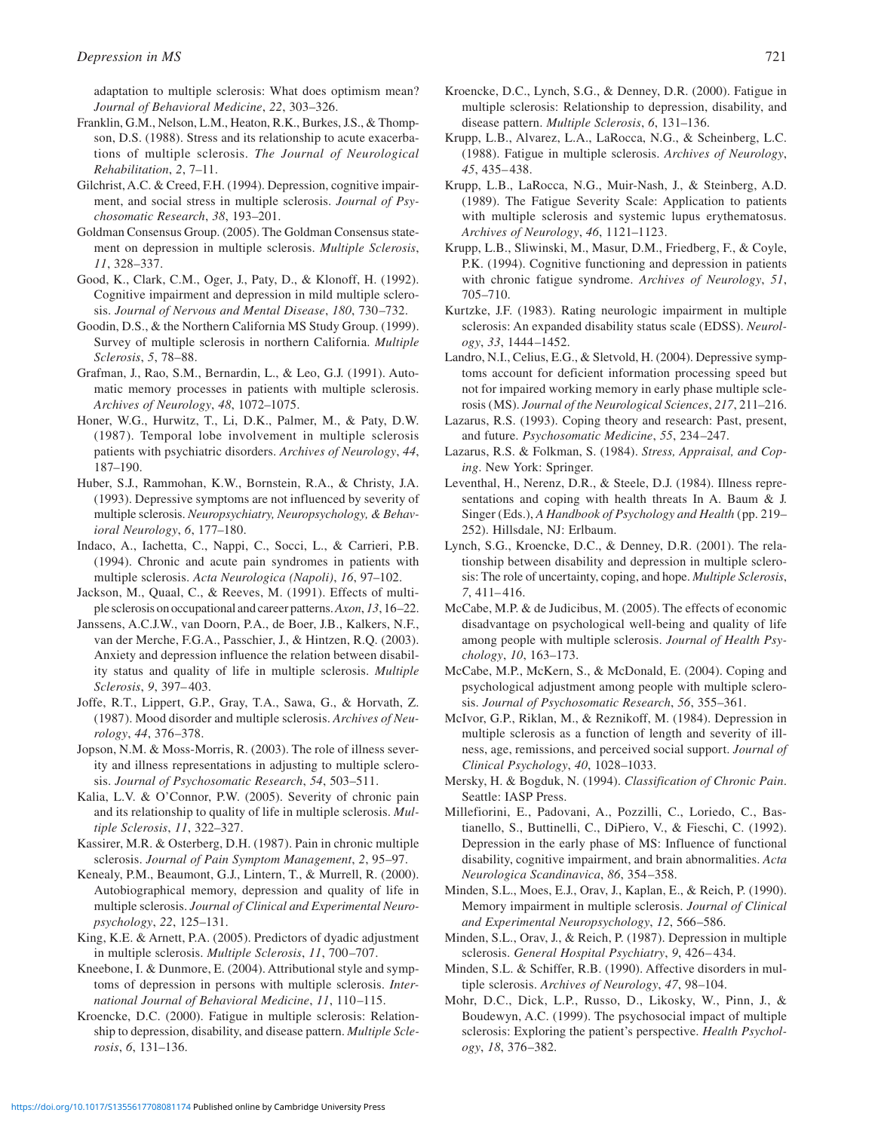adaptation to multiple sclerosis: What does optimism mean? *Journal of Behavioral Medicine*, *22*, 303–326.

- Franklin, G.M., Nelson, L.M., Heaton, R.K., Burkes, J.S., & Thompson, D.S. (1988). Stress and its relationship to acute exacerbations of multiple sclerosis. *The Journal of Neurological Rehabilitation*, *2*, 7–11.
- Gilchrist, A.C. & Creed, F.H. (1994). Depression, cognitive impairment, and social stress in multiple sclerosis. *Journal of Psychosomatic Research*, *38*, 193–201.
- Goldman Consensus Group. (2005). The Goldman Consensus statement on depression in multiple sclerosis. *Multiple Sclerosis*, *11*, 328–337.
- Good, K., Clark, C.M., Oger, J., Paty, D., & Klonoff, H. (1992). Cognitive impairment and depression in mild multiple sclerosis. *Journal of Nervous and Mental Disease*, *180*, 730–732.
- Goodin, D.S., & the Northern California MS Study Group. (1999). Survey of multiple sclerosis in northern California. *Multiple Sclerosis*, *5*, 78–88.
- Grafman, J., Rao, S.M., Bernardin, L., & Leo, G.J. (1991). Automatic memory processes in patients with multiple sclerosis. *Archives of Neurology*, *48*, 1072–1075.
- Honer, W.G., Hurwitz, T., Li, D.K., Palmer, M., & Paty, D.W. (1987). Temporal lobe involvement in multiple sclerosis patients with psychiatric disorders. *Archives of Neurology*, *44*, 187–190.
- Huber, S.J., Rammohan, K.W., Bornstein, R.A., & Christy, J.A. (1993). Depressive symptoms are not influenced by severity of multiple sclerosis. *Neuropsychiatry, Neuropsychology, & Behavioral Neurology*, *6*, 177–180.
- Indaco, A., Iachetta, C., Nappi, C., Socci, L., & Carrieri, P.B. (1994). Chronic and acute pain syndromes in patients with multiple sclerosis. *Acta Neurologica (Napoli)*, *16*, 97–102.
- Jackson, M., Quaal, C., & Reeves, M. (1991). Effects of multiple sclerosis on occupational and career patterns.*Axon*, *13*, 16–22.
- Janssens, A.C.J.W., van Doorn, P.A., de Boer, J.B., Kalkers, N.F., van der Merche, F.G.A., Passchier, J., & Hintzen, R.Q. (2003). Anxiety and depression influence the relation between disability status and quality of life in multiple sclerosis. *Multiple Sclerosis*, *9*, 397– 403.
- Joffe, R.T., Lippert, G.P., Gray, T.A., Sawa, G., & Horvath, Z. (1987). Mood disorder and multiple sclerosis. *Archives of Neurology*, *44*, 376–378.
- Jopson, N.M. & Moss-Morris, R. (2003). The role of illness severity and illness representations in adjusting to multiple sclerosis. *Journal of Psychosomatic Research*, *54*, 503–511.
- Kalia, L.V. & O'Connor, P.W. (2005). Severity of chronic pain and its relationship to quality of life in multiple sclerosis. *Multiple Sclerosis*, *11*, 322–327.
- Kassirer, M.R. & Osterberg, D.H. (1987). Pain in chronic multiple sclerosis. *Journal of Pain Symptom Management*, *2*, 95–97.
- Kenealy, P.M., Beaumont, G.J., Lintern, T., & Murrell, R. (2000). Autobiographical memory, depression and quality of life in multiple sclerosis. *Journal of Clinical and Experimental Neuropsychology*, *22*, 125–131.
- King, K.E. & Arnett, P.A. (2005). Predictors of dyadic adjustment in multiple sclerosis. *Multiple Sclerosis*, *11*, 700–707.
- Kneebone, I. & Dunmore, E. (2004). Attributional style and symptoms of depression in persons with multiple sclerosis. *International Journal of Behavioral Medicine*, *11*, 110–115.
- Kroencke, D.C. (2000). Fatigue in multiple sclerosis: Relationship to depression, disability, and disease pattern. *Multiple Sclerosis*, *6*, 131–136.
- Kroencke, D.C., Lynch, S.G., & Denney, D.R. (2000). Fatigue in multiple sclerosis: Relationship to depression, disability, and disease pattern. *Multiple Sclerosis*, *6*, 131–136.
- Krupp, L.B., Alvarez, L.A., LaRocca, N.G., & Scheinberg, L.C. (1988). Fatigue in multiple sclerosis. *Archives of Neurology*, *45*, 435– 438.
- Krupp, L.B., LaRocca, N.G., Muir-Nash, J., & Steinberg, A.D. (1989). The Fatigue Severity Scale: Application to patients with multiple sclerosis and systemic lupus erythematosus. *Archives of Neurology*, *46*, 1121–1123.
- Krupp, L.B., Sliwinski, M., Masur, D.M., Friedberg, F., & Coyle, P.K. (1994). Cognitive functioning and depression in patients with chronic fatigue syndrome. *Archives of Neurology*, *51*, 705–710.
- Kurtzke, J.F. (1983). Rating neurologic impairment in multiple sclerosis: An expanded disability status scale (EDSS). *Neurology*, *33*, 1444–1452.
- Landro, N.I., Celius, E.G., & Sletvold, H. (2004). Depressive symptoms account for deficient information processing speed but not for impaired working memory in early phase multiple sclerosis (MS). *Journal of the Neurological Sciences*, *217*, 211–216.
- Lazarus, R.S. (1993). Coping theory and research: Past, present, and future. *Psychosomatic Medicine*, *55*, 234–247.
- Lazarus, R.S. & Folkman, S. (1984). *Stress, Appraisal, and Coping*. New York: Springer.
- Leventhal, H., Nerenz, D.R., & Steele, D.J. (1984). Illness representations and coping with health threats In A. Baum & J. Singer (Eds.), *A Handbook of Psychology and Health* (pp. 219– 252). Hillsdale, NJ: Erlbaum.
- Lynch, S.G., Kroencke, D.C., & Denney, D.R. (2001). The relationship between disability and depression in multiple sclerosis: The role of uncertainty, coping, and hope. *Multiple Sclerosis*, *7*, 411– 416.
- McCabe, M.P. & de Judicibus, M. (2005). The effects of economic disadvantage on psychological well-being and quality of life among people with multiple sclerosis. *Journal of Health Psychology*, *10*, 163–173.
- McCabe, M.P., McKern, S., & McDonald, E. (2004). Coping and psychological adjustment among people with multiple sclerosis. *Journal of Psychosomatic Research*, *56*, 355–361.
- McIvor, G.P., Riklan, M., & Reznikoff, M. (1984). Depression in multiple sclerosis as a function of length and severity of illness, age, remissions, and perceived social support. *Journal of Clinical Psychology*, *40*, 1028–1033.
- Mersky, H. & Bogduk, N. (1994). *Classification of Chronic Pain*. Seattle: IASP Press.
- Millefiorini, E., Padovani, A., Pozzilli, C., Loriedo, C., Bastianello, S., Buttinelli, C., DiPiero, V., & Fieschi, C. (1992). Depression in the early phase of MS: Influence of functional disability, cognitive impairment, and brain abnormalities. *Acta Neurologica Scandinavica*, *86*, 354–358.
- Minden, S.L., Moes, E.J., Orav, J., Kaplan, E., & Reich, P. (1990). Memory impairment in multiple sclerosis. *Journal of Clinical and Experimental Neuropsychology*, *12*, 566–586.
- Minden, S.L., Orav, J., & Reich, P. (1987). Depression in multiple sclerosis. *General Hospital Psychiatry*, *9*, 426– 434.
- Minden, S.L. & Schiffer, R.B. (1990). Affective disorders in multiple sclerosis. *Archives of Neurology*, *47*, 98–104.
- Mohr, D.C., Dick, L.P., Russo, D., Likosky, W., Pinn, J., & Boudewyn, A.C. (1999). The psychosocial impact of multiple sclerosis: Exploring the patient's perspective. *Health Psychology*, *18*, 376–382.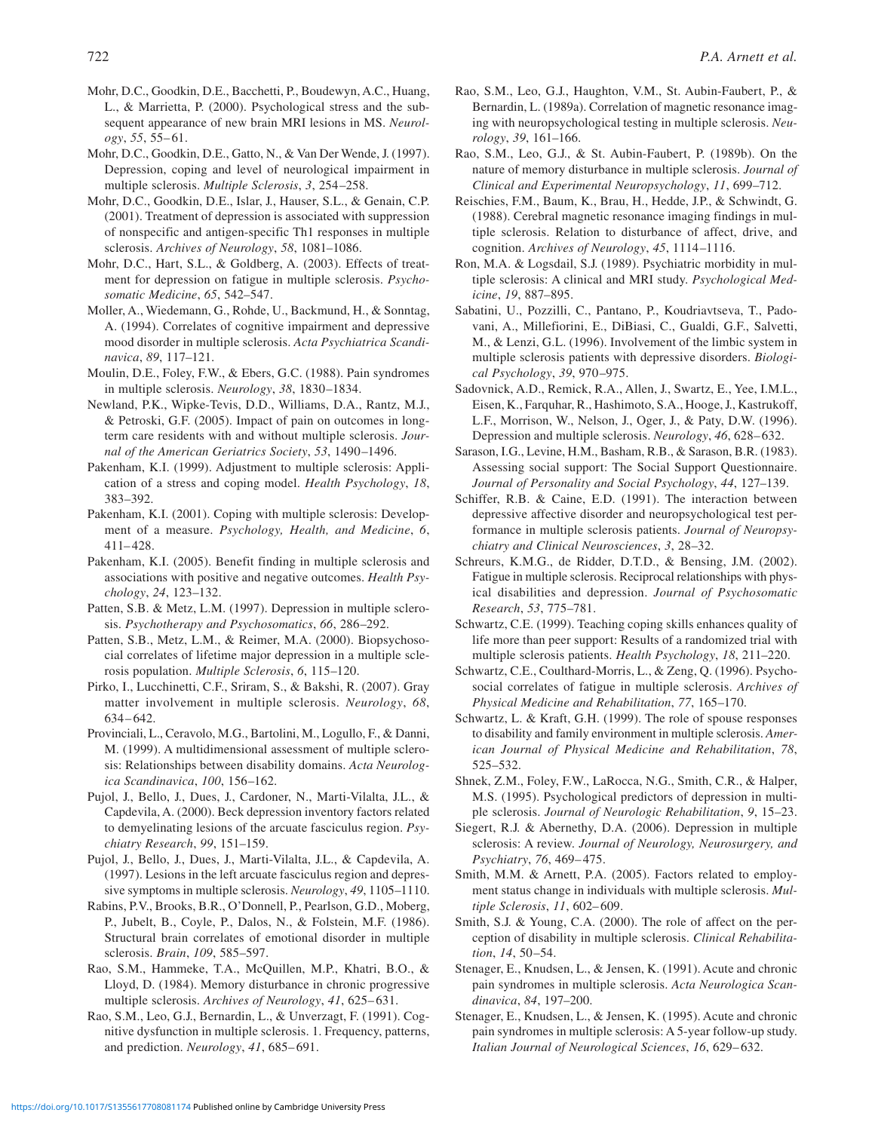- Mohr, D.C., Goodkin, D.E., Bacchetti, P., Boudewyn, A.C., Huang, L., & Marrietta, P. (2000). Psychological stress and the subsequent appearance of new brain MRI lesions in MS. *Neurology*, *55*, 55– 61.
- Mohr, D.C., Goodkin, D.E., Gatto, N., & Van Der Wende, J. (1997). Depression, coping and level of neurological impairment in multiple sclerosis. *Multiple Sclerosis*, *3*, 254–258.
- Mohr, D.C., Goodkin, D.E., Islar, J., Hauser, S.L., & Genain, C.P. (2001). Treatment of depression is associated with suppression of nonspecific and antigen-specific Th1 responses in multiple sclerosis. *Archives of Neurology*, *58*, 1081–1086.
- Mohr, D.C., Hart, S.L., & Goldberg, A. (2003). Effects of treatment for depression on fatigue in multiple sclerosis. *Psychosomatic Medicine*, *65*, 542–547.
- Moller, A., Wiedemann, G., Rohde, U., Backmund, H., & Sonntag, A. (1994). Correlates of cognitive impairment and depressive mood disorder in multiple sclerosis. *Acta Psychiatrica Scandinavica*, *89*, 117–121.
- Moulin, D.E., Foley, F.W., & Ebers, G.C. (1988). Pain syndromes in multiple sclerosis. *Neurology*, *38*, 1830–1834.
- Newland, P.K., Wipke-Tevis, D.D., Williams, D.A., Rantz, M.J., & Petroski, G.F. (2005). Impact of pain on outcomes in longterm care residents with and without multiple sclerosis. *Journal of the American Geriatrics Society*, *53*, 1490–1496.
- Pakenham, K.I. (1999). Adjustment to multiple sclerosis: Application of a stress and coping model. *Health Psychology*, *18*, 383–392.
- Pakenham, K.I. (2001). Coping with multiple sclerosis: Development of a measure. *Psychology, Health, and Medicine*, *6*,  $411 - 428$ .
- Pakenham, K.I. (2005). Benefit finding in multiple sclerosis and associations with positive and negative outcomes. *Health Psychology*, *24*, 123–132.
- Patten, S.B. & Metz, L.M. (1997). Depression in multiple sclerosis. *Psychotherapy and Psychosomatics*, *66*, 286–292.
- Patten, S.B., Metz, L.M., & Reimer, M.A. (2000). Biopsychosocial correlates of lifetime major depression in a multiple sclerosis population. *Multiple Sclerosis*, *6*, 115–120.
- Pirko, I., Lucchinetti, C.F., Sriram, S., & Bakshi, R. (2007). Gray matter involvement in multiple sclerosis. *Neurology*, *68*, 634– 642.
- Provinciali, L., Ceravolo, M.G., Bartolini, M., Logullo, F., & Danni, M. (1999). A multidimensional assessment of multiple sclerosis: Relationships between disability domains. *Acta Neurologica Scandinavica*, *100*, 156–162.
- Pujol, J., Bello, J., Dues, J., Cardoner, N., Marti-Vilalta, J.L., & Capdevila, A. (2000). Beck depression inventory factors related to demyelinating lesions of the arcuate fasciculus region. *Psychiatry Research*, *99*, 151–159.
- Pujol, J., Bello, J., Dues, J., Marti-Vilalta, J.L., & Capdevila, A. (1997). Lesions in the left arcuate fasciculus region and depressive symptoms in multiple sclerosis. *Neurology*, *49*, 1105–1110.
- Rabins, P.V., Brooks, B.R., O'Donnell, P., Pearlson, G.D., Moberg, P., Jubelt, B., Coyle, P., Dalos, N., & Folstein, M.F. (1986). Structural brain correlates of emotional disorder in multiple sclerosis. *Brain*, *109*, 585–597.
- Rao, S.M., Hammeke, T.A., McQuillen, M.P., Khatri, B.O., & Lloyd, D. (1984). Memory disturbance in chronic progressive multiple sclerosis. *Archives of Neurology*, 41, 625–631.
- Rao, S.M., Leo, G.J., Bernardin, L., & Unverzagt, F. (1991). Cognitive dysfunction in multiple sclerosis. 1. Frequency, patterns, and prediction. *Neurology*, *41*, 685– 691.
- Rao, S.M., Leo, G.J., Haughton, V.M., St. Aubin-Faubert, P., & Bernardin, L. (1989a). Correlation of magnetic resonance imaging with neuropsychological testing in multiple sclerosis. *Neurology*, *39*, 161–166.
- Rao, S.M., Leo, G.J., & St. Aubin-Faubert, P. (1989b). On the nature of memory disturbance in multiple sclerosis. *Journal of Clinical and Experimental Neuropsychology*, *11*, 699–712.
- Reischies, F.M., Baum, K., Brau, H., Hedde, J.P., & Schwindt, G. (1988). Cerebral magnetic resonance imaging findings in multiple sclerosis. Relation to disturbance of affect, drive, and cognition. *Archives of Neurology*, *45*, 1114–1116.
- Ron, M.A. & Logsdail, S.J. (1989). Psychiatric morbidity in multiple sclerosis: A clinical and MRI study. *Psychological Medicine*, *19*, 887–895.
- Sabatini, U., Pozzilli, C., Pantano, P., Koudriavtseva, T., Padovani, A., Millefiorini, E., DiBiasi, C., Gualdi, G.F., Salvetti, M., & Lenzi, G.L. (1996). Involvement of the limbic system in multiple sclerosis patients with depressive disorders. *Biological Psychology*, *39*, 970–975.
- Sadovnick, A.D., Remick, R.A., Allen, J., Swartz, E., Yee, I.M.L., Eisen, K., Farquhar, R., Hashimoto, S.A., Hooge, J., Kastrukoff, L.F., Morrison, W., Nelson, J., Oger, J., & Paty, D.W. (1996). Depression and multiple sclerosis. *Neurology*, *46*, 628– 632.
- Sarason, I.G., Levine, H.M., Basham, R.B., & Sarason, B.R. (1983). Assessing social support: The Social Support Questionnaire. *Journal of Personality and Social Psychology*, *44*, 127–139.
- Schiffer, R.B. & Caine, E.D. (1991). The interaction between depressive affective disorder and neuropsychological test performance in multiple sclerosis patients. *Journal of Neuropsychiatry and Clinical Neurosciences*, *3*, 28–32.
- Schreurs, K.M.G., de Ridder, D.T.D., & Bensing, J.M. (2002). Fatigue in multiple sclerosis. Reciprocal relationships with physical disabilities and depression. *Journal of Psychosomatic Research*, *53*, 775–781.
- Schwartz, C.E. (1999). Teaching coping skills enhances quality of life more than peer support: Results of a randomized trial with multiple sclerosis patients. *Health Psychology*, *18*, 211–220.
- Schwartz, C.E., Coulthard-Morris, L., & Zeng, Q. (1996). Psychosocial correlates of fatigue in multiple sclerosis. *Archives of Physical Medicine and Rehabilitation*, *77*, 165–170.
- Schwartz, L. & Kraft, G.H. (1999). The role of spouse responses to disability and family environment in multiple sclerosis. *American Journal of Physical Medicine and Rehabilitation*, *78*, 525–532.
- Shnek, Z.M., Foley, F.W., LaRocca, N.G., Smith, C.R., & Halper, M.S. (1995). Psychological predictors of depression in multiple sclerosis. *Journal of Neurologic Rehabilitation*, *9*, 15–23.
- Siegert, R.J. & Abernethy, D.A. (2006). Depression in multiple sclerosis: A review. *Journal of Neurology, Neurosurgery, and Psychiatry*, *76*, 469– 475.
- Smith, M.M. & Arnett, P.A. (2005). Factors related to employment status change in individuals with multiple sclerosis. *Multiple Sclerosis*, *11*, 602– 609.
- Smith, S.J. & Young, C.A. (2000). The role of affect on the perception of disability in multiple sclerosis. *Clinical Rehabilitation*, *14*, 50–54.
- Stenager, E., Knudsen, L., & Jensen, K. (1991). Acute and chronic pain syndromes in multiple sclerosis. *Acta Neurologica Scandinavica*, *84*, 197–200.
- Stenager, E., Knudsen, L., & Jensen, K. (1995). Acute and chronic pain syndromes in multiple sclerosis: A 5-year follow-up study. *Italian Journal of Neurological Sciences*, *16*, 629– 632.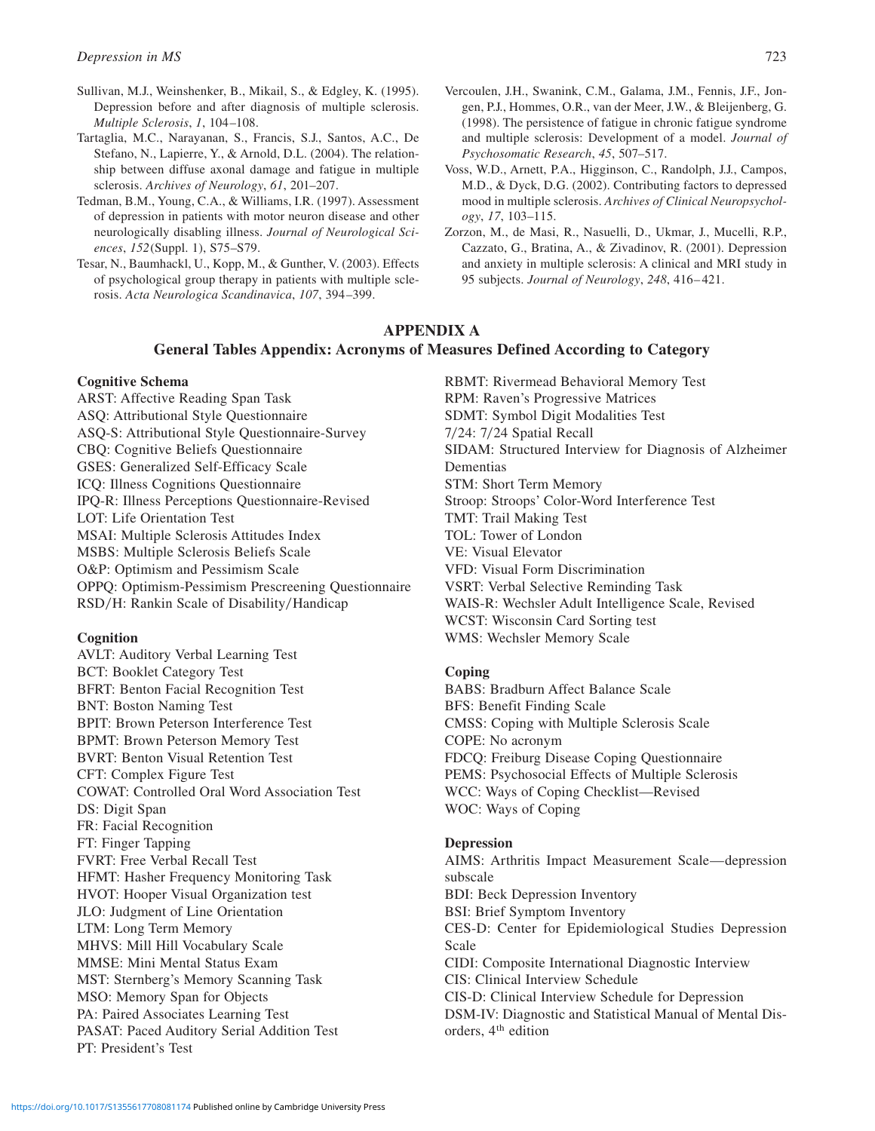- Sullivan, M.J., Weinshenker, B., Mikail, S., & Edgley, K. (1995). Depression before and after diagnosis of multiple sclerosis. *Multiple Sclerosis*, *1*, 104–108.
- Tartaglia, M.C., Narayanan, S., Francis, S.J., Santos, A.C., De Stefano, N., Lapierre, Y., & Arnold, D.L. (2004). The relationship between diffuse axonal damage and fatigue in multiple sclerosis. *Archives of Neurology*, *61*, 201–207.
- Tedman, B.M., Young, C.A., & Williams, I.R. (1997). Assessment of depression in patients with motor neuron disease and other neurologically disabling illness. *Journal of Neurological Sciences*, *152*(Suppl. 1), S75–S79.
- Tesar, N., Baumhackl, U., Kopp, M., & Gunther, V. (2003). Effects of psychological group therapy in patients with multiple sclerosis. *Acta Neurologica Scandinavica*, *107*, 394–399.
- Vercoulen, J.H., Swanink, C.M., Galama, J.M., Fennis, J.F., Jongen, P.J., Hommes, O.R., van der Meer, J.W., & Bleijenberg, G. (1998). The persistence of fatigue in chronic fatigue syndrome and multiple sclerosis: Development of a model. *Journal of Psychosomatic Research*, *45*, 507–517.
- Voss, W.D., Arnett, P.A., Higginson, C., Randolph, J.J., Campos, M.D., & Dyck, D.G. (2002). Contributing factors to depressed mood in multiple sclerosis. *Archives of Clinical Neuropsychology*, *17*, 103–115.
- Zorzon, M., de Masi, R., Nasuelli, D., Ukmar, J., Mucelli, R.P., Cazzato, G., Bratina, A., & Zivadinov, R. (2001). Depression and anxiety in multiple sclerosis: A clinical and MRI study in 95 subjects. *Journal of Neurology*, *248*, 416– 421.

# **APPENDIX A**

# **General Tables Appendix: Acronyms of Measures Defined According to Category**

### **Cognitive Schema**

ARST: Affective Reading Span Task ASQ: Attributional Style Questionnaire ASQ-S: Attributional Style Questionnaire-Survey CBQ: Cognitive Beliefs Questionnaire GSES: Generalized Self-Efficacy Scale ICQ: Illness Cognitions Questionnaire IPQ-R: Illness Perceptions Questionnaire-Revised LOT: Life Orientation Test MSAI: Multiple Sclerosis Attitudes Index MSBS: Multiple Sclerosis Beliefs Scale O&P: Optimism and Pessimism Scale OPPQ: Optimism-Pessimism Prescreening Questionnaire RSD/H: Rankin Scale of Disability/Handicap

# **Cognition**

AVLT: Auditory Verbal Learning Test BCT: Booklet Category Test BFRT: Benton Facial Recognition Test BNT: Boston Naming Test BPIT: Brown Peterson Interference Test BPMT: Brown Peterson Memory Test BVRT: Benton Visual Retention Test CFT: Complex Figure Test COWAT: Controlled Oral Word Association Test DS: Digit Span FR: Facial Recognition FT: Finger Tapping FVRT: Free Verbal Recall Test HFMT: Hasher Frequency Monitoring Task HVOT: Hooper Visual Organization test JLO: Judgment of Line Orientation LTM: Long Term Memory MHVS: Mill Hill Vocabulary Scale MMSE: Mini Mental Status Exam MST: Sternberg's Memory Scanning Task MSO: Memory Span for Objects PA: Paired Associates Learning Test PASAT: Paced Auditory Serial Addition Test PT: President's Test

RBMT: Rivermead Behavioral Memory Test RPM: Raven's Progressive Matrices SDMT: Symbol Digit Modalities Test  $7/24$ :  $7/24$  Spatial Recall SIDAM: Structured Interview for Diagnosis of Alzheimer Dementias STM: Short Term Memory Stroop: Stroops' Color-Word Interference Test TMT: Trail Making Test TOL: Tower of London VE: Visual Elevator VFD: Visual Form Discrimination VSRT: Verbal Selective Reminding Task WAIS-R: Wechsler Adult Intelligence Scale, Revised WCST: Wisconsin Card Sorting test WMS: Wechsler Memory Scale

# **Coping**

BABS: Bradburn Affect Balance Scale BFS: Benefit Finding Scale CMSS: Coping with Multiple Sclerosis Scale COPE: No acronym FDCQ: Freiburg Disease Coping Questionnaire PEMS: Psychosocial Effects of Multiple Sclerosis WCC: Ways of Coping Checklist—Revised WOC: Ways of Coping

#### **Depression**

AIMS: Arthritis Impact Measurement Scale—depression subscale BDI: Beck Depression Inventory BSI: Brief Symptom Inventory CES-D: Center for Epidemiological Studies Depression Scale CIDI: Composite International Diagnostic Interview CIS: Clinical Interview Schedule CIS-D: Clinical Interview Schedule for Depression DSM-IV: Diagnostic and Statistical Manual of Mental Disorders, 4<sup>th</sup> edition